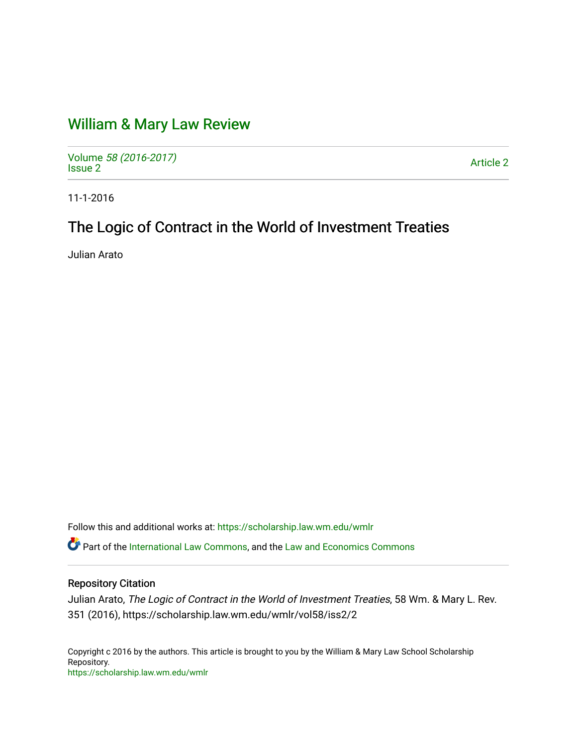# [William & Mary Law Review](https://scholarship.law.wm.edu/wmlr)

Volume [58 \(2016-2017\)](https://scholarship.law.wm.edu/wmlr/vol58)  volume 56 (2010-2017)<br>[Issue 2](https://scholarship.law.wm.edu/wmlr/vol58/iss2) Article 2

11-1-2016

# The Logic of Contract in the World of Investment Treaties

Julian Arato

Follow this and additional works at: [https://scholarship.law.wm.edu/wmlr](https://scholarship.law.wm.edu/wmlr?utm_source=scholarship.law.wm.edu%2Fwmlr%2Fvol58%2Fiss2%2F2&utm_medium=PDF&utm_campaign=PDFCoverPages)

**C** Part of the [International Law Commons,](http://network.bepress.com/hgg/discipline/609?utm_source=scholarship.law.wm.edu%2Fwmlr%2Fvol58%2Fiss2%2F2&utm_medium=PDF&utm_campaign=PDFCoverPages) and the [Law and Economics Commons](http://network.bepress.com/hgg/discipline/612?utm_source=scholarship.law.wm.edu%2Fwmlr%2Fvol58%2Fiss2%2F2&utm_medium=PDF&utm_campaign=PDFCoverPages)

# Repository Citation

Julian Arato, The Logic of Contract in the World of Investment Treaties, 58 Wm. & Mary L. Rev. 351 (2016), https://scholarship.law.wm.edu/wmlr/vol58/iss2/2

Copyright c 2016 by the authors. This article is brought to you by the William & Mary Law School Scholarship Repository. <https://scholarship.law.wm.edu/wmlr>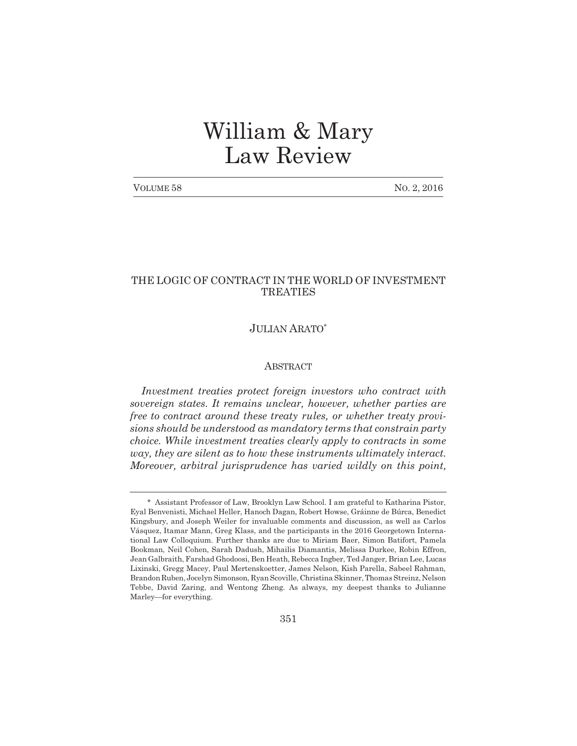# William & Mary Law Review

| VOLUME 58 | No. 2, 2016 |
|-----------|-------------|
|-----------|-------------|

# THE LOGIC OF CONTRACT IN THE WORLD OF INVESTMENT TREATIES

# JULIAN ARATO\*

#### ABSTRACT

*Investment treaties protect foreign investors who contract with sovereign states. It remains unclear, however, whether parties are free to contract around these treaty rules, or whether treaty provisions should be understood as mandatory terms that constrain party choice. While investment treaties clearly apply to contracts in some way, they are silent as to how these instruments ultimately interact. Moreover, arbitral jurisprudence has varied wildly on this point,*

<sup>\*</sup> Assistant Professor of Law, Brooklyn Law School. I am grateful to Katharina Pistor, Eyal Benvenisti, Michael Heller, Hanoch Dagan, Robert Howse, Gráinne de Búrca, Benedict Kingsbury, and Joseph Weiler for invaluable comments and discussion, as well as Carlos Vásquez, Itamar Mann, Greg Klass, and the participants in the 2016 Georgetown International Law Colloquium. Further thanks are due to Miriam Baer, Simon Batifort, Pamela Bookman, Neil Cohen, Sarah Dadush, Mihailis Diamantis, Melissa Durkee, Robin Effron, Jean Galbraith, Farshad Ghodoosi, Ben Heath, Rebecca Ingber, Ted Janger, Brian Lee, Lucas Lixinski, Gregg Macey, Paul Mertenskoetter, James Nelson, Kish Parella, Sabeel Rahman, Brandon Ruben, Jocelyn Simonson, Ryan Scoville, Christina Skinner, Thomas Streinz, Nelson Tebbe, David Zaring, and Wentong Zheng. As always, my deepest thanks to Julianne Marley—for everything.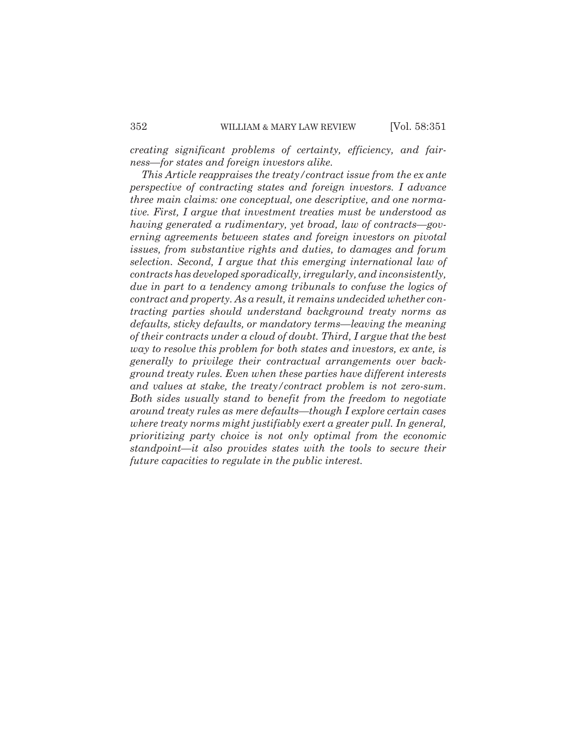*creating significant problems of certainty, efficiency, and fairness—for states and foreign investors alike.*

*This Article reappraises the treaty/contract issue from the ex ante perspective of contracting states and foreign investors. I advance three main claims: one conceptual, one descriptive, and one normative. First, I argue that investment treaties must be understood as having generated a rudimentary, yet broad, law of contracts—governing agreements between states and foreign investors on pivotal issues, from substantive rights and duties, to damages and forum selection. Second, I argue that this emerging international law of contracts has developed sporadically, irregularly, and inconsistently, due in part to a tendency among tribunals to confuse the logics of contract and property. As a result, it remains undecided whether contracting parties should understand background treaty norms as defaults, sticky defaults, or mandatory terms—leaving the meaning of their contracts under a cloud of doubt. Third, I argue that the best way to resolve this problem for both states and investors, ex ante, is generally to privilege their contractual arrangements over background treaty rules. Even when these parties have different interests and values at stake, the treaty/contract problem is not zero-sum. Both sides usually stand to benefit from the freedom to negotiate around treaty rules as mere defaults—though I explore certain cases where treaty norms might justifiably exert a greater pull. In general, prioritizing party choice is not only optimal from the economic standpoint—it also provides states with the tools to secure their future capacities to regulate in the public interest.*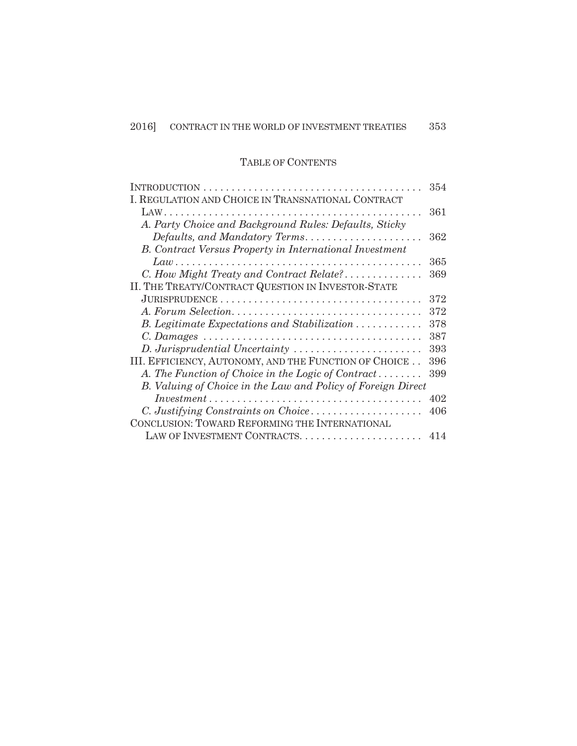# TABLE OF CONTENTS

|                                                                                              | 354 |
|----------------------------------------------------------------------------------------------|-----|
| I. REGULATION AND CHOICE IN TRANSNATIONAL CONTRACT                                           |     |
|                                                                                              | 361 |
| A. Party Choice and Background Rules: Defaults, Sticky                                       |     |
| $\textit{Defaults}, \textit{and Mandatory Terms}. \dots \dots \dots \dots \dots \dots \dots$ | 362 |
| <b>B.</b> Contract Versus Property in International Investment                               |     |
| $Law \dots \dots \dots \dots \dots \dots \dots \dots$                                        | 365 |
| C. How Might Treaty and Contract Relate?                                                     | 369 |
| II. THE TREATY/CONTRACT QUESTION IN INVESTOR-STATE                                           |     |
|                                                                                              | 372 |
| A. Forum Selection                                                                           | 372 |
| B. Legitimate Expectations and Stabilization                                                 | 378 |
|                                                                                              | 387 |
| D. Jurisprudential Uncertainty                                                               | 393 |
| III. EFFICIENCY, AUTONOMY, AND THE FUNCTION OF CHOICE                                        | 396 |
| A. The Function of Choice in the Logic of Contract                                           | 399 |
| B. Valuing of Choice in the Law and Policy of Foreign Direct                                 |     |
|                                                                                              | 402 |
| C. Justifying Constraints on Choice                                                          | 406 |
| CONCLUSION: TOWARD REFORMING THE INTERNATIONAL                                               |     |
|                                                                                              | 414 |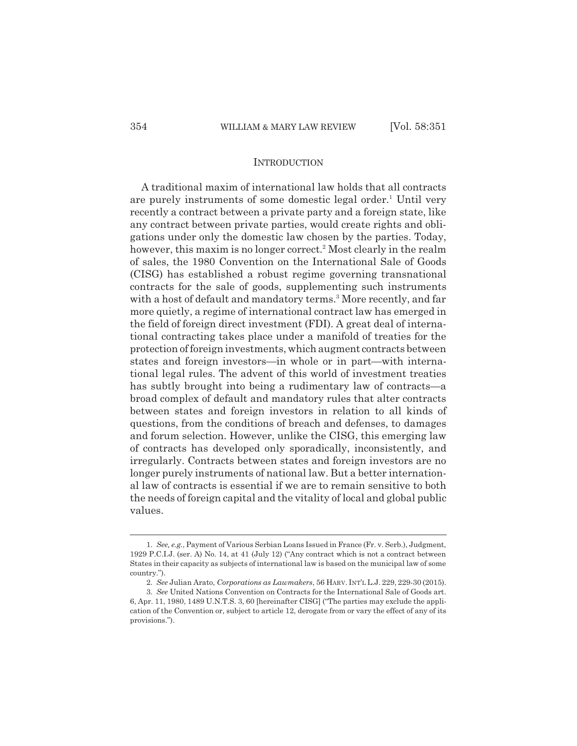#### **INTRODUCTION**

A traditional maxim of international law holds that all contracts are purely instruments of some domestic legal order.<sup>1</sup> Until very recently a contract between a private party and a foreign state, like any contract between private parties, would create rights and obligations under only the domestic law chosen by the parties. Today, however, this maxim is no longer correct.<sup>2</sup> Most clearly in the realm of sales, the 1980 Convention on the International Sale of Goods (CISG) has established a robust regime governing transnational contracts for the sale of goods, supplementing such instruments with a host of default and mandatory terms.<sup>3</sup> More recently, and far more quietly, a regime of international contract law has emerged in the field of foreign direct investment (FDI). A great deal of international contracting takes place under a manifold of treaties for the protection of foreign investments, which augment contracts between states and foreign investors—in whole or in part—with international legal rules. The advent of this world of investment treaties has subtly brought into being a rudimentary law of contracts—a broad complex of default and mandatory rules that alter contracts between states and foreign investors in relation to all kinds of questions, from the conditions of breach and defenses, to damages and forum selection. However, unlike the CISG, this emerging law of contracts has developed only sporadically, inconsistently, and irregularly. Contracts between states and foreign investors are no longer purely instruments of national law. But a better international law of contracts is essential if we are to remain sensitive to both the needs of foreign capital and the vitality of local and global public values.

<sup>1.</sup> *See, e.g.*, Payment of Various Serbian Loans Issued in France (Fr. v. Serb.), Judgment, 1929 P.C.I.J. (ser. A) No. 14, at 41 (July 12) ("Any contract which is not a contract between States in their capacity as subjects of international law is based on the municipal law of some country.").

<sup>2.</sup> *See* Julian Arato, *Corporations as Lawmakers*, 56 HARV. INT'L L.J. 229, 229-30 (2015).

<sup>3.</sup> *See* United Nations Convention on Contracts for the International Sale of Goods art. 6, Apr. 11, 1980, 1489 U.N.T.S. 3, 60 [hereinafter CISG] ("The parties may exclude the application of the Convention or, subject to article 12, derogate from or vary the effect of any of its provisions.").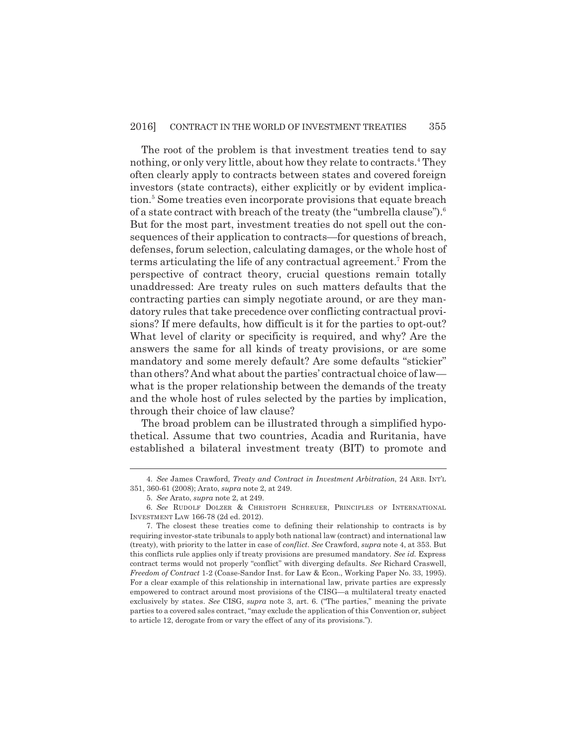The root of the problem is that investment treaties tend to say nothing, or only very little, about how they relate to contracts.<sup>4</sup> They often clearly apply to contracts between states and covered foreign investors (state contracts), either explicitly or by evident implication.<sup>5</sup> Some treaties even incorporate provisions that equate breach of a state contract with breach of the treaty (the "umbrella clause").<sup>6</sup> But for the most part, investment treaties do not spell out the consequences of their application to contracts—for questions of breach, defenses, forum selection, calculating damages, or the whole host of terms articulating the life of any contractual agreement.<sup>7</sup> From the perspective of contract theory, crucial questions remain totally unaddressed: Are treaty rules on such matters defaults that the contracting parties can simply negotiate around, or are they mandatory rules that take precedence over conflicting contractual provisions? If mere defaults, how difficult is it for the parties to opt-out? What level of clarity or specificity is required, and why? Are the answers the same for all kinds of treaty provisions, or are some mandatory and some merely default? Are some defaults "stickier" than others? And what about the parties' contractual choice of law what is the proper relationship between the demands of the treaty and the whole host of rules selected by the parties by implication, through their choice of law clause?

The broad problem can be illustrated through a simplified hypothetical. Assume that two countries, Acadia and Ruritania, have established a bilateral investment treaty (BIT) to promote and

<sup>4.</sup> *See* James Crawford, *Treaty and Contract in Investment Arbitration*, 24 ARB. INT'L 351, 360-61 (2008); Arato, *supra* note 2, at 249.

<sup>5.</sup> *See* Arato, *supra* note 2, at 249.

<sup>6.</sup> *See* RUDOLF DOLZER & CHRISTOPH SCHREUER, PRINCIPLES OF INTERNATIONAL INVESTMENT LAW 166-78 (2d ed. 2012).

<sup>7.</sup> The closest these treaties come to defining their relationship to contracts is by requiring investor-state tribunals to apply both national law (contract) and international law (treaty), with priority to the latter in case of *conflict*. *See* Crawford, *supra* note 4, at 353. But this conflicts rule applies only if treaty provisions are presumed mandatory. *See id.* Express contract terms would not properly "conflict" with diverging defaults. *See* Richard Craswell, *Freedom of Contract* 1-2 (Coase-Sandor Inst. for Law & Econ., Working Paper No. 33, 1995). For a clear example of this relationship in international law, private parties are expressly empowered to contract around most provisions of the CISG—a multilateral treaty enacted exclusively by states. *See* CISG, *supra* note 3, art. 6. ("The parties," meaning the private parties to a covered sales contract, "may exclude the application of this Convention or, subject to article 12, derogate from or vary the effect of any of its provisions.").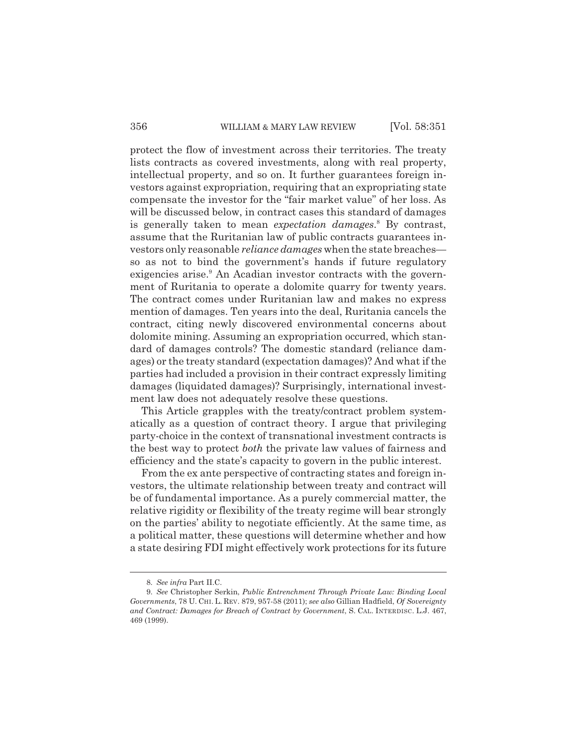protect the flow of investment across their territories. The treaty lists contracts as covered investments, along with real property, intellectual property, and so on. It further guarantees foreign investors against expropriation, requiring that an expropriating state compensate the investor for the "fair market value" of her loss. As will be discussed below, in contract cases this standard of damages is generally taken to mean *expectation damages*.<sup>8</sup> By contrast, assume that the Ruritanian law of public contracts guarantees investors only reasonable *reliance damages* when the state breaches so as not to bind the government's hands if future regulatory exigencies arise.<sup>9</sup> An Acadian investor contracts with the government of Ruritania to operate a dolomite quarry for twenty years. The contract comes under Ruritanian law and makes no express mention of damages. Ten years into the deal, Ruritania cancels the contract, citing newly discovered environmental concerns about dolomite mining. Assuming an expropriation occurred, which standard of damages controls? The domestic standard (reliance damages) or the treaty standard (expectation damages)? And what if the parties had included a provision in their contract expressly limiting damages (liquidated damages)? Surprisingly, international investment law does not adequately resolve these questions.

This Article grapples with the treaty/contract problem systematically as a question of contract theory. I argue that privileging party-choice in the context of transnational investment contracts is the best way to protect *both* the private law values of fairness and efficiency and the state's capacity to govern in the public interest.

From the ex ante perspective of contracting states and foreign investors, the ultimate relationship between treaty and contract will be of fundamental importance. As a purely commercial matter, the relative rigidity or flexibility of the treaty regime will bear strongly on the parties' ability to negotiate efficiently. At the same time, as a political matter, these questions will determine whether and how a state desiring FDI might effectively work protections for its future

<sup>8.</sup> *See infra* Part II.C.

<sup>9.</sup> *See* Christopher Serkin, *Public Entrenchment Through Private Law: Binding Local Governments*, 78 U. CHI. L. REV. 879, 957-58 (2011); *see also* Gillian Hadfield, *Of Sovereignty and Contract: Damages for Breach of Contract by Government*, S. CAL. INTERDISC. L.J. 467, 469 (1999).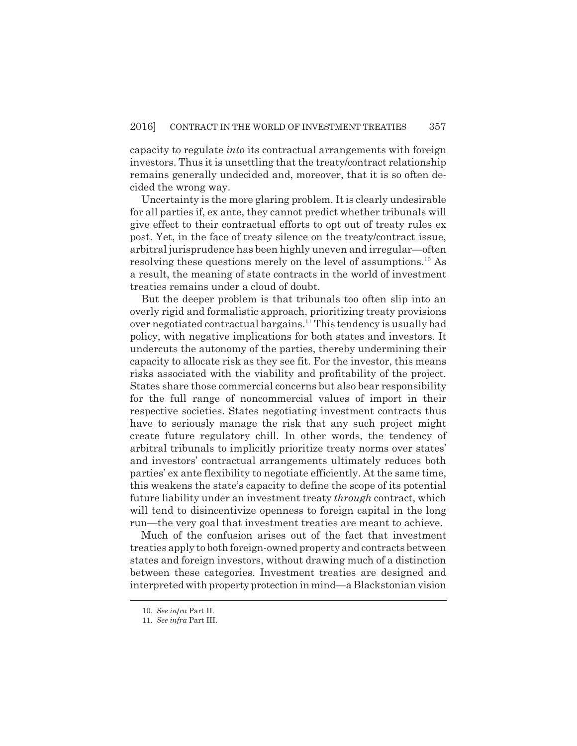capacity to regulate *into* its contractual arrangements with foreign investors. Thus it is unsettling that the treaty/contract relationship remains generally undecided and, moreover, that it is so often decided the wrong way.

Uncertainty is the more glaring problem. It is clearly undesirable for all parties if, ex ante, they cannot predict whether tribunals will give effect to their contractual efforts to opt out of treaty rules ex post. Yet, in the face of treaty silence on the treaty/contract issue, arbitral jurisprudence has been highly uneven and irregular—often resolving these questions merely on the level of assumptions.<sup>10</sup> As a result, the meaning of state contracts in the world of investment treaties remains under a cloud of doubt.

But the deeper problem is that tribunals too often slip into an overly rigid and formalistic approach, prioritizing treaty provisions over negotiated contractual bargains.<sup>11</sup> This tendency is usually bad policy, with negative implications for both states and investors. It undercuts the autonomy of the parties, thereby undermining their capacity to allocate risk as they see fit. For the investor, this means risks associated with the viability and profitability of the project. States share those commercial concerns but also bear responsibility for the full range of noncommercial values of import in their respective societies. States negotiating investment contracts thus have to seriously manage the risk that any such project might create future regulatory chill. In other words, the tendency of arbitral tribunals to implicitly prioritize treaty norms over states' and investors' contractual arrangements ultimately reduces both parties' ex ante flexibility to negotiate efficiently. At the same time, this weakens the state's capacity to define the scope of its potential future liability under an investment treaty *through* contract, which will tend to disincentivize openness to foreign capital in the long run—the very goal that investment treaties are meant to achieve.

Much of the confusion arises out of the fact that investment treaties apply to both foreign-owned property and contracts between states and foreign investors, without drawing much of a distinction between these categories. Investment treaties are designed and interpreted with property protection in mind—a Blackstonian vision

<sup>10.</sup> *See infra* Part II.

<sup>11.</sup> *See infra* Part III.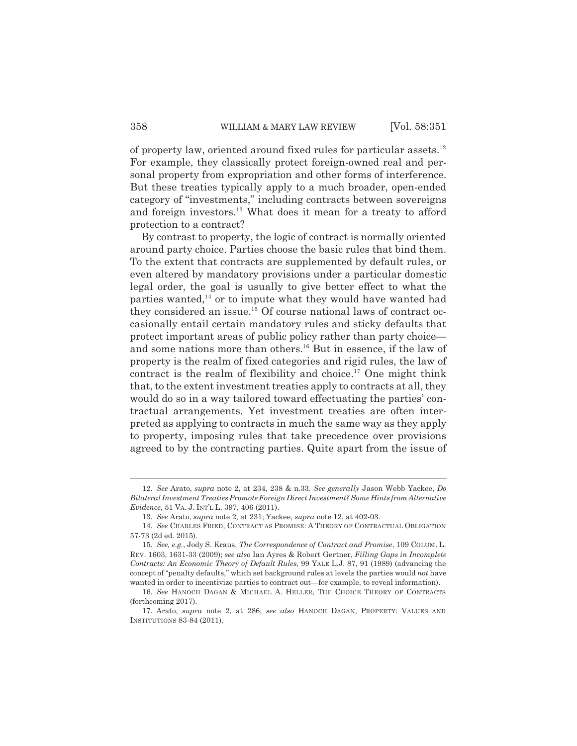of property law, oriented around fixed rules for particular assets.<sup>12</sup> For example, they classically protect foreign-owned real and personal property from expropriation and other forms of interference. But these treaties typically apply to a much broader, open-ended category of "investments," including contracts between sovereigns and foreign investors.<sup>13</sup> What does it mean for a treaty to afford protection to a contract?

By contrast to property, the logic of contract is normally oriented around party choice. Parties choose the basic rules that bind them. To the extent that contracts are supplemented by default rules, or even altered by mandatory provisions under a particular domestic legal order, the goal is usually to give better effect to what the parties wanted,<sup>14</sup> or to impute what they would have wanted had they considered an issue.<sup>15</sup> Of course national laws of contract occasionally entail certain mandatory rules and sticky defaults that protect important areas of public policy rather than party choice and some nations more than others.<sup>16</sup> But in essence, if the law of property is the realm of fixed categories and rigid rules, the law of contract is the realm of flexibility and choice.<sup>17</sup> One might think that, to the extent investment treaties apply to contracts at all, they would do so in a way tailored toward effectuating the parties' contractual arrangements. Yet investment treaties are often interpreted as applying to contracts in much the same way as they apply to property, imposing rules that take precedence over provisions agreed to by the contracting parties. Quite apart from the issue of

<sup>12.</sup> *See* Arato, *supra* note 2, at 234, 238 & n.33. *See generally* Jason Webb Yackee, *Do Bilateral Investment Treaties Promote Foreign Direct Investment? Some Hints from Alternative Evidence*, 51 VA. J. INT'L L. 397, 406 (2011).

<sup>13.</sup> *See* Arato, *supra* note 2, at 231; Yackee, *supra* note 12, at 402-03.

<sup>14.</sup> *See* CHARLES FRIED, CONTRACT AS PROMISE: A THEORY OF CONTRACTUAL OBLIGATION 57-73 (2d ed. 2015).

<sup>15.</sup> *See, e.g.*, Jody S. Kraus, *The Correspondence of Contract and Promise*, 109 COLUM. L. REV. 1603, 1631-33 (2009); *see also* Ian Ayres & Robert Gertner, *Filling Gaps in Incomplete Contracts: An Economic Theory of Default Rules*, 99 YALE L.J. 87, 91 (1989) (advancing the concept of "penalty defaults," which set background rules at levels the parties would *not* have wanted in order to incentivize parties to contract out—for example, to reveal information).

<sup>16.</sup> *See* HANOCH DAGAN & MICHAEL A. HELLER, THE CHOICE THEORY OF CONTRACTS (forthcoming 2017).

<sup>17.</sup> Arato, *supra* note 2, at 286; *see also* HANOCH DAGAN, PROPERTY: VALUES AND INSTITUTIONS 83-84 (2011).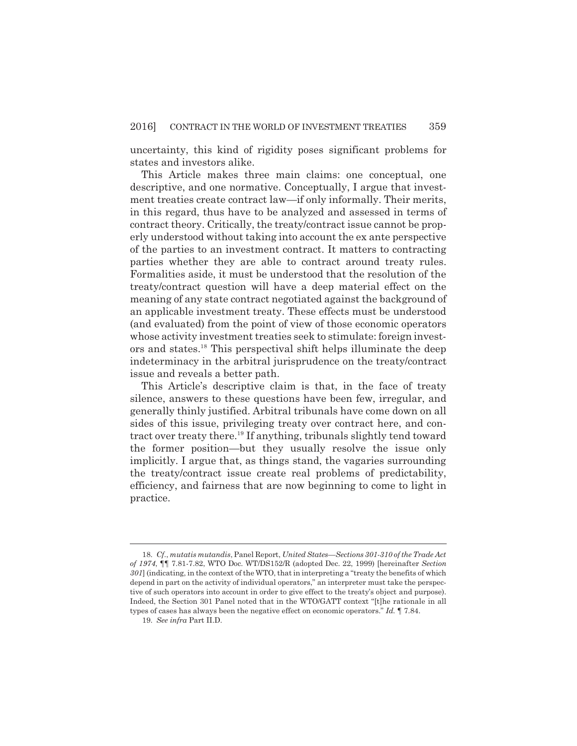uncertainty, this kind of rigidity poses significant problems for states and investors alike.

This Article makes three main claims: one conceptual, one descriptive, and one normative. Conceptually, I argue that investment treaties create contract law—if only informally. Their merits, in this regard, thus have to be analyzed and assessed in terms of contract theory. Critically, the treaty/contract issue cannot be properly understood without taking into account the ex ante perspective of the parties to an investment contract. It matters to contracting parties whether they are able to contract around treaty rules. Formalities aside, it must be understood that the resolution of the treaty/contract question will have a deep material effect on the meaning of any state contract negotiated against the background of an applicable investment treaty. These effects must be understood (and evaluated) from the point of view of those economic operators whose activity investment treaties seek to stimulate: foreign investors and states.<sup>18</sup> This perspectival shift helps illuminate the deep indeterminacy in the arbitral jurisprudence on the treaty/contract issue and reveals a better path.

This Article's descriptive claim is that, in the face of treaty silence, answers to these questions have been few, irregular, and generally thinly justified. Arbitral tribunals have come down on all sides of this issue, privileging treaty over contract here, and contract over treaty there.<sup>19</sup> If anything, tribunals slightly tend toward the former position—but they usually resolve the issue only implicitly. I argue that, as things stand, the vagaries surrounding the treaty/contract issue create real problems of predictability, efficiency, and fairness that are now beginning to come to light in practice.

<sup>18.</sup> *Cf.*, *mutatis mutandis*, Panel Report, *United States—Sections 301-310 of the Trade Act of 1974*, ¶¶ 7.81-7.82, WTO Doc. WT/DS152/R (adopted Dec. 22, 1999) [hereinafter *Section 301*] (indicating, in the context of the WTO, that in interpreting a "treaty the benefits of which depend in part on the activity of individual operators," an interpreter must take the perspective of such operators into account in order to give effect to the treaty's object and purpose). Indeed, the Section 301 Panel noted that in the WTO/GATT context "[t]he rationale in all types of cases has always been the negative effect on economic operators." *Id.* ¶ 7.84.

<sup>19.</sup> *See infra* Part II.D.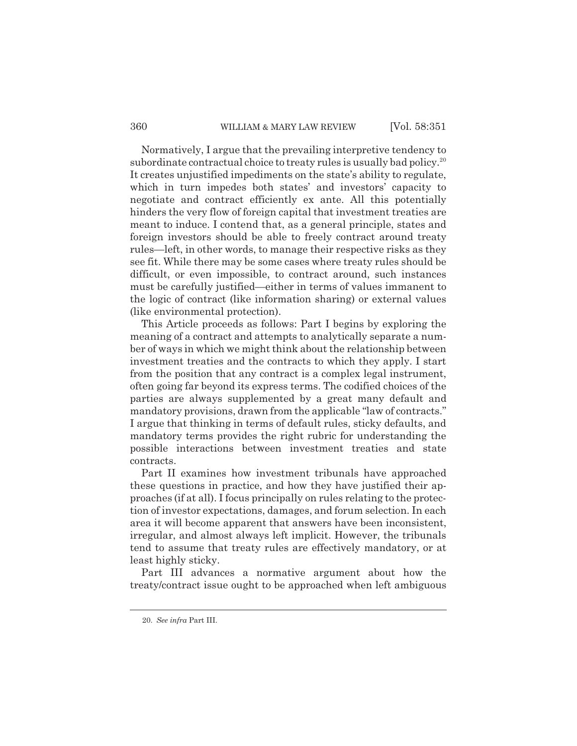#### 360 WILLIAM & MARY LAW REVIEW [Vol. 58:351]

Normatively, I argue that the prevailing interpretive tendency to subordinate contractual choice to treaty rules is usually bad policy.<sup>20</sup> It creates unjustified impediments on the state's ability to regulate, which in turn impedes both states' and investors' capacity to negotiate and contract efficiently ex ante. All this potentially hinders the very flow of foreign capital that investment treaties are meant to induce. I contend that, as a general principle, states and foreign investors should be able to freely contract around treaty rules—left, in other words, to manage their respective risks as they see fit. While there may be some cases where treaty rules should be difficult, or even impossible, to contract around, such instances must be carefully justified—either in terms of values immanent to the logic of contract (like information sharing) or external values (like environmental protection).

This Article proceeds as follows: Part I begins by exploring the meaning of a contract and attempts to analytically separate a number of ways in which we might think about the relationship between investment treaties and the contracts to which they apply. I start from the position that any contract is a complex legal instrument, often going far beyond its express terms. The codified choices of the parties are always supplemented by a great many default and mandatory provisions, drawn from the applicable "law of contracts." I argue that thinking in terms of default rules, sticky defaults, and mandatory terms provides the right rubric for understanding the possible interactions between investment treaties and state contracts.

Part II examines how investment tribunals have approached these questions in practice, and how they have justified their approaches (if at all). I focus principally on rules relating to the protection of investor expectations, damages, and forum selection. In each area it will become apparent that answers have been inconsistent, irregular, and almost always left implicit. However, the tribunals tend to assume that treaty rules are effectively mandatory, or at least highly sticky.

Part III advances a normative argument about how the treaty/contract issue ought to be approached when left ambiguous

<sup>20.</sup> *See infra* Part III.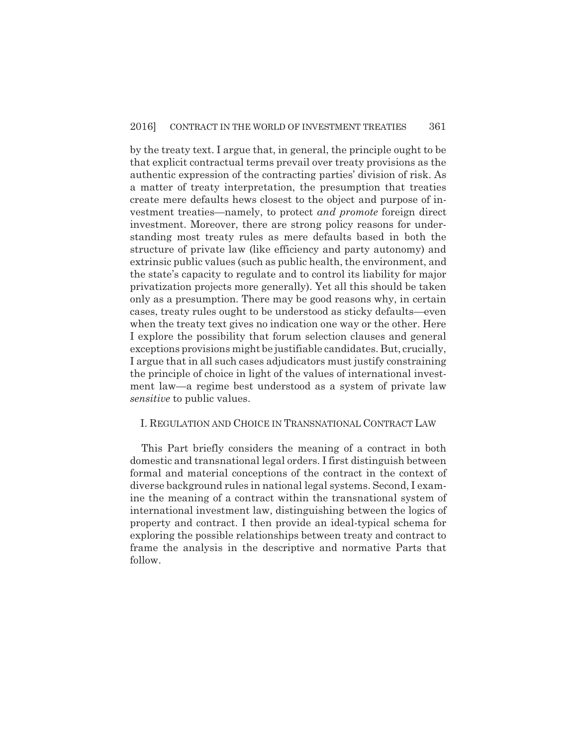by the treaty text. I argue that, in general, the principle ought to be that explicit contractual terms prevail over treaty provisions as the authentic expression of the contracting parties' division of risk. As a matter of treaty interpretation, the presumption that treaties create mere defaults hews closest to the object and purpose of investment treaties—namely, to protect *and promote* foreign direct investment. Moreover, there are strong policy reasons for understanding most treaty rules as mere defaults based in both the structure of private law (like efficiency and party autonomy) and extrinsic public values (such as public health, the environment, and the state's capacity to regulate and to control its liability for major privatization projects more generally). Yet all this should be taken only as a presumption. There may be good reasons why, in certain cases, treaty rules ought to be understood as sticky defaults—even when the treaty text gives no indication one way or the other. Here I explore the possibility that forum selection clauses and general exceptions provisions might be justifiable candidates. But, crucially, I argue that in all such cases adjudicators must justify constraining the principle of choice in light of the values of international investment law—a regime best understood as a system of private law *sensitive* to public values.

#### I. REGULATION AND CHOICE IN TRANSNATIONAL CONTRACT LAW

This Part briefly considers the meaning of a contract in both domestic and transnational legal orders. I first distinguish between formal and material conceptions of the contract in the context of diverse background rules in national legal systems. Second, I examine the meaning of a contract within the transnational system of international investment law, distinguishing between the logics of property and contract. I then provide an ideal-typical schema for exploring the possible relationships between treaty and contract to frame the analysis in the descriptive and normative Parts that follow.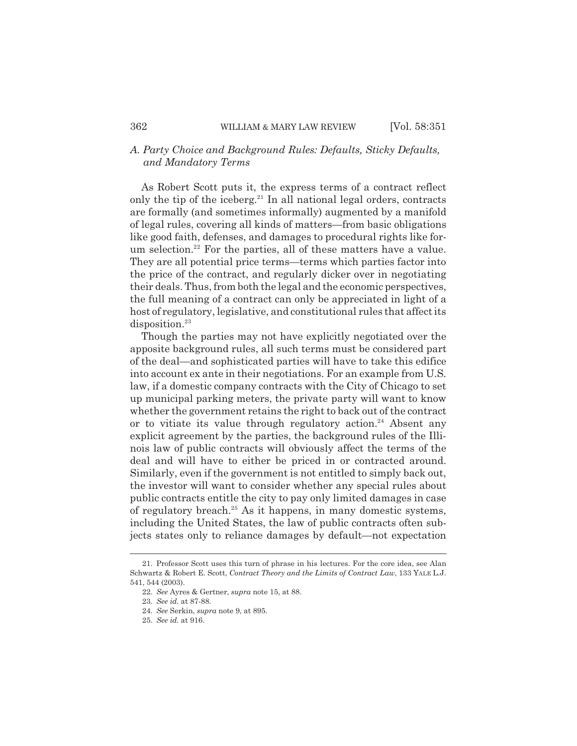# *A. Party Choice and Background Rules: Defaults, Sticky Defaults, and Mandatory Terms*

As Robert Scott puts it, the express terms of a contract reflect only the tip of the iceberg. $^{21}$  In all national legal orders, contracts are formally (and sometimes informally) augmented by a manifold of legal rules, covering all kinds of matters—from basic obligations like good faith, defenses, and damages to procedural rights like forum selection.<sup>22</sup> For the parties, all of these matters have a value. They are all potential price terms—terms which parties factor into the price of the contract, and regularly dicker over in negotiating their deals. Thus, from both the legal and the economic perspectives, the full meaning of a contract can only be appreciated in light of a host of regulatory, legislative, and constitutional rules that affect its disposition.<sup>23</sup>

Though the parties may not have explicitly negotiated over the apposite background rules, all such terms must be considered part of the deal—and sophisticated parties will have to take this edifice into account ex ante in their negotiations. For an example from U.S. law, if a domestic company contracts with the City of Chicago to set up municipal parking meters, the private party will want to know whether the government retains the right to back out of the contract or to vitiate its value through regulatory action.<sup>24</sup> Absent any explicit agreement by the parties, the background rules of the Illinois law of public contracts will obviously affect the terms of the deal and will have to either be priced in or contracted around. Similarly, even if the government is not entitled to simply back out, the investor will want to consider whether any special rules about public contracts entitle the city to pay only limited damages in case of regulatory breach.<sup>25</sup> As it happens, in many domestic systems, including the United States, the law of public contracts often subjects states only to reliance damages by default—not expectation

<sup>21.</sup> Professor Scott uses this turn of phrase in his lectures. For the core idea, see Alan Schwartz & Robert E. Scott, *Contract Theory and the Limits of Contract Law*, 133 YALE L.J. 541, 544 (2003).

<sup>22.</sup> *See* Ayres & Gertner, *supra* note 15, at 88.

<sup>23.</sup> *See id.* at 87-88.

<sup>24.</sup> *See* Serkin, *supra* note 9, at 895.

<sup>25.</sup> *See id.* at 916.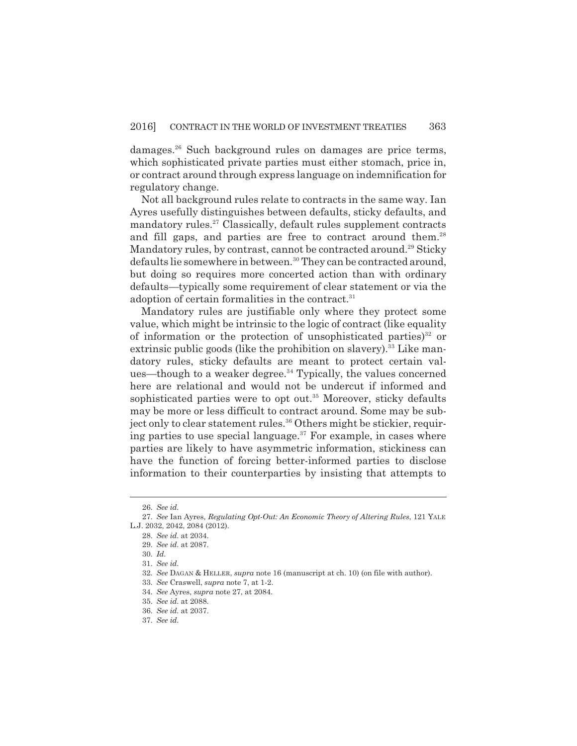damages.<sup>26</sup> Such background rules on damages are price terms, which sophisticated private parties must either stomach, price in, or contract around through express language on indemnification for regulatory change.

Not all background rules relate to contracts in the same way. Ian Ayres usefully distinguishes between defaults, sticky defaults, and mandatory rules.<sup>27</sup> Classically, default rules supplement contracts and fill gaps, and parties are free to contract around them.<sup>28</sup> Mandatory rules, by contrast, cannot be contracted around.<sup>29</sup> Sticky defaults lie somewhere in between.<sup>30</sup> They can be contracted around, but doing so requires more concerted action than with ordinary defaults—typically some requirement of clear statement or via the adoption of certain formalities in the contract.<sup>31</sup>

Mandatory rules are justifiable only where they protect some value, which might be intrinsic to the logic of contract (like equality of information or the protection of unsophisticated parties)<sup>32</sup> or extrinsic public goods (like the prohibition on slavery).<sup>33</sup> Like mandatory rules, sticky defaults are meant to protect certain values—though to a weaker degree.<sup>34</sup> Typically, the values concerned here are relational and would not be undercut if informed and sophisticated parties were to opt out.<sup>35</sup> Moreover, sticky defaults may be more or less difficult to contract around. Some may be subject only to clear statement rules.<sup>36</sup> Others might be stickier, requiring parties to use special language.<sup>37</sup> For example, in cases where parties are likely to have asymmetric information, stickiness can have the function of forcing better-informed parties to disclose information to their counterparties by insisting that attempts to

<sup>26.</sup> *See id.*

<sup>27.</sup> *See* Ian Ayres, *Regulating Opt-Out: An Economic Theory of Altering Rules*, 121 YALE L.J. 2032, 2042, 2084 (2012).

<sup>28.</sup> *See id.* at 2034.

<sup>29.</sup> *See id.* at 2087.

<sup>30.</sup> *Id.*

<sup>31.</sup> *See id.*

<sup>32.</sup> *See* DAGAN & HELLER, *supra* note 16 (manuscript at ch. 10) (on file with author).

<sup>33.</sup> *See* Craswell, *supra* note 7, at 1-2.

<sup>34.</sup> *See* Ayres, *supra* note 27, at 2084.

<sup>35.</sup> *See id.* at 2088.

<sup>36.</sup> *See id.* at 2037.

<sup>37.</sup> *See id.*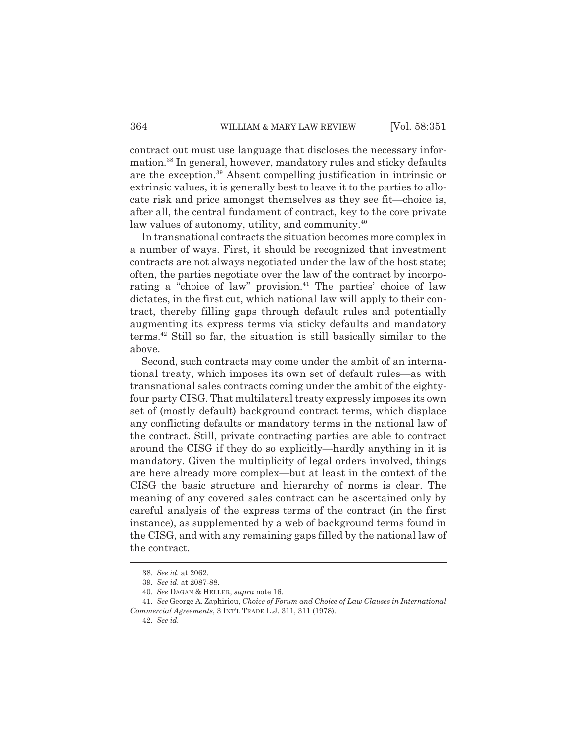contract out must use language that discloses the necessary information.<sup>38</sup> In general, however, mandatory rules and sticky defaults are the exception.<sup>39</sup> Absent compelling justification in intrinsic or extrinsic values, it is generally best to leave it to the parties to allocate risk and price amongst themselves as they see fit—choice is, after all, the central fundament of contract, key to the core private law values of autonomy, utility, and community.<sup>40</sup>

In transnational contracts the situation becomes more complex in a number of ways. First, it should be recognized that investment contracts are not always negotiated under the law of the host state; often, the parties negotiate over the law of the contract by incorporating a "choice of law" provision.<sup>41</sup> The parties' choice of law dictates, in the first cut, which national law will apply to their contract, thereby filling gaps through default rules and potentially augmenting its express terms via sticky defaults and mandatory terms.<sup>42</sup> Still so far, the situation is still basically similar to the above.

Second, such contracts may come under the ambit of an international treaty, which imposes its own set of default rules—as with transnational sales contracts coming under the ambit of the eightyfour party CISG. That multilateral treaty expressly imposes its own set of (mostly default) background contract terms, which displace any conflicting defaults or mandatory terms in the national law of the contract. Still, private contracting parties are able to contract around the CISG if they do so explicitly—hardly anything in it is mandatory. Given the multiplicity of legal orders involved, things are here already more complex—but at least in the context of the CISG the basic structure and hierarchy of norms is clear. The meaning of any covered sales contract can be ascertained only by careful analysis of the express terms of the contract (in the first instance), as supplemented by a web of background terms found in the CISG, and with any remaining gaps filled by the national law of the contract.

<sup>38.</sup> *See id.* at 2062.

<sup>39.</sup> *See id.* at 2087-88.

<sup>40.</sup> *See* DAGAN & HELLER, *supra* note 16.

<sup>41.</sup> *See* George A. Zaphiriou, *Choice of Forum and Choice of Law Clauses in International Commercial Agreements*, 3 INT'L TRADE L.J. 311, 311 (1978).

<sup>42.</sup> *See id.*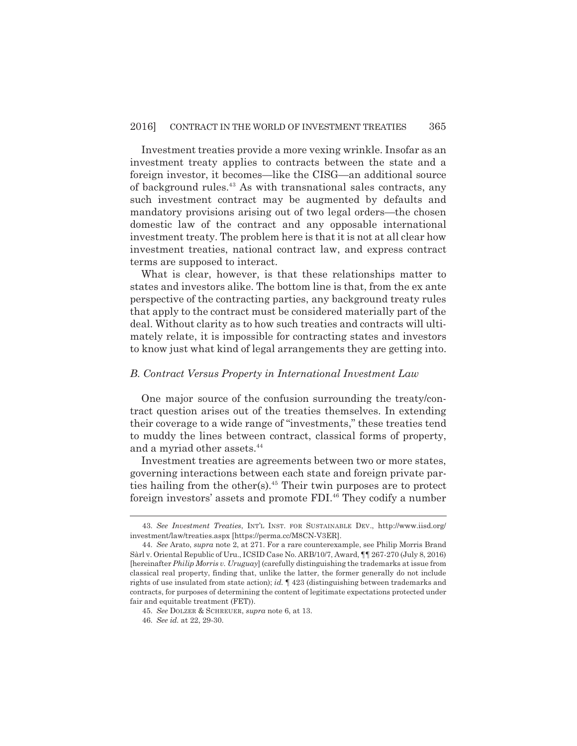Investment treaties provide a more vexing wrinkle. Insofar as an investment treaty applies to contracts between the state and a foreign investor, it becomes—like the CISG—an additional source of background rules.<sup>43</sup> As with transnational sales contracts, any such investment contract may be augmented by defaults and mandatory provisions arising out of two legal orders—the chosen domestic law of the contract and any opposable international investment treaty. The problem here is that it is not at all clear how investment treaties, national contract law, and express contract terms are supposed to interact.

What is clear, however, is that these relationships matter to states and investors alike. The bottom line is that, from the ex ante perspective of the contracting parties, any background treaty rules that apply to the contract must be considered materially part of the deal. Without clarity as to how such treaties and contracts will ultimately relate, it is impossible for contracting states and investors to know just what kind of legal arrangements they are getting into.

#### *B. Contract Versus Property in International Investment Law*

One major source of the confusion surrounding the treaty/contract question arises out of the treaties themselves. In extending their coverage to a wide range of "investments," these treaties tend to muddy the lines between contract, classical forms of property, and a myriad other assets.<sup>44</sup>

Investment treaties are agreements between two or more states, governing interactions between each state and foreign private parties hailing from the other(s). $45$  Their twin purposes are to protect foreign investors' assets and promote FDI.<sup>46</sup> They codify a number

<sup>43.</sup> *See Investment Treaties*, INT'L INST. FOR SUSTAINABLE DEV., http://www.iisd.org/ investment/law/treaties.aspx [https://perma.cc/M8CN-V3ER].

<sup>44.</sup> *See* Arato, *supra* note 2, at 271. For a rare counterexample, see Philip Morris Brand Sàrl v. Oriental Republic of Uru., ICSID Case No. ARB/10/7, Award, ¶¶ 267-270 (July 8, 2016) [hereinafter *Philip Morris v. Uruguay*] (carefully distinguishing the trademarks at issue from classical real property, finding that, unlike the latter, the former generally do not include rights of use insulated from state action); *id.* ¶ 423 (distinguishing between trademarks and contracts, for purposes of determining the content of legitimate expectations protected under fair and equitable treatment (FET)).

<sup>45.</sup> *See* DOLZER & SCHREUER, *supra* note 6, at 13.

<sup>46.</sup> *See id.* at 22, 29-30.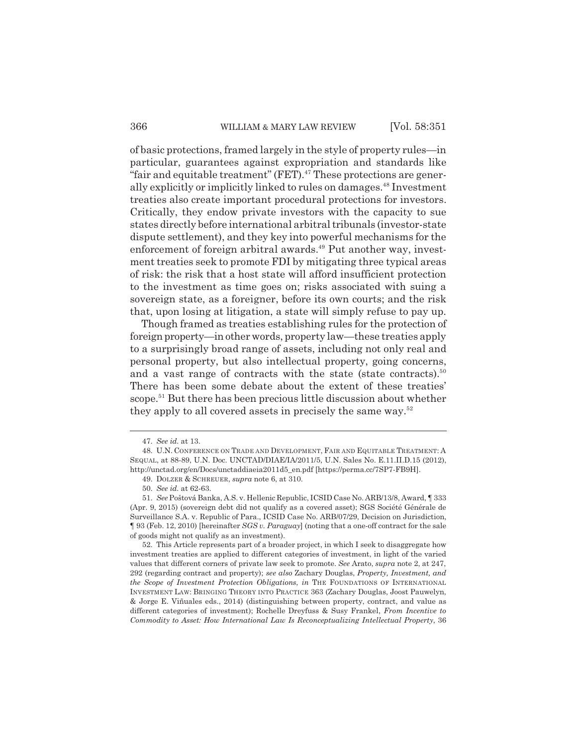of basic protections, framed largely in the style of property rules—in particular, guarantees against expropriation and standards like "fair and equitable treatment" (FET). $47$  These protections are generally explicitly or implicitly linked to rules on damages.<sup>48</sup> Investment treaties also create important procedural protections for investors. Critically, they endow private investors with the capacity to sue states directly before international arbitral tribunals (investor-state dispute settlement), and they key into powerful mechanisms for the enforcement of foreign arbitral awards.<sup>49</sup> Put another way, investment treaties seek to promote FDI by mitigating three typical areas of risk: the risk that a host state will afford insufficient protection to the investment as time goes on; risks associated with suing a sovereign state, as a foreigner, before its own courts; and the risk that, upon losing at litigation, a state will simply refuse to pay up.

Though framed as treaties establishing rules for the protection of foreign property—in other words, property law—these treaties apply to a surprisingly broad range of assets, including not only real and personal property, but also intellectual property, going concerns, and a vast range of contracts with the state (state contracts).<sup>50</sup> There has been some debate about the extent of these treaties' scope.<sup>51</sup> But there has been precious little discussion about whether they apply to all covered assets in precisely the same way.<sup>52</sup>

<sup>47.</sup> *See id.* at 13.

<sup>48.</sup> U.N. CONFERENCE ON TRADE AND DEVELOPMENT, FAIR AND EQUITABLE TREATMENT: A SEQUAL, at 88-89, U.N. Doc. UNCTAD/DIAE/IA/2011/5, U.N. Sales No. E.11.II.D.15 (2012), http://unctad.org/en/Docs/unctaddiaeia2011d5\_en.pdf [https://perma.cc/7SP7-FB9H].

<sup>49.</sup> DOLZER & SCHREUER, *supra* note 6, at 310.

<sup>50.</sup> *See id.* at 62-63.

<sup>51.</sup> *See* Poštová Banka, A.S. v. Hellenic Republic, ICSID Case No. ARB/13/8, Award, ¶ 333 (Apr. 9, 2015) (sovereign debt did not qualify as a covered asset); SGS Société Générale de Surveillance S.A. v. Republic of Para., ICSID Case No. ARB/07/29, Decision on Jurisdiction, ¶ 93 (Feb. 12, 2010) [hereinafter *SGS v. Paraguay*] (noting that a one-off contract for the sale of goods might not qualify as an investment).

<sup>52.</sup> This Article represents part of a broader project, in which I seek to disaggregate how investment treaties are applied to different categories of investment, in light of the varied values that different corners of private law seek to promote. *See* Arato, *supra* note 2, at 247, 292 (regarding contract and property); *see also* Zachary Douglas, *Property, Investment, and the Scope of Investment Protection Obligations*, *in* THE FOUNDATIONS OF INTERNATIONAL INVESTMENT LAW: BRINGING THEORY INTO PRACTICE 363 (Zachary Douglas, Joost Pauwelyn, & Jorge E. Viñuales eds., 2014) (distinguishing between property, contract, and value as different categories of investment); Rochelle Dreyfuss & Susy Frankel, *From Incentive to Commodity to Asset: How International Law Is Reconceptualizing Intellectual Property*, 36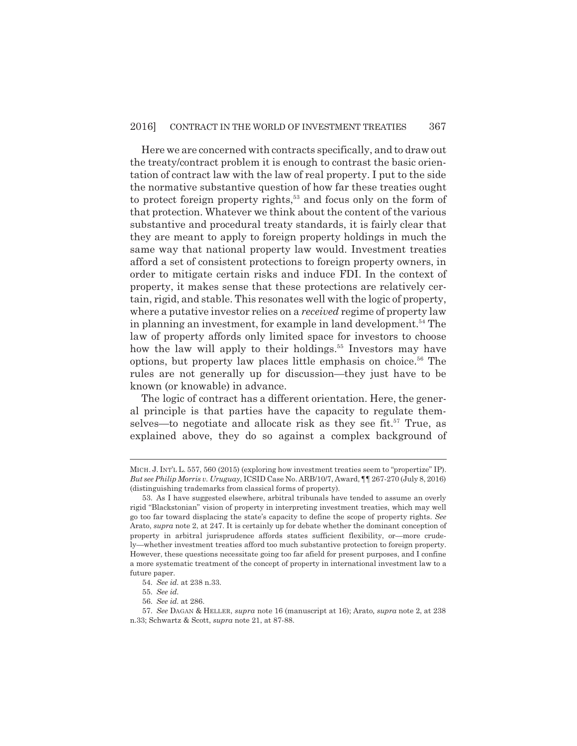Here we are concerned with contracts specifically, and to draw out the treaty/contract problem it is enough to contrast the basic orientation of contract law with the law of real property. I put to the side the normative substantive question of how far these treaties ought to protect foreign property rights,<sup>53</sup> and focus only on the form of that protection. Whatever we think about the content of the various substantive and procedural treaty standards, it is fairly clear that they are meant to apply to foreign property holdings in much the same way that national property law would. Investment treaties afford a set of consistent protections to foreign property owners, in order to mitigate certain risks and induce FDI. In the context of property, it makes sense that these protections are relatively certain, rigid, and stable. This resonates well with the logic of property, where a putative investor relies on a *received* regime of property law in planning an investment, for example in land development.<sup>54</sup> The law of property affords only limited space for investors to choose how the law will apply to their holdings.<sup>55</sup> Investors may have options, but property law places little emphasis on choice.<sup>56</sup> The rules are not generally up for discussion—they just have to be known (or knowable) in advance.

The logic of contract has a different orientation. Here, the general principle is that parties have the capacity to regulate themselves—to negotiate and allocate risk as they see fit.<sup>57</sup> True, as explained above, they do so against a complex background of

MICH. J. INT'L L. 557, 560 (2015) (exploring how investment treaties seem to "propertize" IP). *But see Philip Morris v. Uruguay*, ICSID Case No. ARB/10/7, Award, ¶¶ 267-270 (July 8, 2016) (distinguishing trademarks from classical forms of property).

<sup>53.</sup> As I have suggested elsewhere, arbitral tribunals have tended to assume an overly rigid "Blackstonian" vision of property in interpreting investment treaties, which may well go too far toward displacing the state's capacity to define the scope of property rights. *See* Arato, *supra* note 2, at 247. It is certainly up for debate whether the dominant conception of property in arbitral jurisprudence affords states sufficient flexibility, or—more crudely—whether investment treaties afford too much substantive protection to foreign property. However, these questions necessitate going too far afield for present purposes, and I confine a more systematic treatment of the concept of property in international investment law to a future paper.

<sup>54.</sup> *See id.* at 238 n.33.

<sup>55.</sup> *See id.*

<sup>56.</sup> *See id.* at 286.

<sup>57.</sup> *See* DAGAN & HELLER, *supra* note 16 (manuscript at 16); Arato*, supra* note 2, at 238 n.33; Schwartz & Scott, *supra* note 21, at 87-88.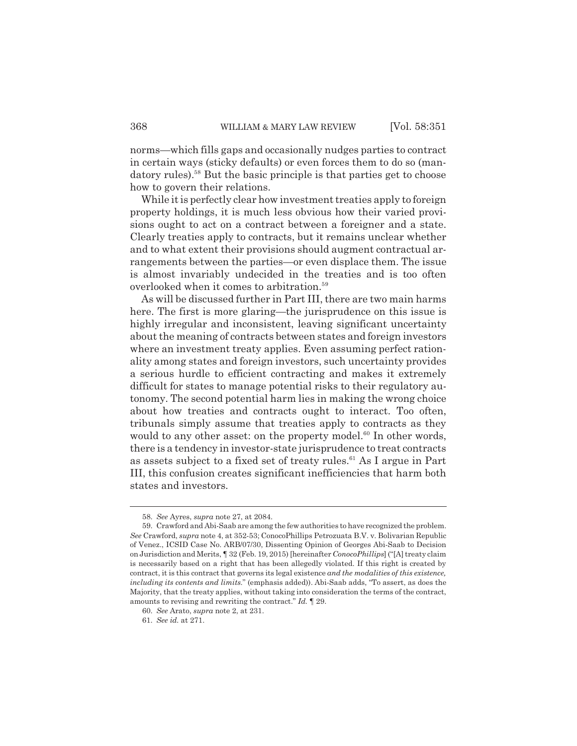norms—which fills gaps and occasionally nudges parties to contract in certain ways (sticky defaults) or even forces them to do so (mandatory rules).<sup>58</sup> But the basic principle is that parties get to choose how to govern their relations.

While it is perfectly clear how investment treaties apply to foreign property holdings, it is much less obvious how their varied provisions ought to act on a contract between a foreigner and a state. Clearly treaties apply to contracts, but it remains unclear whether and to what extent their provisions should augment contractual arrangements between the parties—or even displace them. The issue is almost invariably undecided in the treaties and is too often overlooked when it comes to arbitration.<sup>59</sup>

As will be discussed further in Part III, there are two main harms here. The first is more glaring—the jurisprudence on this issue is highly irregular and inconsistent, leaving significant uncertainty about the meaning of contracts between states and foreign investors where an investment treaty applies. Even assuming perfect rationality among states and foreign investors, such uncertainty provides a serious hurdle to efficient contracting and makes it extremely difficult for states to manage potential risks to their regulatory autonomy. The second potential harm lies in making the wrong choice about how treaties and contracts ought to interact. Too often, tribunals simply assume that treaties apply to contracts as they would to any other asset: on the property model. $60$  In other words, there is a tendency in investor-state jurisprudence to treat contracts as assets subject to a fixed set of treaty rules. $61$  As I argue in Part III, this confusion creates significant inefficiencies that harm both states and investors.

<sup>58.</sup> *See* Ayres, *supra* note 27, at 2084.

<sup>59.</sup> Crawford and Abi-Saab are among the few authorities to have recognized the problem. *See* Crawford, *supra* note 4, at 352-53; ConocoPhillips Petrozuata B.V. v. Bolivarian Republic of Venez., ICSID Case No. ARB/07/30, Dissenting Opinion of Georges Abi-Saab to Decision on Jurisdiction and Merits, ¶ 32 (Feb. 19, 2015) [hereinafter *ConocoPhillips*] ("[A] treaty claim is necessarily based on a right that has been allegedly violated. If this right is created by contract, it is this contract that governs its legal existence *and the modalities of this existence, including its contents and limits*." (emphasis added)). Abi-Saab adds, "To assert, as does the Majority, that the treaty applies, without taking into consideration the terms of the contract, amounts to revising and rewriting the contract." *Id.* ¶ 29.

<sup>60.</sup> *See* Arato, *supra* note 2, at 231.

<sup>61.</sup> *See id.* at 271.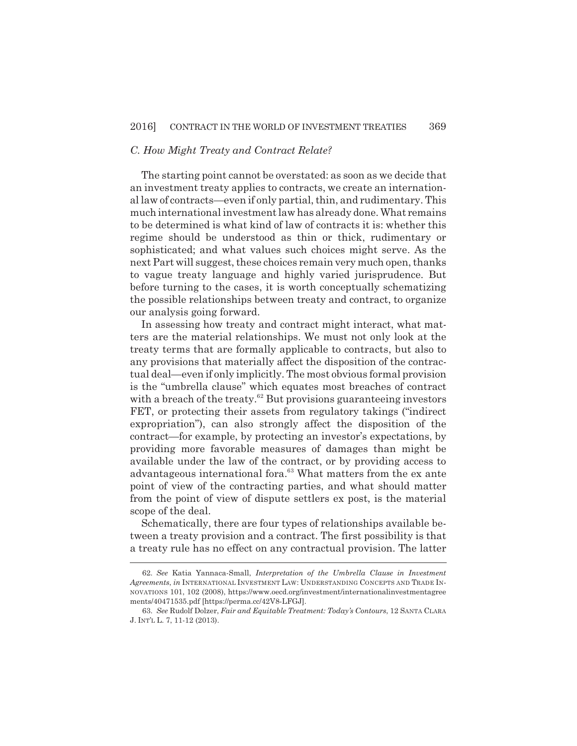## *C. How Might Treaty and Contract Relate?*

The starting point cannot be overstated: as soon as we decide that an investment treaty applies to contracts, we create an international law of contracts—even if only partial, thin, and rudimentary. This much international investment law has already done. What remains to be determined is what kind of law of contracts it is: whether this regime should be understood as thin or thick, rudimentary or sophisticated; and what values such choices might serve. As the next Part will suggest, these choices remain very much open, thanks to vague treaty language and highly varied jurisprudence. But before turning to the cases, it is worth conceptually schematizing the possible relationships between treaty and contract, to organize our analysis going forward.

In assessing how treaty and contract might interact, what matters are the material relationships. We must not only look at the treaty terms that are formally applicable to contracts, but also to any provisions that materially affect the disposition of the contractual deal—even if only implicitly. The most obvious formal provision is the "umbrella clause" which equates most breaches of contract with a breach of the treaty. $62$  But provisions guaranteeing investors FET, or protecting their assets from regulatory takings ("indirect expropriation"), can also strongly affect the disposition of the contract—for example, by protecting an investor's expectations, by providing more favorable measures of damages than might be available under the law of the contract, or by providing access to advantageous international fora.<sup>63</sup> What matters from the ex ante point of view of the contracting parties, and what should matter from the point of view of dispute settlers ex post, is the material scope of the deal.

Schematically, there are four types of relationships available between a treaty provision and a contract. The first possibility is that a treaty rule has no effect on any contractual provision. The latter

<sup>62.</sup> *See* Katia Yannaca-Small, *Interpretation of the Umbrella Clause in Investment Agreements*, *in* INTERNATIONAL INVESTMENT LAW: UNDERSTANDING CONCEPTS AND TRADE IN-NOVATIONS 101, 102 (2008), https://www.oecd.org/investment/internationalinvestmentagree ments/40471535.pdf [https://perma.cc/42V8-LFGJ].

<sup>63.</sup> *See* Rudolf Dolzer, *Fair and Equitable Treatment: Today's Contours*, 12 SANTA CLARA J. INT'L L. 7, 11-12 (2013).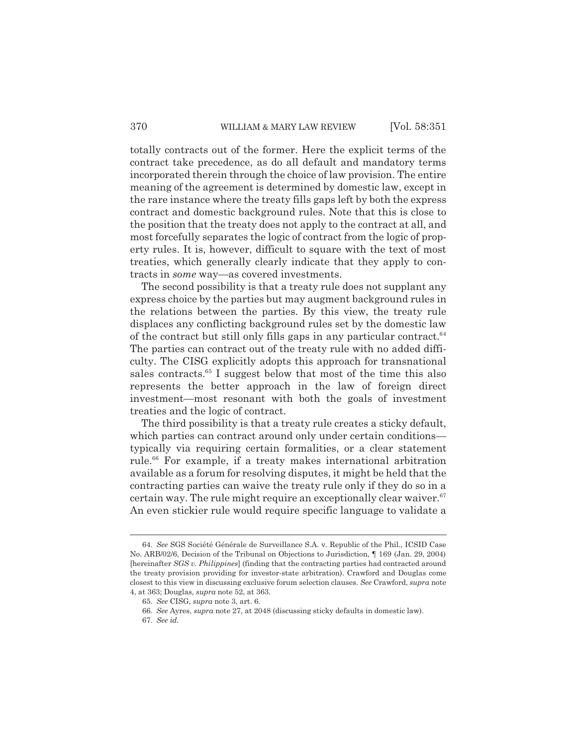totally contracts out of the former. Here the explicit terms of the contract take precedence, as do all default and mandatory terms incorporated therein through the choice of law provision. The entire meaning of the agreement is determined by domestic law, except in the rare instance where the treaty fills gaps left by both the express contract and domestic background rules. Note that this is close to the position that the treaty does not apply to the contract at all, and most forcefully separates the logic of contract from the logic of property rules. It is, however, difficult to square with the text of most treaties, which generally clearly indicate that they apply to contracts in *some* way—as covered investments.

The second possibility is that a treaty rule does not supplant any express choice by the parties but may augment background rules in the relations between the parties. By this view, the treaty rule displaces any conflicting background rules set by the domestic law of the contract but still only fills gaps in any particular contract.  $64$ The parties can contract out of the treaty rule with no added difficulty. The CISG explicitly adopts this approach for transnational sales contracts.<sup>65</sup> I suggest below that most of the time this also represents the better approach in the law of foreign direct investment—most resonant with both the goals of investment treaties and the logic of contract.

The third possibility is that a treaty rule creates a sticky default, which parties can contract around only under certain conditions typically via requiring certain formalities, or a clear statement rule.<sup>66</sup> For example, if a treaty makes international arbitration available as a forum for resolving disputes, it might be held that the contracting parties can waive the treaty rule only if they do so in a certain way. The rule might require an exceptionally clear waiver.  $67$ An even stickier rule would require specific language to validate a

<sup>64.</sup> *See* SGS Société Générale de Surveillance S.A. v. Republic of the Phil., ICSID Case No. ARB/02/6, Decision of the Tribunal on Objections to Jurisdiction, ¶ 169 (Jan. 29, 2004) [hereinafter *SGS v. Philippines*] (finding that the contracting parties had contracted around the treaty provision providing for investor-state arbitration). Crawford and Douglas come closest to this view in discussing exclusive forum selection clauses. *See* Crawford, *supra* note 4, at 363; Douglas, *supra* note 52, at 363.

<sup>65.</sup> *See* CISG, *supra* note 3, art. 6.

<sup>66.</sup> *See* Ayres, *supra* note 27, at 2048 (discussing sticky defaults in domestic law).

<sup>67.</sup> *See id.*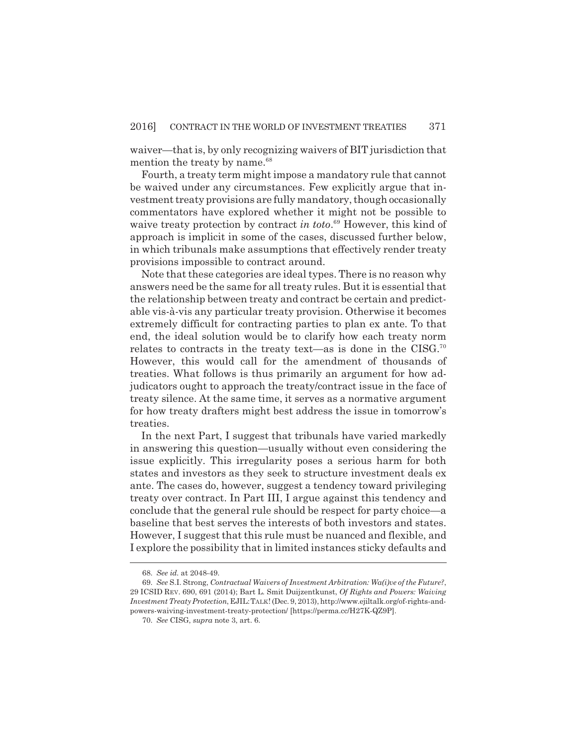waiver—that is, by only recognizing waivers of BIT jurisdiction that mention the treaty by name.<sup>68</sup>

Fourth, a treaty term might impose a mandatory rule that cannot be waived under any circumstances. Few explicitly argue that investment treaty provisions are fully mandatory, though occasionally commentators have explored whether it might not be possible to waive treaty protection by contract *in toto*. <sup>69</sup> However, this kind of approach is implicit in some of the cases, discussed further below, in which tribunals make assumptions that effectively render treaty provisions impossible to contract around.

Note that these categories are ideal types. There is no reason why answers need be the same for all treaty rules. But it is essential that the relationship between treaty and contract be certain and predictable vis-à-vis any particular treaty provision. Otherwise it becomes extremely difficult for contracting parties to plan ex ante. To that end, the ideal solution would be to clarify how each treaty norm relates to contracts in the treaty text—as is done in the CISG.<sup>70</sup> However, this would call for the amendment of thousands of treaties. What follows is thus primarily an argument for how adjudicators ought to approach the treaty/contract issue in the face of treaty silence. At the same time, it serves as a normative argument for how treaty drafters might best address the issue in tomorrow's treaties.

In the next Part, I suggest that tribunals have varied markedly in answering this question—usually without even considering the issue explicitly. This irregularity poses a serious harm for both states and investors as they seek to structure investment deals ex ante. The cases do, however, suggest a tendency toward privileging treaty over contract. In Part III, I argue against this tendency and conclude that the general rule should be respect for party choice—a baseline that best serves the interests of both investors and states. However, I suggest that this rule must be nuanced and flexible, and I explore the possibility that in limited instances sticky defaults and

<sup>68.</sup> *See id.* at 2048-49.

<sup>69.</sup> *See* S.I. Strong, *Contractual Waivers of Investment Arbitration: Wa(i)ve of the Future?*, 29 ICSID REV. 690, 691 (2014); Bart L. Smit Duijzentkunst, *Of Rights and Powers: Waiving Investment Treaty Protection*, EJIL:TALK! (Dec. 9, 2013), http://www.ejiltalk.org/of-rights-andpowers-waiving-investment-treaty-protection/ [https://perma.cc/H27K-QZ9P].

<sup>70.</sup> *See* CISG, *supra* note 3, art. 6.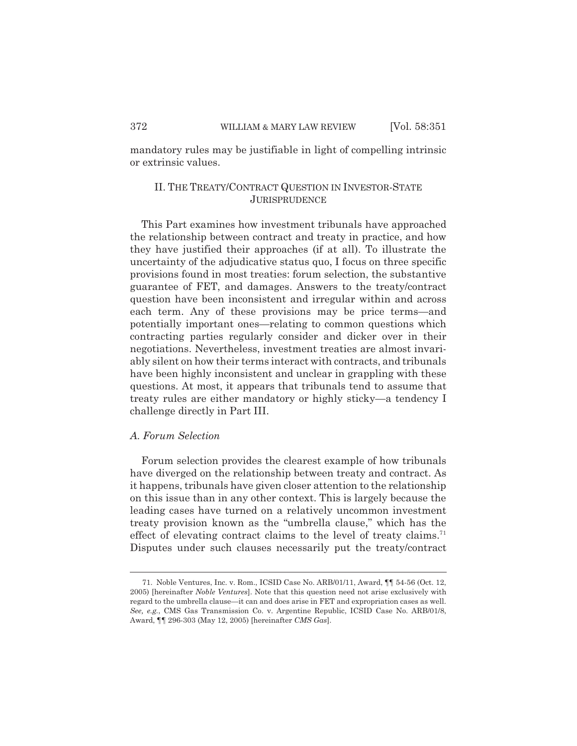mandatory rules may be justifiable in light of compelling intrinsic or extrinsic values.

# II. THE TREATY/CONTRACT QUESTION IN INVESTOR-STATE **JURISPRUDENCE**

This Part examines how investment tribunals have approached the relationship between contract and treaty in practice, and how they have justified their approaches (if at all). To illustrate the uncertainty of the adjudicative status quo, I focus on three specific provisions found in most treaties: forum selection, the substantive guarantee of FET, and damages. Answers to the treaty/contract question have been inconsistent and irregular within and across each term. Any of these provisions may be price terms—and potentially important ones—relating to common questions which contracting parties regularly consider and dicker over in their negotiations. Nevertheless, investment treaties are almost invariably silent on how their terms interact with contracts, and tribunals have been highly inconsistent and unclear in grappling with these questions. At most, it appears that tribunals tend to assume that treaty rules are either mandatory or highly sticky—a tendency I challenge directly in Part III.

# *A. Forum Selection*

Forum selection provides the clearest example of how tribunals have diverged on the relationship between treaty and contract. As it happens, tribunals have given closer attention to the relationship on this issue than in any other context. This is largely because the leading cases have turned on a relatively uncommon investment treaty provision known as the "umbrella clause," which has the effect of elevating contract claims to the level of treaty claims.<sup>71</sup> Disputes under such clauses necessarily put the treaty/contract

<sup>71.</sup> Noble Ventures, Inc. v. Rom., ICSID Case No. ARB/01/11, Award, ¶¶ 54-56 (Oct. 12, 2005) [hereinafter *Noble Ventures*]. Note that this question need not arise exclusively with regard to the umbrella clause—it can and does arise in FET and expropriation cases as well. *See, e.g.*, CMS Gas Transmission Co. v. Argentine Republic, ICSID Case No. ARB/01/8, Award, ¶¶ 296-303 (May 12, 2005) [hereinafter *CMS Gas*].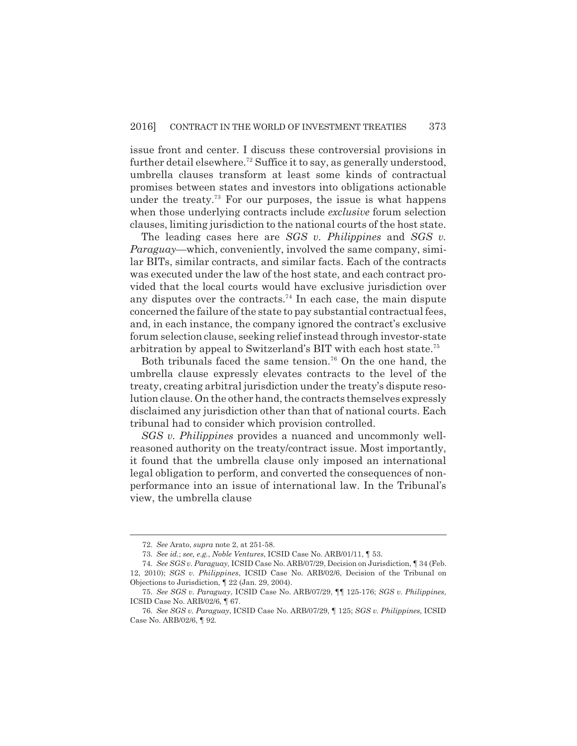issue front and center. I discuss these controversial provisions in further detail elsewhere.<sup>72</sup> Suffice it to say, as generally understood, umbrella clauses transform at least some kinds of contractual promises between states and investors into obligations actionable under the treaty.<sup>73</sup> For our purposes, the issue is what happens when those underlying contracts include *exclusive* forum selection clauses, limiting jurisdiction to the national courts of the host state.

The leading cases here are *SGS v. Philippines* and *SGS v. Paraguay—*which, conveniently, involved the same company, similar BITs, similar contracts, and similar facts. Each of the contracts was executed under the law of the host state, and each contract provided that the local courts would have exclusive jurisdiction over any disputes over the contracts.<sup>74</sup> In each case, the main dispute concerned the failure of the state to pay substantial contractual fees, and, in each instance, the company ignored the contract's exclusive forum selection clause, seeking relief instead through investor-state arbitration by appeal to Switzerland's BIT with each host state.<sup>75</sup>

Both tribunals faced the same tension.<sup>76</sup> On the one hand, the umbrella clause expressly elevates contracts to the level of the treaty, creating arbitral jurisdiction under the treaty's dispute resolution clause. On the other hand, the contracts themselves expressly disclaimed any jurisdiction other than that of national courts. Each tribunal had to consider which provision controlled.

*SGS v. Philippines* provides a nuanced and uncommonly wellreasoned authority on the treaty/contract issue. Most importantly, it found that the umbrella clause only imposed an international legal obligation to perform, and converted the consequences of nonperformance into an issue of international law. In the Tribunal's view, the umbrella clause

<sup>72.</sup> *See* Arato, *supra* note 2, at 251-58.

<sup>73.</sup> *See id.*; *see, e.g.*, *Noble Ventures*, ICSID Case No. ARB/01/11, ¶ 53.

<sup>74.</sup> *See SGS v. Paraguay*, ICSID Case No. ARB/07/29, Decision on Jurisdiction, ¶ 34 (Feb. 12, 2010); *SGS v. Philippines*, ICSID Case No. ARB/02/6, Decision of the Tribunal on Objections to Jurisdiction, ¶ 22 (Jan. 29, 2004).

<sup>75.</sup> *See SGS v. Paraguay*, ICSID Case No. ARB/07/29, ¶¶ 125-176; *SGS v. Philippines*, ICSID Case No. ARB/02/6, ¶ 67.

<sup>76.</sup> *See SGS v. Paraguay*, ICSID Case No. ARB/07/29, ¶ 125; *SGS v. Philippines*, ICSID Case No. ARB/02/6, ¶ 92.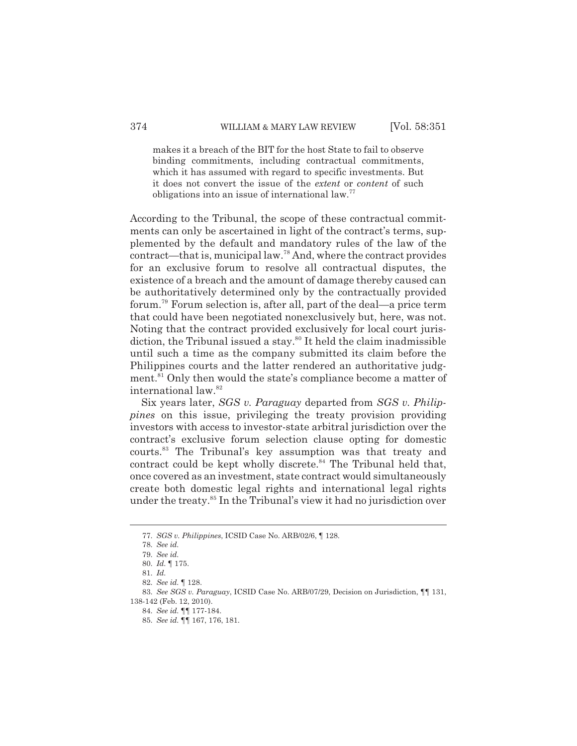makes it a breach of the BIT for the host State to fail to observe binding commitments, including contractual commitments, which it has assumed with regard to specific investments. But it does not convert the issue of the *extent* or *content* of such obligations into an issue of international law.<sup>77</sup>

According to the Tribunal, the scope of these contractual commitments can only be ascertained in light of the contract's terms, supplemented by the default and mandatory rules of the law of the contract—that is, municipal law.<sup>78</sup> And, where the contract provides for an exclusive forum to resolve all contractual disputes, the existence of a breach and the amount of damage thereby caused can be authoritatively determined only by the contractually provided forum.<sup>79</sup> Forum selection is, after all, part of the deal—a price term that could have been negotiated nonexclusively but, here, was not. Noting that the contract provided exclusively for local court jurisdiction, the Tribunal issued a stay. $80$  It held the claim inadmissible until such a time as the company submitted its claim before the Philippines courts and the latter rendered an authoritative judgment.<sup>81</sup> Only then would the state's compliance become a matter of international law.<sup>82</sup>

Six years later, *SGS v. Paraguay* departed from *SGS v. Philippines* on this issue, privileging the treaty provision providing investors with access to investor-state arbitral jurisdiction over the contract's exclusive forum selection clause opting for domestic courts.<sup>83</sup> The Tribunal's key assumption was that treaty and contract could be kept wholly discrete.<sup>84</sup> The Tribunal held that, once covered as an investment, state contract would simultaneously create both domestic legal rights and international legal rights under the treaty.<sup>85</sup> In the Tribunal's view it had no jurisdiction over

<sup>77.</sup> *SGS v. Philippines*, ICSID Case No. ARB/02/6, ¶ 128.

<sup>78.</sup> *See id.*

<sup>79.</sup> *See id.*

<sup>80.</sup> *Id.* ¶ 175.

<sup>81.</sup> *Id.*

<sup>82.</sup> *See id.* ¶ 128.

<sup>83.</sup> *See SGS v. Paraguay*, ICSID Case No. ARB/07/29, Decision on Jurisdiction, ¶¶ 131, 138-142 (Feb. 12, 2010).

<sup>84.</sup> *See id.* ¶¶ 177-184.

<sup>85.</sup> *See id.* ¶¶ 167, 176, 181.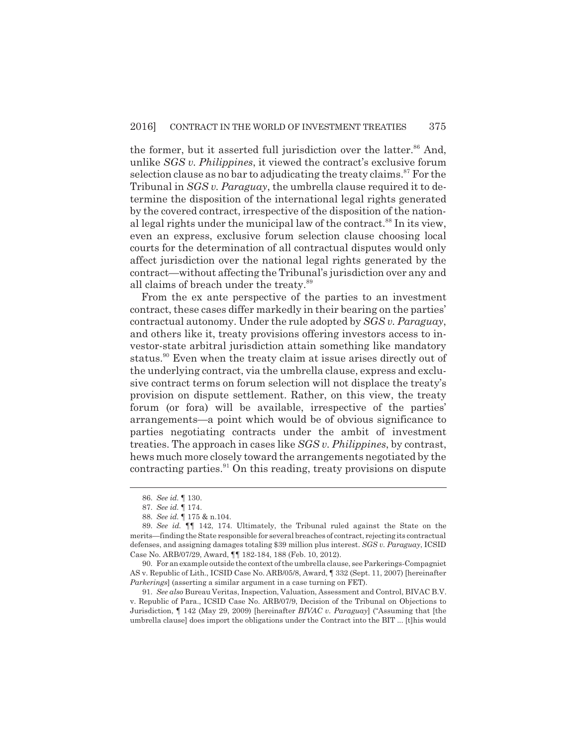the former, but it asserted full jurisdiction over the latter.<sup>86</sup> And, unlike *SGS v. Philippines*, it viewed the contract's exclusive forum selection clause as no bar to adjudicating the treaty claims.<sup>87</sup> For the Tribunal in *SGS v. Paraguay*, the umbrella clause required it to determine the disposition of the international legal rights generated by the covered contract, irrespective of the disposition of the national legal rights under the municipal law of the contract.<sup>88</sup> In its view, even an express, exclusive forum selection clause choosing local courts for the determination of all contractual disputes would only affect jurisdiction over the national legal rights generated by the contract—without affecting the Tribunal's jurisdiction over any and all claims of breach under the treaty.<sup>89</sup>

From the ex ante perspective of the parties to an investment contract, these cases differ markedly in their bearing on the parties' contractual autonomy. Under the rule adopted by *SGS v. Paraguay*, and others like it, treaty provisions offering investors access to investor-state arbitral jurisdiction attain something like mandatory status.<sup>90</sup> Even when the treaty claim at issue arises directly out of the underlying contract, via the umbrella clause, express and exclusive contract terms on forum selection will not displace the treaty's provision on dispute settlement. Rather, on this view, the treaty forum (or fora) will be available, irrespective of the parties' arrangements—a point which would be of obvious significance to parties negotiating contracts under the ambit of investment treaties. The approach in cases like *SGS v. Philippines*, by contrast, hews much more closely toward the arrangements negotiated by the contracting parties.<sup>91</sup> On this reading, treaty provisions on dispute

<sup>86.</sup> *See id.* ¶ 130.

<sup>87.</sup> *See id.* ¶ 174.

<sup>88.</sup> *See id.* ¶ 175 & n.104.

<sup>89.</sup> *See id.* ¶¶ 142, 174. Ultimately, the Tribunal ruled against the State on the merits—finding the State responsible for several breaches of contract, rejecting its contractual defenses, and assigning damages totaling \$39 million plus interest. *SGS v. Paraguay*, ICSID Case No. ARB/07/29, Award, ¶¶ 182-184, 188 (Feb. 10, 2012).

<sup>90.</sup> For an example outside the context of the umbrella clause, see Parkerings-Compagniet AS v. Republic of Lith., ICSID Case No. ARB/05/8, Award, ¶ 332 (Sept. 11, 2007) [hereinafter *Parkerings*] (asserting a similar argument in a case turning on FET).

<sup>91.</sup> *See also* Bureau Veritas, Inspection, Valuation, Assessment and Control, BIVAC B.V. v. Republic of Para., ICSID Case No. ARB/07/9, Decision of the Tribunal on Objections to Jurisdiction, ¶ 142 (May 29, 2009) [hereinafter *BIVAC v. Paraguay*] ("Assuming that [the umbrella clause] does import the obligations under the Contract into the BIT ... [t]his would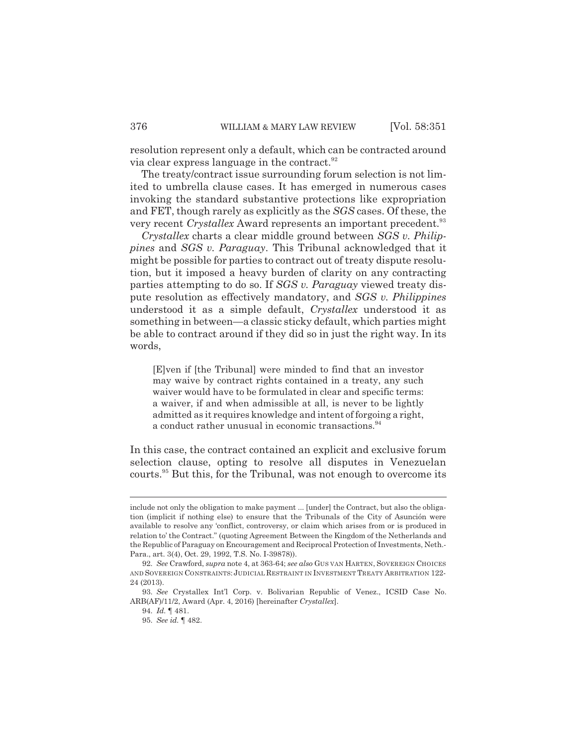resolution represent only a default, which can be contracted around via clear express language in the contract.<sup>92</sup>

The treaty/contract issue surrounding forum selection is not limited to umbrella clause cases. It has emerged in numerous cases invoking the standard substantive protections like expropriation and FET, though rarely as explicitly as the *SGS* cases. Of these, the very recent *Crystallex* Award represents an important precedent.<sup>93</sup>

*Crystallex* charts a clear middle ground between *SGS v. Philippines* and *SGS v. Paraguay*. This Tribunal acknowledged that it might be possible for parties to contract out of treaty dispute resolution, but it imposed a heavy burden of clarity on any contracting parties attempting to do so. If *SGS v. Paraguay* viewed treaty dispute resolution as effectively mandatory, and *SGS v. Philippines* understood it as a simple default, *Crystallex* understood it as something in between—a classic sticky default, which parties might be able to contract around if they did so in just the right way. In its words,

[E]ven if [the Tribunal] were minded to find that an investor may waive by contract rights contained in a treaty, any such waiver would have to be formulated in clear and specific terms: a waiver, if and when admissible at all, is never to be lightly admitted as it requires knowledge and intent of forgoing a right, a conduct rather unusual in economic transactions.<sup>94</sup>

In this case, the contract contained an explicit and exclusive forum selection clause, opting to resolve all disputes in Venezuelan courts.<sup>95</sup> But this, for the Tribunal, was not enough to overcome its

include not only the obligation to make payment ... [under] the Contract, but also the obligation (implicit if nothing else) to ensure that the Tribunals of the City of Asunción were available to resolve any 'conflict, controversy, or claim which arises from or is produced in relation to' the Contract." (quoting Agreement Between the Kingdom of the Netherlands and the Republic of Paraguay on Encouragement and Reciprocal Protection of Investments, Neth.- Para., art. 3(4), Oct. 29, 1992, T.S. No. I-39878)).

<sup>92.</sup> *See* Crawford, *supra* note 4, at 363-64; *see also* GUS VAN HARTEN, SOVEREIGN CHOICES AND SOVEREIGN CONSTRAINTS: JUDICIAL RESTRAINT IN INVESTMENT TREATY ARBITRATION 122- 24 (2013).

<sup>93.</sup> *See* Crystallex Int'l Corp. v. Bolivarian Republic of Venez., ICSID Case No. ARB(AF)/11/2, Award (Apr. 4, 2016) [hereinafter *Crystallex*].

<sup>94.</sup> *Id.* ¶ 481.

<sup>95.</sup> *See id.* ¶ 482.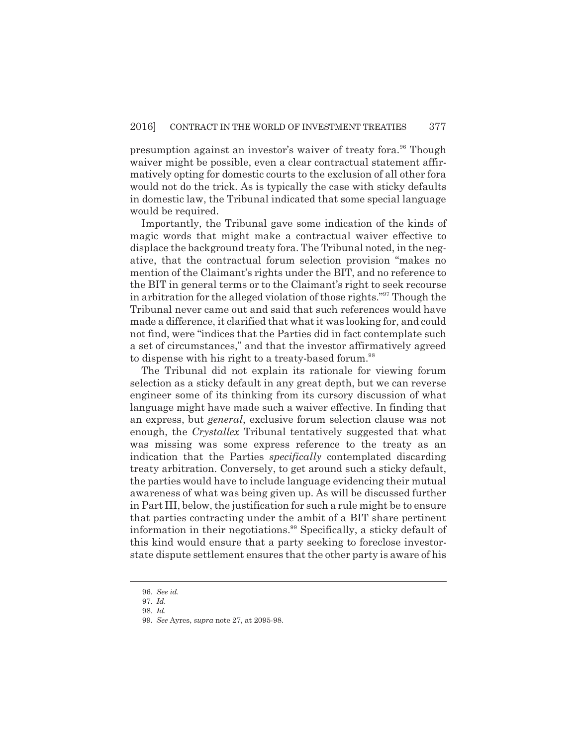presumption against an investor's waiver of treaty fora.<sup>96</sup> Though waiver might be possible, even a clear contractual statement affirmatively opting for domestic courts to the exclusion of all other fora would not do the trick. As is typically the case with sticky defaults in domestic law, the Tribunal indicated that some special language would be required.

Importantly, the Tribunal gave some indication of the kinds of magic words that might make a contractual waiver effective to displace the background treaty fora. The Tribunal noted, in the negative, that the contractual forum selection provision "makes no mention of the Claimant's rights under the BIT, and no reference to the BIT in general terms or to the Claimant's right to seek recourse in arbitration for the alleged violation of those rights."<sup>97</sup> Though the Tribunal never came out and said that such references would have made a difference, it clarified that what it was looking for, and could not find, were "indices that the Parties did in fact contemplate such a set of circumstances," and that the investor affirmatively agreed to dispense with his right to a treaty-based forum.<sup>98</sup>

The Tribunal did not explain its rationale for viewing forum selection as a sticky default in any great depth, but we can reverse engineer some of its thinking from its cursory discussion of what language might have made such a waiver effective. In finding that an express, but *general*, exclusive forum selection clause was not enough, the *Crystallex* Tribunal tentatively suggested that what was missing was some express reference to the treaty as an indication that the Parties *specifically* contemplated discarding treaty arbitration. Conversely, to get around such a sticky default, the parties would have to include language evidencing their mutual awareness of what was being given up. As will be discussed further in Part III, below, the justification for such a rule might be to ensure that parties contracting under the ambit of a BIT share pertinent information in their negotiations.<sup>99</sup> Specifically, a sticky default of this kind would ensure that a party seeking to foreclose investorstate dispute settlement ensures that the other party is aware of his

<sup>96.</sup> *See id.*

<sup>97.</sup> *Id.*

<sup>98.</sup> *Id.*

<sup>99.</sup> *See* Ayres, *supra* note 27, at 2095-98.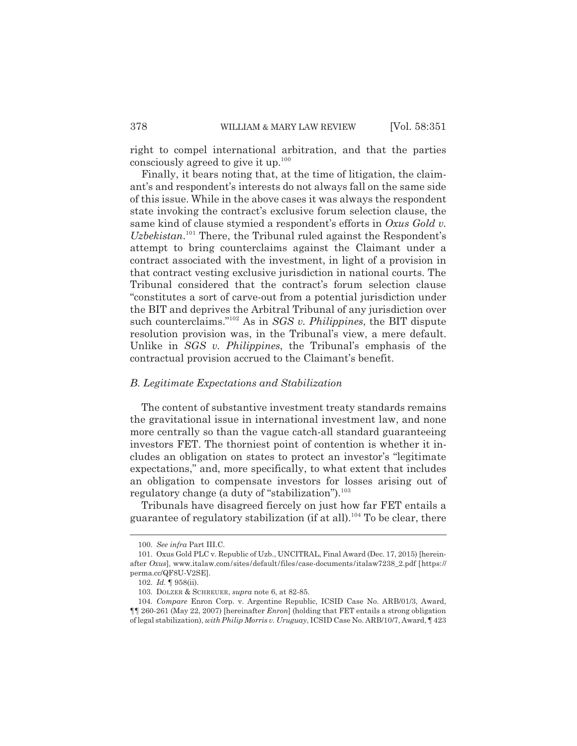right to compel international arbitration, and that the parties consciously agreed to give it up. $100$ 

Finally, it bears noting that, at the time of litigation, the claimant's and respondent's interests do not always fall on the same side of this issue. While in the above cases it was always the respondent state invoking the contract's exclusive forum selection clause, the same kind of clause stymied a respondent's efforts in *Oxus Gold v. Uzbekistan*. <sup>101</sup> There, the Tribunal ruled against the Respondent's attempt to bring counterclaims against the Claimant under a contract associated with the investment, in light of a provision in that contract vesting exclusive jurisdiction in national courts. The Tribunal considered that the contract's forum selection clause "constitutes a sort of carve-out from a potential jurisdiction under the BIT and deprives the Arbitral Tribunal of any jurisdiction over such counterclaims."<sup>102</sup> As in *SGS v. Philippines*, the BIT dispute resolution provision was, in the Tribunal's view, a mere default. Unlike in *SGS v. Philippines*, the Tribunal's emphasis of the contractual provision accrued to the Claimant's benefit.

#### *B. Legitimate Expectations and Stabilization*

The content of substantive investment treaty standards remains the gravitational issue in international investment law, and none more centrally so than the vague catch-all standard guaranteeing investors FET. The thorniest point of contention is whether it includes an obligation on states to protect an investor's "legitimate expectations," and, more specifically, to what extent that includes an obligation to compensate investors for losses arising out of regulatory change (a duty of "stabilization").<sup>103</sup>

Tribunals have disagreed fiercely on just how far FET entails a guarantee of regulatory stabilization (if at all).<sup>104</sup> To be clear, there

<sup>100.</sup> *See infra* Part III.C.

<sup>101.</sup> Oxus Gold PLC v. Republic of Uzb., UNCITRAL, Final Award (Dec. 17, 2015) [hereinafter *Oxus*], www.italaw.com/sites/default/files/case-documents/italaw7238\_2.pdf [https:// perma.cc/QF8U-V2SE].

<sup>102.</sup> *Id.* ¶ 958(ii).

<sup>103.</sup> DOLZER & SCHREUER, *supra* note 6, at 82-85.

<sup>104.</sup> *Compare* Enron Corp. v. Argentine Republic, ICSID Case No. ARB/01/3, Award, ¶¶ 260-261 (May 22, 2007) [hereinafter *Enron*] (holding that FET entails a strong obligation of legal stabilization), *with Philip Morris v. Uruguay*, ICSID Case No. ARB/10/7, Award, ¶ 423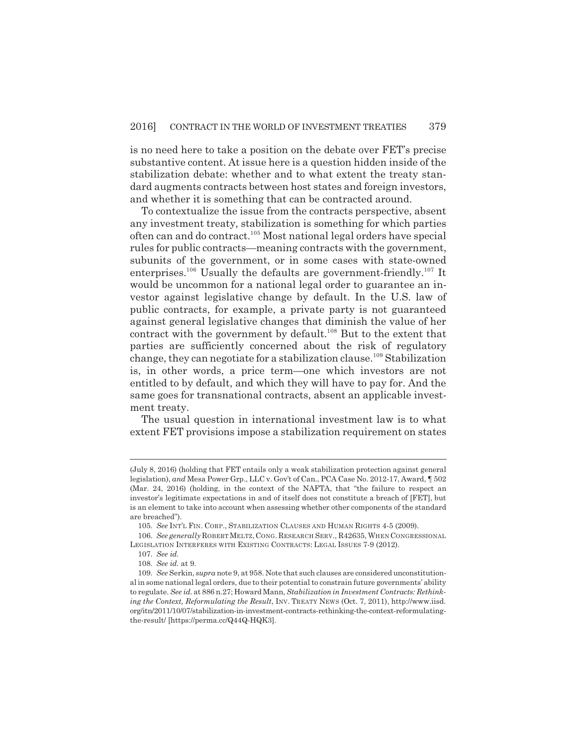is no need here to take a position on the debate over FET's precise substantive content. At issue here is a question hidden inside of the stabilization debate: whether and to what extent the treaty standard augments contracts between host states and foreign investors, and whether it is something that can be contracted around.

To contextualize the issue from the contracts perspective, absent any investment treaty, stabilization is something for which parties often can and do contract.<sup>105</sup> Most national legal orders have special rules for public contracts—meaning contracts with the government, subunits of the government, or in some cases with state-owned enterprises.<sup>106</sup> Usually the defaults are government-friendly.<sup>107</sup> It would be uncommon for a national legal order to guarantee an investor against legislative change by default. In the U.S. law of public contracts, for example, a private party is not guaranteed against general legislative changes that diminish the value of her contract with the government by default.<sup>108</sup> But to the extent that parties are sufficiently concerned about the risk of regulatory change, they can negotiate for a stabilization clause.<sup>109</sup> Stabilization is, in other words, a price term—one which investors are not entitled to by default, and which they will have to pay for. And the same goes for transnational contracts, absent an applicable investment treaty.

The usual question in international investment law is to what extent FET provisions impose a stabilization requirement on states

<sup>(</sup>July 8, 2016) (holding that FET entails only a weak stabilization protection against general legislation), *and* Mesa Power Grp., LLC v. Gov't of Can., PCA Case No. 2012-17, Award, ¶ 502 (Mar. 24, 2016) (holding, in the context of the NAFTA, that "the failure to respect an investor's legitimate expectations in and of itself does not constitute a breach of [FET], but is an element to take into account when assessing whether other components of the standard are breached").

<sup>105.</sup> *See* INT'L FIN. CORP., STABILIZATION CLAUSES AND HUMAN RIGHTS 4-5 (2009).

<sup>106.</sup> *See generally* ROBERT MELTZ,CONG.RESEARCH SERV., R42635, WHEN CONGRESSIONAL LEGISLATION INTERFERES WITH EXISTING CONTRACTS: LEGAL ISSUES 7-9 (2012).

<sup>107.</sup> *See id.*

<sup>108.</sup> *See id.* at 9.

<sup>109.</sup> *See* Serkin, *supra* note 9, at 958. Note that such clauses are considered unconstitutional in some national legal orders, due to their potential to constrain future governments' ability to regulate. *See id.* at 886 n.27; Howard Mann, *Stabilization in Investment Contracts: Rethinking the Context, Reformulating the Result, INV. TREATY NEWS (Oct. 7, 2011), http://www.iisd.* org/itn/2011/10/07/stabilization-in-investment-contracts-rethinking-the-context-reformulatingthe-result/ [https://perma.cc/Q44Q-HQK3].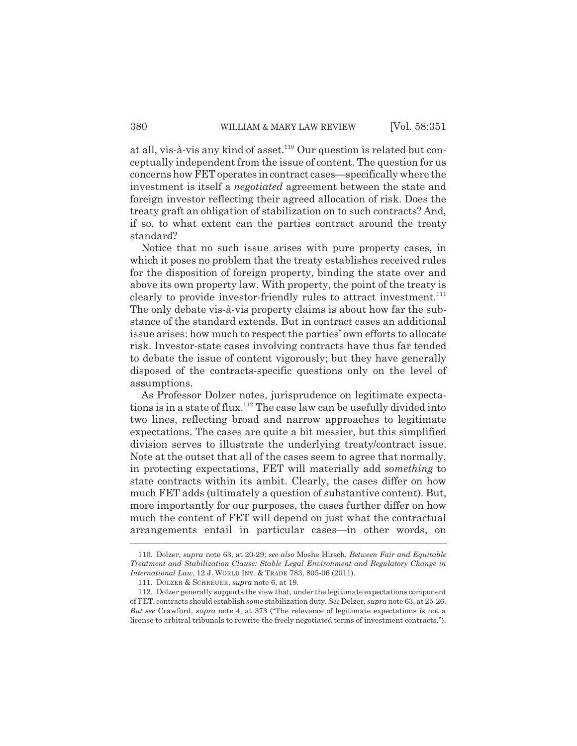at all, vis-à-vis any kind of asset.<sup>110</sup> Our question is related but conceptually independent from the issue of content. The question for us concerns how FET operates in contract cases—specifically where the investment is itself a *negotiated* agreement between the state and foreign investor reflecting their agreed allocation of risk. Does the treaty graft an obligation of stabilization on to such contracts? And, if so, to what extent can the parties contract around the treaty standard?

Notice that no such issue arises with pure property cases, in which it poses no problem that the treaty establishes received rules for the disposition of foreign property, binding the state over and above its own property law. With property, the point of the treaty is clearly to provide investor-friendly rules to attract investment.<sup>111</sup> The only debate vis-à-vis property claims is about how far the substance of the standard extends. But in contract cases an additional issue arises: how much to respect the parties' own efforts to allocate risk. Investor-state cases involving contracts have thus far tended to debate the issue of content vigorously; but they have generally disposed of the contracts-specific questions only on the level of assumptions.

As Professor Dolzer notes, jurisprudence on legitimate expectations is in a state of flux.<sup>112</sup> The case law can be usefully divided into two lines, reflecting broad and narrow approaches to legitimate expectations. The cases are quite a bit messier, but this simplified division serves to illustrate the underlying treaty/contract issue. Note at the outset that all of the cases seem to agree that normally, in protecting expectations, FET will materially add *something* to state contracts within its ambit. Clearly, the cases differ on how much FET adds (ultimately a question of substantive content). But, more importantly for our purposes, the cases further differ on how much the content of FET will depend on just what the contractual arrangements entail in particular cases—in other words, on

<sup>110.</sup> Dolzer, *supra* note 63, at 20-29; *see also* Moshe Hirsch, *Between Fair and Equitable Treatment and Stabilization Clause: Stable Legal Environment and Regulatory Change in International Law*, 12 J. WORLD INV. & TRADE 783, 805-06 (2011).

<sup>111.</sup> DOLZER & SCHREUER, *supra* note 6, at 19.

<sup>112.</sup> Dolzer generally supports the view that, under the legitimate expectations component of FET, contracts should establish *some* stabilization duty. *See* Dolzer, *supra* note 63, at 25-26. *But see* Crawford, *supra* note 4, at 373 ("The relevance of legitimate expectations is not a license to arbitral tribunals to rewrite the freely negotiated terms of investment contracts.").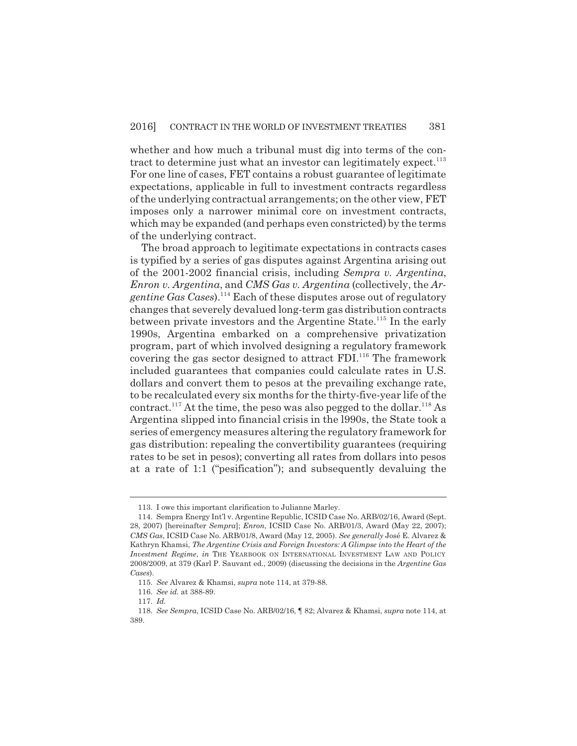whether and how much a tribunal must dig into terms of the contract to determine just what an investor can legitimately expect. $^{113}$ For one line of cases, FET contains a robust guarantee of legitimate expectations, applicable in full to investment contracts regardless of the underlying contractual arrangements; on the other view, FET imposes only a narrower minimal core on investment contracts, which may be expanded (and perhaps even constricted) by the terms of the underlying contract.

The broad approach to legitimate expectations in contracts cases is typified by a series of gas disputes against Argentina arising out of the 2001-2002 financial crisis, including *Sempra v. Argentina*, *Enron v. Argentina*, and *CMS Gas v. Argentina* (collectively, the *Argentine Gas Cases*).<sup>114</sup> Each of these disputes arose out of regulatory changes that severely devalued long-term gas distribution contracts between private investors and the Argentine State.<sup>115</sup> In the early 1990s, Argentina embarked on a comprehensive privatization program, part of which involved designing a regulatory framework covering the gas sector designed to attract  $FDI$ <sup>116</sup>. The framework included guarantees that companies could calculate rates in U.S. dollars and convert them to pesos at the prevailing exchange rate, to be recalculated every six months for the thirty-five-year life of the contract.<sup>117</sup> At the time, the peso was also pegged to the dollar.<sup>118</sup> As Argentina slipped into financial crisis in the l990s, the State took a series of emergency measures altering the regulatory framework for gas distribution: repealing the convertibility guarantees (requiring rates to be set in pesos); converting all rates from dollars into pesos at a rate of 1:1 ("pesification"); and subsequently devaluing the

<sup>113.</sup> I owe this important clarification to Julianne Marley.

<sup>114.</sup> Sempra Energy Int'l v. Argentine Republic, ICSID Case No. ARB/02/16, Award (Sept. 28, 2007) [hereinafter *Sempra*]; *Enron*, ICSID Case No. ARB/01/3, Award (May 22, 2007); *CMS Gas*, ICSID Case No. ARB/01/8, Award (May 12, 2005). *See generally* José E. Alvarez & Kathryn Khamsi, *The Argentine Crisis and Foreign Investors: A Glimpse into the Heart of the Investment Regime*, *in* THE YEARBOOK ON INTERNATIONAL INVESTMENT LAW AND POLICY 2008/2009, at 379 (Karl P. Sauvant ed., 2009) (discussing the decisions in the *Argentine Gas Cases*).

<sup>115.</sup> *See* Alvarez & Khamsi, *supra* note 114, at 379-88.

<sup>116.</sup> *See id.* at 388-89.

<sup>117.</sup> *Id.*

<sup>118.</sup> *See Sempra*, ICSID Case No. ARB/02/16, ¶ 82; Alvarez & Khamsi, *supra* note 114, at 389.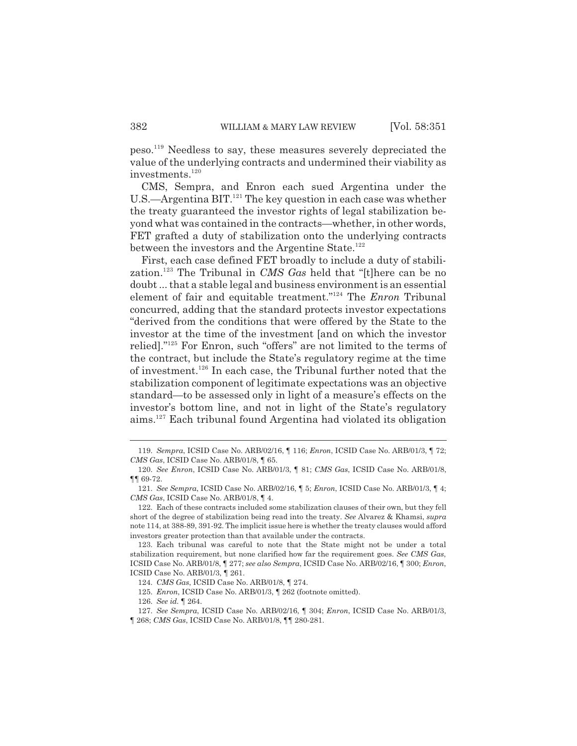peso.<sup>119</sup> Needless to say, these measures severely depreciated the value of the underlying contracts and undermined their viability as investments.<sup>120</sup>

CMS, Sempra, and Enron each sued Argentina under the U.S.—Argentina BIT.<sup>121</sup> The key question in each case was whether the treaty guaranteed the investor rights of legal stabilization beyond what was contained in the contracts—whether, in other words, FET grafted a duty of stabilization onto the underlying contracts between the investors and the Argentine State.<sup>122</sup>

First, each case defined FET broadly to include a duty of stabilization.<sup>123</sup> The Tribunal in *CMS Gas* held that "[t]here can be no doubt ... that a stable legal and business environment is an essential element of fair and equitable treatment."<sup>124</sup> The *Enron* Tribunal concurred, adding that the standard protects investor expectations "derived from the conditions that were offered by the State to the investor at the time of the investment [and on which the investor relied]."<sup>125</sup> For Enron, such "offers" are not limited to the terms of the contract, but include the State's regulatory regime at the time of investment.<sup>126</sup> In each case, the Tribunal further noted that the stabilization component of legitimate expectations was an objective standard—to be assessed only in light of a measure's effects on the investor's bottom line, and not in light of the State's regulatory aims.<sup>127</sup> Each tribunal found Argentina had violated its obligation

<sup>119.</sup> *Sempra*, ICSID Case No. ARB/02/16, ¶ 116; *Enron*, ICSID Case No. ARB/01/3, ¶ 72; *CMS Gas*, ICSID Case No. ARB/01/8, ¶ 65.

<sup>120.</sup> *See Enron*, ICSID Case No. ARB/01/3, ¶ 81; *CMS Gas*, ICSID Case No. ARB/01/8, ¶¶ 69-72.

<sup>121.</sup> *See Sempra*, ICSID Case No. ARB/02/16, ¶ 5; *Enron*, ICSID Case No. ARB/01/3, ¶ 4; *CMS Gas*, ICSID Case No. ARB/01/8, ¶ 4.

<sup>122.</sup> Each of these contracts included some stabilization clauses of their own, but they fell short of the degree of stabilization being read into the treaty. *See* Alvarez & Khamsi, *supra* note 114, at 388-89, 391-92. The implicit issue here is whether the treaty clauses would afford investors greater protection than that available under the contracts.

<sup>123.</sup> Each tribunal was careful to note that the State might not be under a total stabilization requirement, but none clarified how far the requirement goes. *See CMS Gas*, ICSID Case No. ARB/01/8, ¶ 277; *see also Sempra*, ICSID Case No. ARB/02/16, ¶ 300; *Enron*, ICSID Case No. ARB/01/3, ¶ 261.

<sup>124.</sup> *CMS Gas*, ICSID Case No. ARB/01/8, ¶ 274.

<sup>125.</sup> *Enron*, ICSID Case No. ARB/01/3, ¶ 262 (footnote omitted).

<sup>126.</sup> *See id.* ¶ 264.

<sup>127.</sup> *See Sempra*, ICSID Case No. ARB/02/16, ¶ 304; *Enron*, ICSID Case No. ARB/01/3, ¶ 268; *CMS Gas*, ICSID Case No. ARB/01/8, ¶¶ 280-281.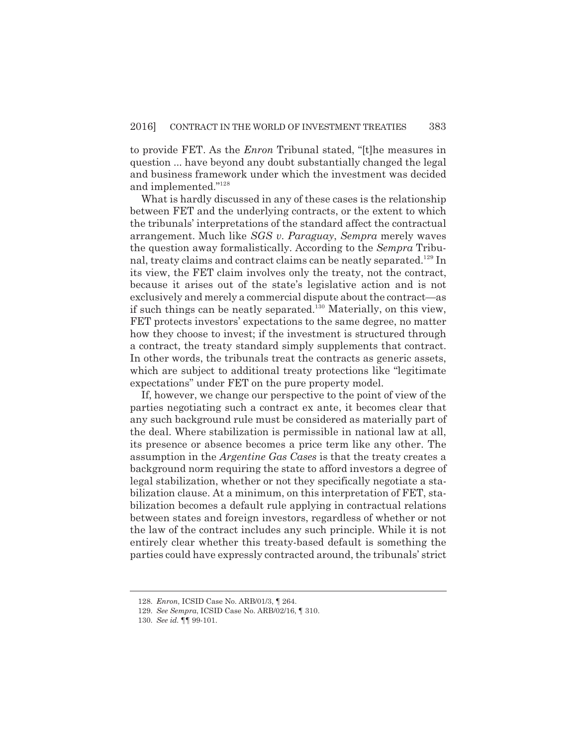to provide FET. As the *Enron* Tribunal stated, "[t]he measures in question ... have beyond any doubt substantially changed the legal and business framework under which the investment was decided and implemented."<sup>128</sup>

What is hardly discussed in any of these cases is the relationship between FET and the underlying contracts, or the extent to which the tribunals' interpretations of the standard affect the contractual arrangement. Much like *SGS v. Paraguay*, *Sempra* merely waves the question away formalistically. According to the *Sempra* Tribunal, treaty claims and contract claims can be neatly separated.<sup>129</sup> In its view, the FET claim involves only the treaty, not the contract, because it arises out of the state's legislative action and is not exclusively and merely a commercial dispute about the contract—as if such things can be neatly separated.<sup>130</sup> Materially, on this view, FET protects investors' expectations to the same degree, no matter how they choose to invest; if the investment is structured through a contract, the treaty standard simply supplements that contract. In other words, the tribunals treat the contracts as generic assets, which are subject to additional treaty protections like "legitimate expectations" under FET on the pure property model.

If, however, we change our perspective to the point of view of the parties negotiating such a contract ex ante, it becomes clear that any such background rule must be considered as materially part of the deal. Where stabilization is permissible in national law at all, its presence or absence becomes a price term like any other. The assumption in the *Argentine Gas Cases* is that the treaty creates a background norm requiring the state to afford investors a degree of legal stabilization, whether or not they specifically negotiate a stabilization clause. At a minimum, on this interpretation of FET, stabilization becomes a default rule applying in contractual relations between states and foreign investors, regardless of whether or not the law of the contract includes any such principle. While it is not entirely clear whether this treaty-based default is something the parties could have expressly contracted around, the tribunals' strict

<sup>128.</sup> *Enron*, ICSID Case No. ARB/01/3, ¶ 264.

<sup>129.</sup> *See Sempra*, ICSID Case No. ARB/02/16, ¶ 310.

<sup>130.</sup> *See id.* ¶¶ 99-101.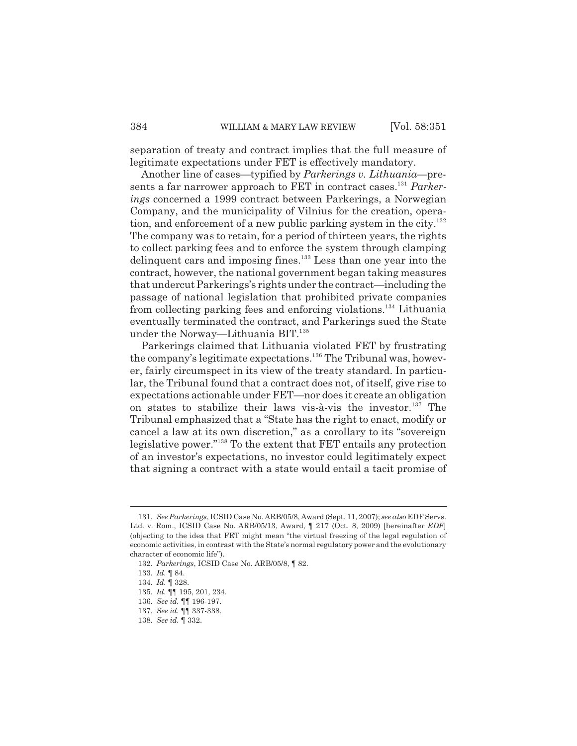separation of treaty and contract implies that the full measure of legitimate expectations under FET is effectively mandatory.

Another line of cases—typified by *Parkerings v. Lithuania—*presents a far narrower approach to FET in contract cases.<sup>131</sup> *Parkerings* concerned a 1999 contract between Parkerings, a Norwegian Company, and the municipality of Vilnius for the creation, operation, and enforcement of a new public parking system in the city.<sup>132</sup> The company was to retain, for a period of thirteen years, the rights to collect parking fees and to enforce the system through clamping delinquent cars and imposing fines.<sup>133</sup> Less than one year into the contract, however, the national government began taking measures that undercut Parkerings's rights under the contract—including the passage of national legislation that prohibited private companies from collecting parking fees and enforcing violations.<sup>134</sup> Lithuania eventually terminated the contract, and Parkerings sued the State under the Norway—Lithuania BIT.<sup>135</sup>

Parkerings claimed that Lithuania violated FET by frustrating the company's legitimate expectations.<sup>136</sup> The Tribunal was, however, fairly circumspect in its view of the treaty standard. In particular, the Tribunal found that a contract does not, of itself, give rise to expectations actionable under FET—nor does it create an obligation on states to stabilize their laws vis-à-vis the investor.<sup>137</sup> The Tribunal emphasized that a "State has the right to enact, modify or cancel a law at its own discretion," as a corollary to its "sovereign legislative power."<sup>138</sup> To the extent that FET entails any protection of an investor's expectations, no investor could legitimately expect that signing a contract with a state would entail a tacit promise of

<sup>131.</sup> *See Parkerings*, ICSID Case No. ARB/05/8, Award (Sept. 11, 2007); *see also* EDF Servs. Ltd. v. Rom., ICSID Case No. ARB/05/13, Award, ¶ 217 (Oct. 8, 2009) [hereinafter *EDF*] (objecting to the idea that FET might mean "the virtual freezing of the legal regulation of economic activities, in contrast with the State's normal regulatory power and the evolutionary character of economic life").

<sup>132.</sup> *Parkerings*, ICSID Case No. ARB/05/8, ¶ 82.

<sup>133.</sup> *Id.* ¶ 84.

<sup>134.</sup> *Id.* ¶ 328.

<sup>135.</sup> *Id.* ¶¶ 195, 201, 234.

<sup>136.</sup> *See id.* ¶¶ 196-197.

<sup>137.</sup> *See id.* ¶¶ 337-338.

<sup>138.</sup> *See id.* ¶ 332.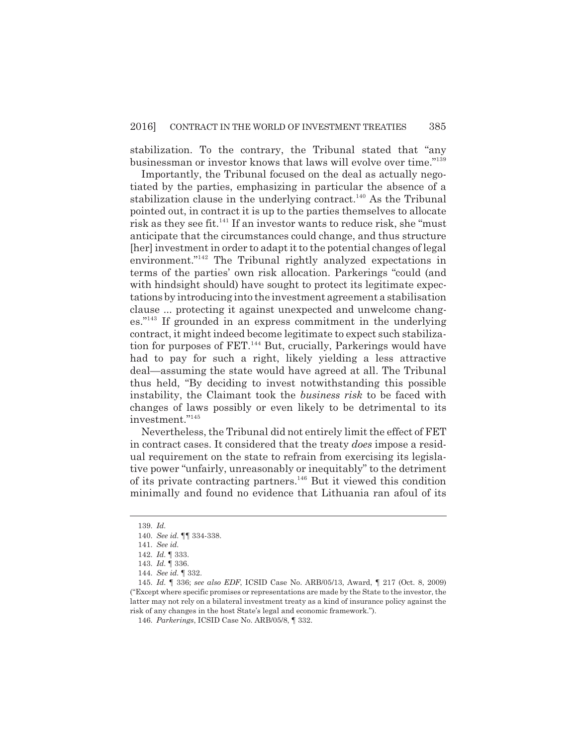stabilization. To the contrary, the Tribunal stated that "any businessman or investor knows that laws will evolve over time."<sup>139</sup>

Importantly, the Tribunal focused on the deal as actually negotiated by the parties, emphasizing in particular the absence of a stabilization clause in the underlying contract.<sup>140</sup> As the Tribunal pointed out, in contract it is up to the parties themselves to allocate risk as they see fit.<sup>141</sup> If an investor wants to reduce risk, she "must" anticipate that the circumstances could change, and thus structure [her] investment in order to adapt it to the potential changes of legal environment."<sup>142</sup> The Tribunal rightly analyzed expectations in terms of the parties' own risk allocation. Parkerings "could (and with hindsight should) have sought to protect its legitimate expectations by introducing into the investment agreement a stabilisation clause ... protecting it against unexpected and unwelcome changes."<sup>143</sup> If grounded in an express commitment in the underlying contract, it might indeed become legitimate to expect such stabilization for purposes of FET.<sup>144</sup> But, crucially, Parkerings would have had to pay for such a right, likely yielding a less attractive deal—assuming the state would have agreed at all. The Tribunal thus held, "By deciding to invest notwithstanding this possible instability, the Claimant took the *business risk* to be faced with changes of laws possibly or even likely to be detrimental to its investment."<sup>145</sup>

Nevertheless, the Tribunal did not entirely limit the effect of FET in contract cases. It considered that the treaty *does* impose a residual requirement on the state to refrain from exercising its legislative power "unfairly, unreasonably or inequitably" to the detriment of its private contracting partners.<sup>146</sup> But it viewed this condition minimally and found no evidence that Lithuania ran afoul of its

<sup>139.</sup> *Id.*

<sup>140.</sup> *See id.* ¶¶ 334-338.

<sup>141.</sup> *See id.*

<sup>142.</sup> *Id.* ¶ 333.

<sup>143.</sup> *Id.* ¶ 336.

<sup>144.</sup> *See id.* ¶ 332.

<sup>145.</sup> *Id.* ¶ 336; *see also EDF*, ICSID Case No. ARB/05/13, Award, ¶ 217 (Oct. 8, 2009) ("Except where specific promises or representations are made by the State to the investor, the latter may not rely on a bilateral investment treaty as a kind of insurance policy against the risk of any changes in the host State's legal and economic framework.").

<sup>146.</sup> *Parkerings*, ICSID Case No. ARB/05/8, ¶ 332.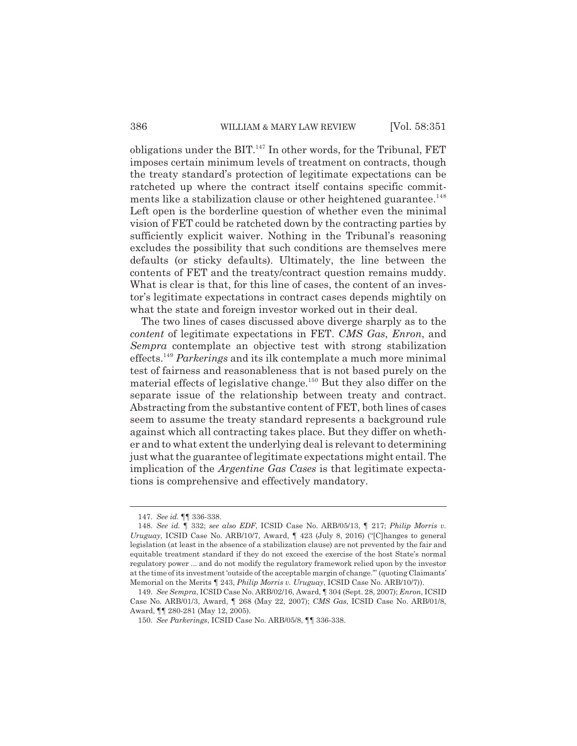obligations under the BIT. $^{147}$  In other words, for the Tribunal, FET imposes certain minimum levels of treatment on contracts, though the treaty standard's protection of legitimate expectations can be ratcheted up where the contract itself contains specific commitments like a stabilization clause or other heightened guarantee.<sup>148</sup> Left open is the borderline question of whether even the minimal vision of FET could be ratcheted down by the contracting parties by sufficiently explicit waiver. Nothing in the Tribunal's reasoning excludes the possibility that such conditions are themselves mere defaults (or sticky defaults). Ultimately, the line between the contents of FET and the treaty/contract question remains muddy. What is clear is that, for this line of cases, the content of an investor's legitimate expectations in contract cases depends mightily on what the state and foreign investor worked out in their deal.

The two lines of cases discussed above diverge sharply as to the *content* of legitimate expectations in FET. *CMS Gas*, *Enron*, and *Sempra* contemplate an objective test with strong stabilization effects.<sup>149</sup> *Parkerings* and its ilk contemplate a much more minimal test of fairness and reasonableness that is not based purely on the material effects of legislative change.<sup>150</sup> But they also differ on the separate issue of the relationship between treaty and contract. Abstracting from the substantive content of FET, both lines of cases seem to assume the treaty standard represents a background rule against which all contracting takes place. But they differ on whether and to what extent the underlying deal is relevant to determining just what the guarantee of legitimate expectations might entail. The implication of the *Argentine Gas Cases* is that legitimate expectations is comprehensive and effectively mandatory.

<sup>147.</sup> *See id.* ¶¶ 336-338.

<sup>148.</sup> *See id.* ¶ 332; *see also EDF*, ICSID Case No. ARB/05/13, ¶ 217; *Philip Morris v. Uruguay*, ICSID Case No. ARB/10/7, Award, ¶ 423 (July 8, 2016) ("[C]hanges to general legislation (at least in the absence of a stabilization clause) are not prevented by the fair and equitable treatment standard if they do not exceed the exercise of the host State's normal regulatory power ... and do not modify the regulatory framework relied upon by the investor at the time of its investment 'outside of the acceptable margin of change.'" (quoting Claimants' Memorial on the Merits ¶ 243, *Philip Morris v. Uruguay*, ICSID Case No. ARB/10/7)).

<sup>149.</sup> *See Sempra*, ICSID Case No. ARB/02/16, Award, ¶ 304 (Sept. 28, 2007); *Enron*, ICSID Case No. ARB/01/3, Award, ¶ 268 (May 22, 2007); *CMS Gas*, ICSID Case No. ARB/01/8, Award, ¶¶ 280-281 (May 12, 2005).

<sup>150.</sup> *See Parkerings*, ICSID Case No. ARB/05/8, ¶¶ 336-338.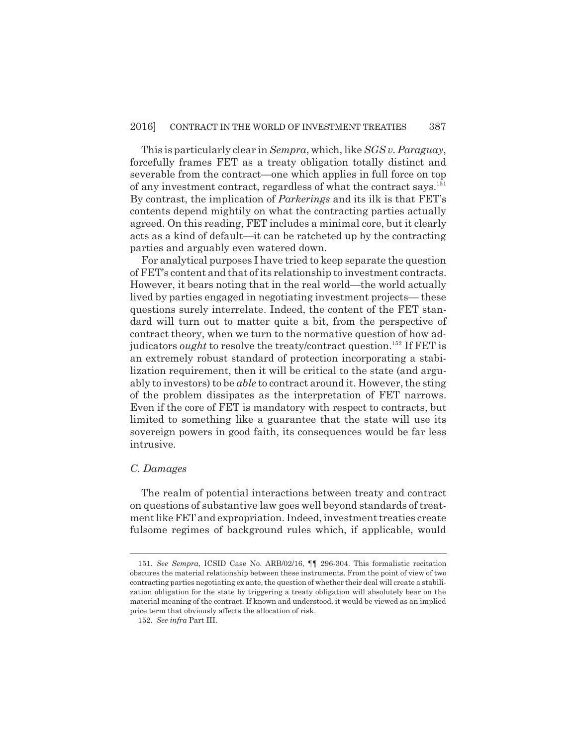This is particularly clear in *Sempra*, which, like *SGS v. Paraguay*, forcefully frames FET as a treaty obligation totally distinct and severable from the contract—one which applies in full force on top of any investment contract, regardless of what the contract says.<sup>151</sup> By contrast, the implication of *Parkerings* and its ilk is that FET's contents depend mightily on what the contracting parties actually agreed. On this reading, FET includes a minimal core, but it clearly acts as a kind of default—it can be ratcheted up by the contracting parties and arguably even watered down.

For analytical purposes I have tried to keep separate the question of FET's content and that of its relationship to investment contracts. However, it bears noting that in the real world—the world actually lived by parties engaged in negotiating investment projects— these questions surely interrelate. Indeed, the content of the FET standard will turn out to matter quite a bit, from the perspective of contract theory, when we turn to the normative question of how adjudicators *ought* to resolve the treaty/contract question.<sup>152</sup> If FET is an extremely robust standard of protection incorporating a stabilization requirement, then it will be critical to the state (and arguably to investors) to be *able* to contract around it. However, the sting of the problem dissipates as the interpretation of FET narrows. Even if the core of FET is mandatory with respect to contracts, but limited to something like a guarantee that the state will use its sovereign powers in good faith, its consequences would be far less intrusive.

#### *C. Damages*

The realm of potential interactions between treaty and contract on questions of substantive law goes well beyond standards of treatment like FET and expropriation. Indeed, investment treaties create fulsome regimes of background rules which, if applicable, would

<sup>151.</sup> *See Sempra*, ICSID Case No. ARB/02/16, ¶¶ 296-304. This formalistic recitation obscures the material relationship between these instruments. From the point of view of two contracting parties negotiating ex ante, the question of whether their deal will create a stabilization obligation for the state by triggering a treaty obligation will absolutely bear on the material meaning of the contract. If known and understood, it would be viewed as an implied price term that obviously affects the allocation of risk.

<sup>152.</sup> *See infra* Part III.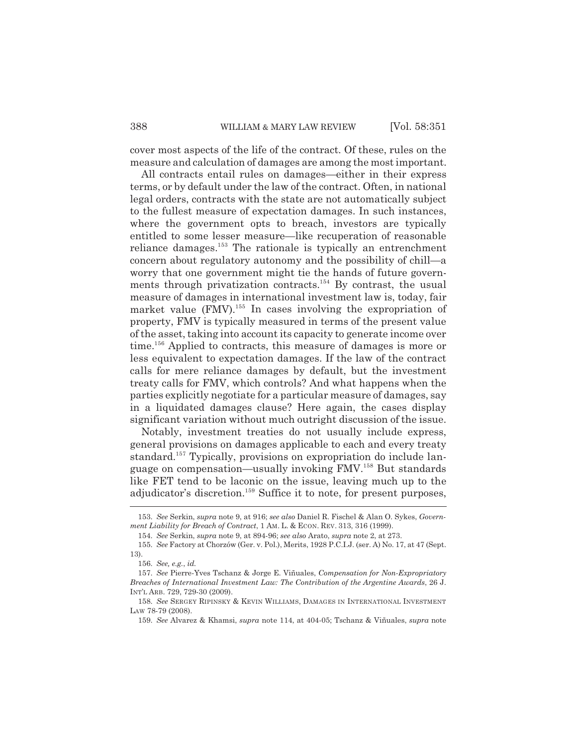cover most aspects of the life of the contract. Of these, rules on the measure and calculation of damages are among the most important.

All contracts entail rules on damages—either in their express terms, or by default under the law of the contract. Often, in national legal orders, contracts with the state are not automatically subject to the fullest measure of expectation damages. In such instances, where the government opts to breach, investors are typically entitled to some lesser measure—like recuperation of reasonable reliance damages.<sup>153</sup> The rationale is typically an entrenchment concern about regulatory autonomy and the possibility of chill—a worry that one government might tie the hands of future governments through privatization contracts.<sup>154</sup> By contrast, the usual measure of damages in international investment law is, today, fair market value  $(FMV)$ <sup>155</sup>. In cases involving the expropriation of property, FMV is typically measured in terms of the present value of the asset, taking into account its capacity to generate income over time.<sup>156</sup> Applied to contracts, this measure of damages is more or less equivalent to expectation damages. If the law of the contract calls for mere reliance damages by default, but the investment treaty calls for FMV, which controls? And what happens when the parties explicitly negotiate for a particular measure of damages, say in a liquidated damages clause? Here again, the cases display significant variation without much outright discussion of the issue.

Notably, investment treaties do not usually include express, general provisions on damages applicable to each and every treaty standard.<sup>157</sup> Typically, provisions on expropriation do include language on compensation—usually invoking FMV.<sup>158</sup> But standards like FET tend to be laconic on the issue, leaving much up to the adjudicator's discretion.<sup>159</sup> Suffice it to note, for present purposes,

<sup>153.</sup> *See* Serkin, *supra* note 9, at 916; *see also* Daniel R. Fischel & Alan O. Sykes, *Government Liability for Breach of Contract*, 1 AM. L. & ECON. REV. 313, 316 (1999).

<sup>154.</sup> *See* Serkin, *supra* note 9, at 894-96; *see also* Arato, *supra* note 2, at 273.

<sup>155.</sup> *See* Factory at Chorzów (Ger. v. Pol.), Merits, 1928 P.C.I.J. (ser. A) No. 17, at 47 (Sept. 13).

<sup>156.</sup> *See, e.g.*, *id.*

<sup>157.</sup> *See* Pierre-Yves Tschanz & Jorge E. Viñuales, *Compensation for Non-Expropriatory Breaches of International Investment Law: The Contribution of the Argentine Awards*, 26 J. INT'L ARB. 729, 729-30 (2009).

<sup>158.</sup> *See* SERGEY RIPINSKY & KEVIN WILLIAMS, DAMAGES IN INTERNATIONAL INVESTMENT LAW 78-79 (2008).

<sup>159.</sup> *See* Alvarez & Khamsi, *supra* note 114, at 404-05; Tschanz & Viñuales, *supra* note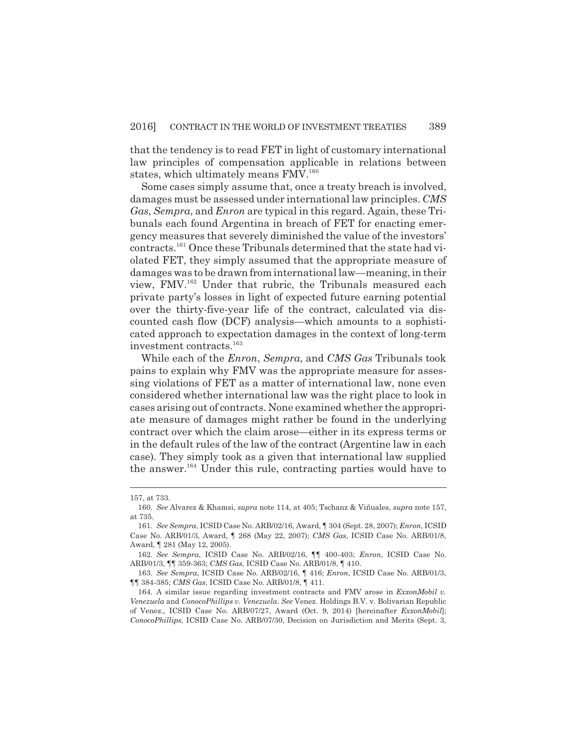that the tendency is to read FET in light of customary international law principles of compensation applicable in relations between states, which ultimately means FMV.<sup>160</sup>

Some cases simply assume that, once a treaty breach is involved, damages must be assessed under international law principles. *CMS Gas*, *Sempra*, and *Enron* are typical in this regard. Again, these Tribunals each found Argentina in breach of FET for enacting emergency measures that severely diminished the value of the investors' contracts.161 Once these Tribunals determined that the state had violated FET, they simply assumed that the appropriate measure of damages was to be drawn from international law—meaning, in their view, FMV.<sup>162</sup> Under that rubric, the Tribunals measured each private party's losses in light of expected future earning potential over the thirty-five-year life of the contract, calculated via discounted cash flow (DCF) analysis—which amounts to a sophisticated approach to expectation damages in the context of long-term investment contracts.<sup>163</sup>

While each of the *Enron*, *Sempra*, and *CMS Gas* Tribunals took pains to explain why FMV was the appropriate measure for assessing violations of FET as a matter of international law, none even considered whether international law was the right place to look in cases arising out of contracts. None examined whether the appropriate measure of damages might rather be found in the underlying contract over which the claim arose—either in its express terms or in the default rules of the law of the contract (Argentine law in each case). They simply took as a given that international law supplied the answer.<sup>164</sup> Under this rule, contracting parties would have to

<sup>157,</sup> at 733.

<sup>160.</sup> *See* Alvarez & Khamsi, *supra* note 114, at 405; Tschanz & Viñuales, *supra* note 157, at 735.

<sup>161.</sup> *See Sempra*, ICSID Case No. ARB/02/16, Award, ¶ 304 (Sept. 28, 2007); *Enron*, ICSID Case No. ARB/01/3, Award, ¶ 268 (May 22, 2007); *CMS Gas*, ICSID Case No. ARB/01/8, Award, ¶ 281 (May 12, 2005).

<sup>162.</sup> *See Sempra*, ICSID Case No. ARB/02/16, ¶¶ 400-403; *Enron*, ICSID Case No. ARB/01/3, ¶¶ 359-363; *CMS Gas*, ICSID Case No. ARB/01/8, ¶ 410.

<sup>163.</sup> *See Sempra*, ICSID Case No. ARB/02/16, ¶ 416; *Enron*, ICSID Case No. ARB/01/3, ¶¶ 384-385; *CMS Gas*, ICSID Case No. ARB/01/8, ¶ 411.

<sup>164.</sup> A similar issue regarding investment contracts and FMV arose in *ExxonMobil v. Venezuela* and *ConocoPhillips v. Venezuela*. *See* Venez. Holdings B.V. v. Bolivarian Republic of Venez., ICSID Case No. ARB/07/27, Award (Oct. 9, 2014) [hereinafter *ExxonMobil*]; *ConocoPhillips*, ICSID Case No. ARB/07/30, Decision on Jurisdiction and Merits (Sept. 3,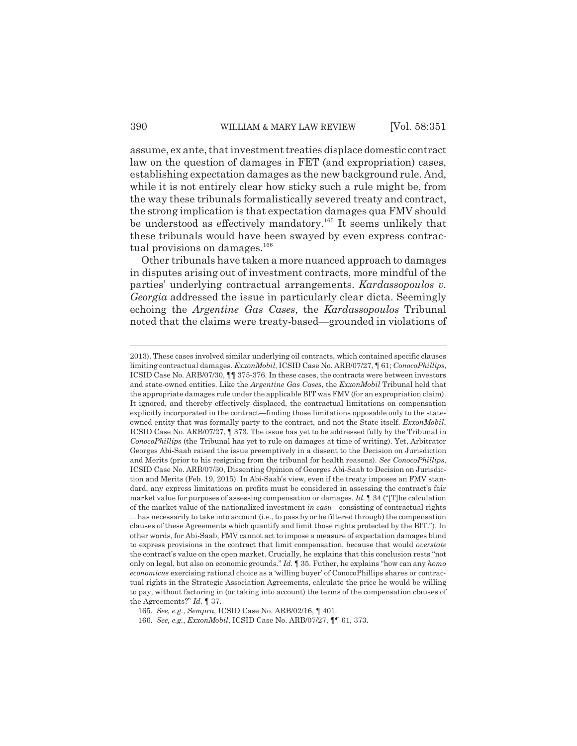assume, ex ante, that investment treaties displace domestic contract law on the question of damages in FET (and expropriation) cases, establishing expectation damages as the new background rule. And, while it is not entirely clear how sticky such a rule might be, from the way these tribunals formalistically severed treaty and contract, the strong implication is that expectation damages qua FMV should be understood as effectively mandatory.<sup>165</sup> It seems unlikely that these tribunals would have been swayed by even express contractual provisions on damages.<sup>166</sup>

Other tribunals have taken a more nuanced approach to damages in disputes arising out of investment contracts, more mindful of the parties' underlying contractual arrangements. *Kardassopoulos v. Georgia* addressed the issue in particularly clear dicta. Seemingly echoing the *Argentine Gas Cases*, the *Kardassopoulos* Tribunal noted that the claims were treaty-based—grounded in violations of

<sup>2013).</sup> These cases involved similar underlying oil contracts, which contained specific clauses limiting contractual damages. *ExxonMobil*, ICSID Case No. ARB/07/27, ¶ 61; *ConocoPhillips*, ICSID Case No. ARB/07/30, ¶¶ 375-376. In these cases, the contracts were between investors and state-owned entities. Like the *Argentine Gas Cases*, the *ExxonMobil* Tribunal held that the appropriate damages rule under the applicable BIT was FMV (for an expropriation claim). It ignored, and thereby effectively displaced, the contractual limitations on compensation explicitly incorporated in the contract—finding those limitations opposable only to the stateowned entity that was formally party to the contract, and not the State itself. *ExxonMobil*, ICSID Case No. ARB/07/27, ¶ 373. The issue has yet to be addressed fully by the Tribunal in *ConocoPhillips* (the Tribunal has yet to rule on damages at time of writing). Yet, Arbitrator Georges Abi-Saab raised the issue preemptively in a dissent to the Decision on Jurisdiction and Merits (prior to his resigning from the tribunal for health reasons). *See ConocoPhillips*, ICSID Case No. ARB/07/30, Dissenting Opinion of Georges Abi-Saab to Decision on Jurisdiction and Merits (Feb. 19, 2015). In Abi-Saab's view, even if the treaty imposes an FMV standard, any express limitations on profits must be considered in assessing the contract's fair market value for purposes of assessing compensation or damages. *Id.* ¶ 34 ("[T]he calculation of the market value of the nationalized investment *in casu—*consisting of contractual rights ... has necessarily to take into account (i.e., to pass by or be filtered through) the compensation clauses of these Agreements which quantify and limit those rights protected by the BIT."). In other words, for Abi-Saab, FMV cannot act to impose a measure of expectation damages blind to express provisions in the contract that limit compensation, because that would *overstate* the contract's value on the open market. Crucially, he explains that this conclusion rests "not only on legal, but also on economic grounds." *Id.* ¶ 35. Futher, he explains "how can any *homo economicus* exercising rational choice as a 'willing buyer' of ConocoPhillips shares or contractual rights in the Strategic Association Agreements, calculate the price he would be willing to pay, without factoring in (or taking into account) the terms of the compensation clauses of the Agreements?" *Id.* ¶ 37.

<sup>165.</sup> *See, e.g.*, *Sempra*, ICSID Case No. ARB/02/16, ¶ 401.

<sup>166.</sup> *See, e.g.*, *ExxonMobil*, ICSID Case No. ARB/07/27, ¶¶ 61, 373.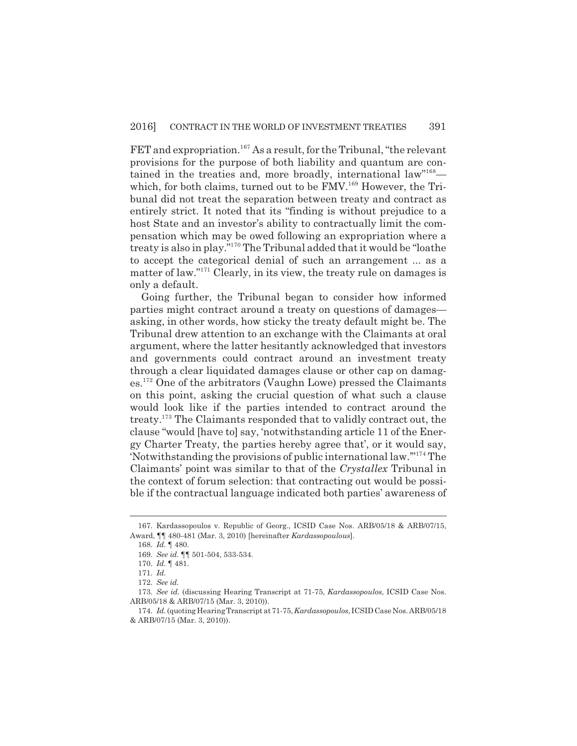FET and expropriation.<sup>167</sup> As a result, for the Tribunal, "the relevant provisions for the purpose of both liability and quantum are contained in the treaties and, more broadly, international law"<sup>168</sup> which, for both claims, turned out to be FMV.<sup>169</sup> However, the Tribunal did not treat the separation between treaty and contract as entirely strict. It noted that its "finding is without prejudice to a host State and an investor's ability to contractually limit the compensation which may be owed following an expropriation where a treaty is also in play."<sup>170</sup> The Tribunal added that it would be "loathe to accept the categorical denial of such an arrangement ... as a matter of law."<sup>171</sup> Clearly, in its view, the treaty rule on damages is only a default.

Going further, the Tribunal began to consider how informed parties might contract around a treaty on questions of damages asking, in other words, how sticky the treaty default might be. The Tribunal drew attention to an exchange with the Claimants at oral argument, where the latter hesitantly acknowledged that investors and governments could contract around an investment treaty through a clear liquidated damages clause or other cap on damages.<sup>172</sup> One of the arbitrators (Vaughn Lowe) pressed the Claimants on this point, asking the crucial question of what such a clause would look like if the parties intended to contract around the treaty.<sup>173</sup> The Claimants responded that to validly contract out, the clause "would [have to] say, 'notwithstanding article 11 of the Energy Charter Treaty, the parties hereby agree that', or it would say, 'Notwithstanding the provisions of public international law.'"<sup>174</sup> The Claimants' point was similar to that of the *Crystallex* Tribunal in the context of forum selection: that contracting out would be possible if the contractual language indicated both parties' awareness of

<sup>167.</sup> Kardassopoulos v. Republic of Georg., ICSID Case Nos. ARB/05/18 & ARB/07/15, Award, ¶¶ 480-481 (Mar. 3, 2010) [hereinafter *Kardassopoulous*].

<sup>168.</sup> *Id.* ¶ 480.

<sup>169.</sup> *See id.* ¶¶ 501-504, 533-534.

<sup>170.</sup> *Id.* ¶ 481.

<sup>171.</sup> *Id.*

<sup>172.</sup> *See id.*

<sup>173.</sup> *See id.* (discussing Hearing Transcript at 71-75, *Kardassopoulos*, ICSID Case Nos. ARB/05/18 & ARB/07/15 (Mar. 3, 2010)).

<sup>174.</sup> *Id.* (quoting Hearing Transcript at 71-75, *Kardassopoulos*, ICSID Case Nos. ARB/05/18 & ARB/07/15 (Mar. 3, 2010)).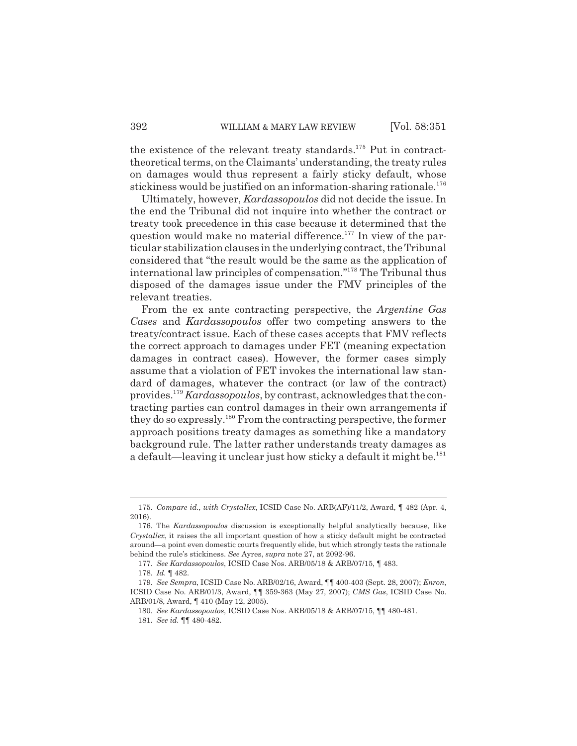the existence of the relevant treaty standards.<sup>175</sup> Put in contracttheoretical terms, on the Claimants' understanding, the treaty rules on damages would thus represent a fairly sticky default, whose stickiness would be justified on an information-sharing rationale.<sup>176</sup>

Ultimately, however, *Kardassopoulos* did not decide the issue. In the end the Tribunal did not inquire into whether the contract or treaty took precedence in this case because it determined that the question would make no material difference.<sup>177</sup> In view of the particular stabilization clauses in the underlying contract, the Tribunal considered that "the result would be the same as the application of international law principles of compensation."<sup>178</sup> The Tribunal thus disposed of the damages issue under the FMV principles of the relevant treaties.

From the ex ante contracting perspective, the *Argentine Gas Cases* and *Kardassopoulos* offer two competing answers to the treaty/contract issue. Each of these cases accepts that FMV reflects the correct approach to damages under FET (meaning expectation damages in contract cases). However, the former cases simply assume that a violation of FET invokes the international law standard of damages, whatever the contract (or law of the contract) provides.<sup>179</sup> *Kardassopoulos*, by contrast, acknowledges that the contracting parties can control damages in their own arrangements if they do so expressly.<sup>180</sup> From the contracting perspective, the former approach positions treaty damages as something like a mandatory background rule. The latter rather understands treaty damages as a default—leaving it unclear just how sticky a default it might be.<sup>181</sup>

<sup>175.</sup> *Compare id.*, *with Crystallex*, ICSID Case No. ARB(AF)/11/2, Award, ¶ 482 (Apr. 4, 2016).

<sup>176.</sup> The *Kardassopoulos* discussion is exceptionally helpful analytically because, like *Crystallex*, it raises the all important question of how a sticky default might be contracted around—a point even domestic courts frequently elide, but which strongly tests the rationale behind the rule's stickiness. *See* Ayres, *supra* note 27, at 2092-96.

<sup>177.</sup> *See Kardassopoulos*, ICSID Case Nos. ARB/05/18 & ARB/07/15, ¶ 483.

<sup>178.</sup> *Id.* ¶ 482.

<sup>179.</sup> *See Sempra*, ICSID Case No. ARB/02/16, Award, ¶¶ 400-403 (Sept. 28, 2007); *Enron*, ICSID Case No. ARB/01/3, Award, ¶¶ 359-363 (May 27, 2007); *CMS Gas*, ICSID Case No. ARB/01/8, Award, ¶ 410 (May 12, 2005).

<sup>180.</sup> *See Kardassopoulos*, ICSID Case Nos. ARB/05/18 & ARB/07/15, ¶¶ 480-481. 181. *See id.* ¶¶ 480-482.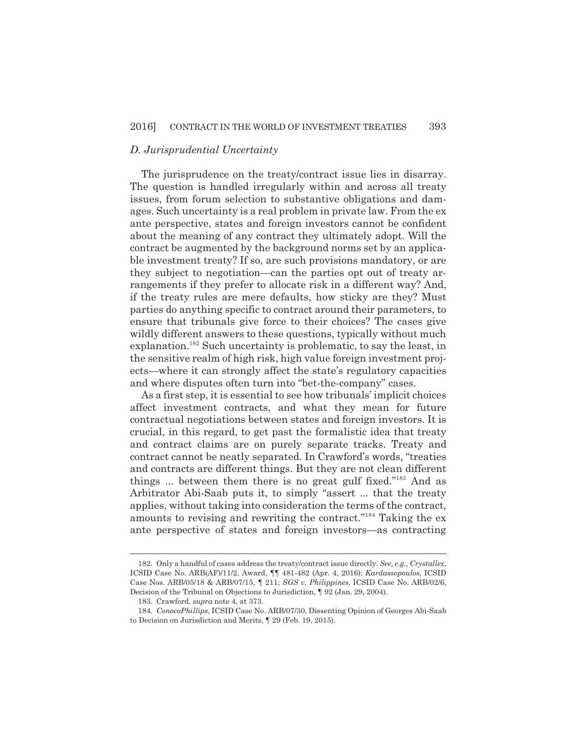### *D. Jurisprudential Uncertainty*

The jurisprudence on the treaty/contract issue lies in disarray. The question is handled irregularly within and across all treaty issues, from forum selection to substantive obligations and damages. Such uncertainty is a real problem in private law. From the ex ante perspective, states and foreign investors cannot be confident about the meaning of any contract they ultimately adopt. Will the contract be augmented by the background norms set by an applicable investment treaty? If so, are such provisions mandatory, or are they subject to negotiation—can the parties opt out of treaty arrangements if they prefer to allocate risk in a different way? And, if the treaty rules are mere defaults, how sticky are they? Must parties do anything specific to contract around their parameters, to ensure that tribunals give force to their choices? The cases give wildly different answers to these questions, typically without much explanation.<sup>182</sup> Such uncertainty is problematic, to say the least, in the sensitive realm of high risk, high value foreign investment projects—where it can strongly affect the state's regulatory capacities and where disputes often turn into "bet-the-company" cases.

As a first step, it is essential to see how tribunals' implicit choices affect investment contracts, and what they mean for future contractual negotiations between states and foreign investors. It is crucial, in this regard, to get past the formalistic idea that treaty and contract claims are on purely separate tracks. Treaty and contract cannot be neatly separated. In Crawford's words, "treaties and contracts are different things. But they are not clean different things ... between them there is no great gulf fixed."<sup>183</sup> And as Arbitrator Abi-Saab puts it, to simply "assert ... that the treaty applies, without taking into consideration the terms of the contract, amounts to revising and rewriting the contract."<sup>184</sup> Taking the ex ante perspective of states and foreign investors—as contracting

<sup>182.</sup> Only a handful of cases address the treaty/contract issue directly. *See, e.g.*, *Crystallex*, ICSID Case No. ARB(AF)/11/2, Award, ¶¶ 481-482 (Apr. 4, 2016); *Kardassopoulos*, ICSID Case Nos. ARB/05/18 & ARB/07/15, ¶ 211; *SGS v. Philippines*, ICSID Case No. ARB/02/6, Decision of the Tribunal on Objections to Jurisdiction, ¶ 92 (Jan. 29, 2004).

<sup>183.</sup> Crawford, *supra* note 4, at 373.

<sup>184.</sup> *ConocoPhillips*, ICSID Case No. ARB/07/30, Dissenting Opinion of Georges Abi-Saab to Decision on Jurisdiction and Merits, ¶ 29 (Feb. 19, 2015).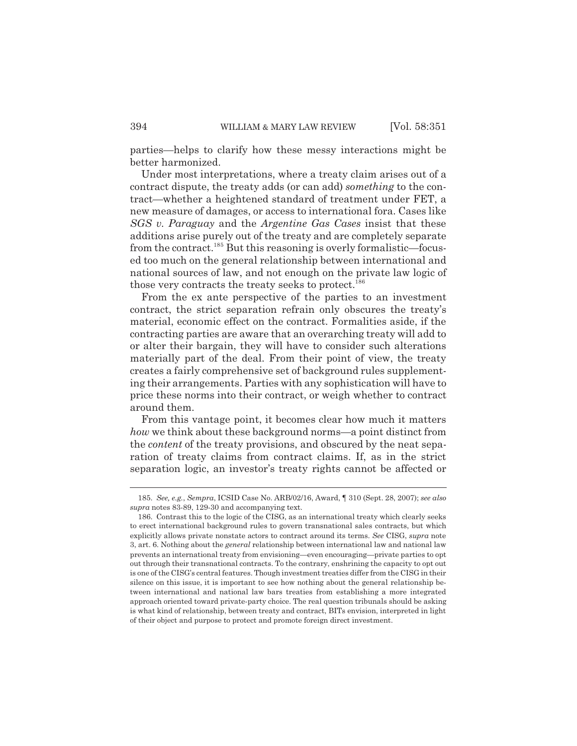parties—helps to clarify how these messy interactions might be better harmonized.

Under most interpretations, where a treaty claim arises out of a contract dispute, the treaty adds (or can add) *something* to the contract—whether a heightened standard of treatment under FET, a new measure of damages, or access to international fora. Cases like *SGS v. Paraguay* and the *Argentine Gas Cases* insist that these additions arise purely out of the treaty and are completely separate from the contract.<sup>185</sup> But this reasoning is overly formalistic—focused too much on the general relationship between international and national sources of law, and not enough on the private law logic of those very contracts the treaty seeks to protect.<sup>186</sup>

From the ex ante perspective of the parties to an investment contract, the strict separation refrain only obscures the treaty's material, economic effect on the contract. Formalities aside, if the contracting parties are aware that an overarching treaty will add to or alter their bargain, they will have to consider such alterations materially part of the deal. From their point of view, the treaty creates a fairly comprehensive set of background rules supplementing their arrangements. Parties with any sophistication will have to price these norms into their contract, or weigh whether to contract around them.

From this vantage point, it becomes clear how much it matters *how* we think about these background norms—a point distinct from the *content* of the treaty provisions, and obscured by the neat separation of treaty claims from contract claims. If, as in the strict separation logic, an investor's treaty rights cannot be affected or

<sup>185.</sup> *See, e.g.*, *Sempra*, ICSID Case No. ARB/02/16, Award, ¶ 310 (Sept. 28, 2007); *see also supra* notes 83-89, 129-30 and accompanying text.

<sup>186.</sup> Contrast this to the logic of the CISG, as an international treaty which clearly seeks to erect international background rules to govern transnational sales contracts, but which explicitly allows private nonstate actors to contract around its terms. *See* CISG, *supra* note 3, art. 6. Nothing about the *general* relationship between international law and national law prevents an international treaty from envisioning—even encouraging—private parties to opt out through their transnational contracts. To the contrary, enshrining the capacity to opt out is one of the CISG's central features. Though investment treaties differ from the CISG in their silence on this issue, it is important to see how nothing about the general relationship between international and national law bars treaties from establishing a more integrated approach oriented toward private-party choice. The real question tribunals should be asking is what kind of relationship, between treaty and contract, BITs envision, interpreted in light of their object and purpose to protect and promote foreign direct investment.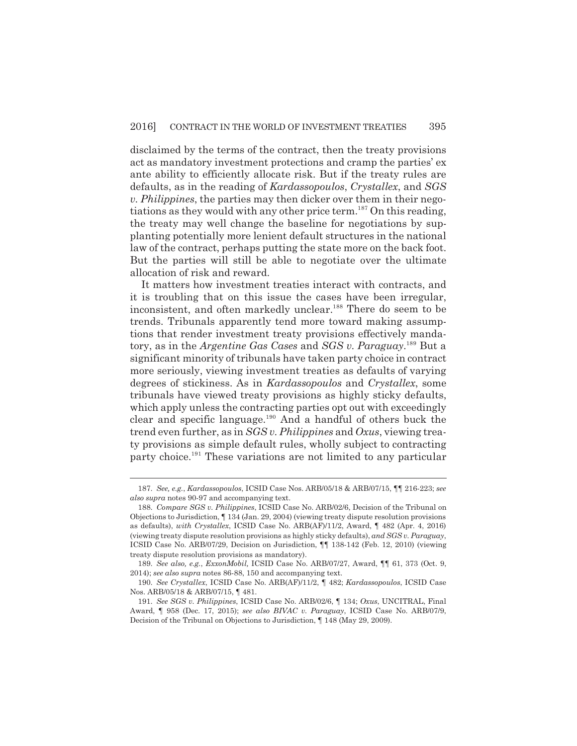disclaimed by the terms of the contract, then the treaty provisions act as mandatory investment protections and cramp the parties' ex ante ability to efficiently allocate risk. But if the treaty rules are defaults, as in the reading of *Kardassopoulos*, *Crystallex*, and *SGS v. Philippines*, the parties may then dicker over them in their negotiations as they would with any other price term.<sup>187</sup> On this reading, the treaty may well change the baseline for negotiations by supplanting potentially more lenient default structures in the national law of the contract, perhaps putting the state more on the back foot. But the parties will still be able to negotiate over the ultimate allocation of risk and reward.

It matters how investment treaties interact with contracts, and it is troubling that on this issue the cases have been irregular, inconsistent, and often markedly unclear.<sup>188</sup> There do seem to be trends. Tribunals apparently tend more toward making assumptions that render investment treaty provisions effectively mandatory, as in the *Argentine Gas Cases* and *SGS v. Paraguay*. <sup>189</sup> But a significant minority of tribunals have taken party choice in contract more seriously, viewing investment treaties as defaults of varying degrees of stickiness. As in *Kardassopoulos* and *Crystallex*, some tribunals have viewed treaty provisions as highly sticky defaults, which apply unless the contracting parties opt out with exceedingly clear and specific language. $190$  And a handful of others buck the trend even further, as in *SGS v. Philippines* and *Oxus*, viewing treaty provisions as simple default rules, wholly subject to contracting party choice.<sup>191</sup> These variations are not limited to any particular

<sup>187.</sup> *See, e.g.*, *Kardassopoulos*, ICSID Case Nos. ARB/05/18 & ARB/07/15, ¶¶ 216-223; *see also supra* notes 90-97 and accompanying text.

<sup>188.</sup> *Compare SGS v. Philippines*, ICSID Case No. ARB/02/6, Decision of the Tribunal on Objections to Jurisdiction, ¶ 134 (Jan. 29, 2004) (viewing treaty dispute resolution provisions as defaults), *with Crystallex*, ICSID Case No. ARB(AF)/11/2, Award, ¶ 482 (Apr. 4, 2016) (viewing treaty dispute resolution provisions as highly sticky defaults), *and SGS v. Paraguay*, ICSID Case No. ARB/07/29, Decision on Jurisdiction, ¶¶ 138-142 (Feb. 12, 2010) (viewing treaty dispute resolution provisions as mandatory).

<sup>189.</sup> *See also, e.g.*, *ExxonMobil,* ICSID Case No. ARB/07/27, Award, ¶¶ 61, 373 (Oct. 9, 2014); *see also supra* notes 86-88, 150 and accompanying text.

<sup>190.</sup> *See Crystallex*, ICSID Case No. ARB(AF)/11/2, ¶ 482; *Kardassopoulos*, ICSID Case Nos. ARB/05/18 & ARB/07/15, ¶ 481.

<sup>191.</sup> *See SGS v. Philippines*, ICSID Case No. ARB/02/6, ¶ 134; *Oxus*, UNCITRAL, Final Award, ¶ 958 (Dec. 17, 2015); *see also BIVAC v. Paraguay*, ICSID Case No. ARB/07/9, Decision of the Tribunal on Objections to Jurisdiction, ¶ 148 (May 29, 2009).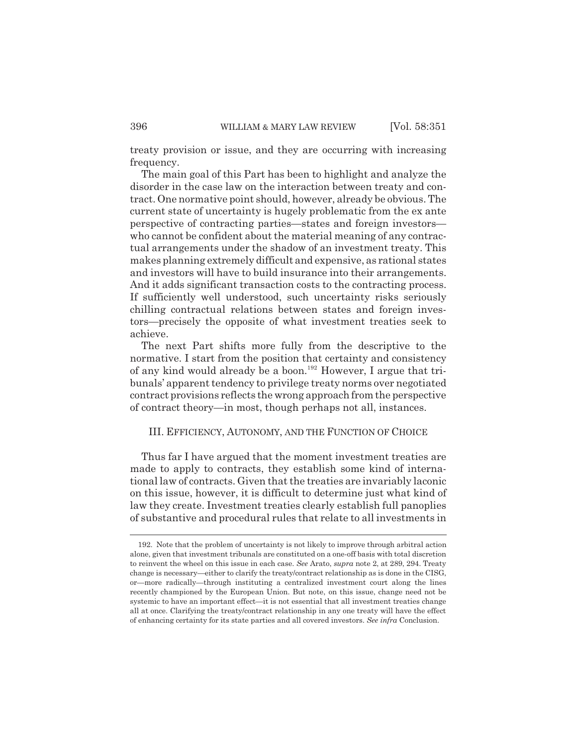treaty provision or issue, and they are occurring with increasing frequency.

The main goal of this Part has been to highlight and analyze the disorder in the case law on the interaction between treaty and contract. One normative point should, however, already be obvious. The current state of uncertainty is hugely problematic from the ex ante perspective of contracting parties—states and foreign investors who cannot be confident about the material meaning of any contractual arrangements under the shadow of an investment treaty. This makes planning extremely difficult and expensive, as rational states and investors will have to build insurance into their arrangements. And it adds significant transaction costs to the contracting process. If sufficiently well understood, such uncertainty risks seriously chilling contractual relations between states and foreign investors—precisely the opposite of what investment treaties seek to achieve.

The next Part shifts more fully from the descriptive to the normative. I start from the position that certainty and consistency of any kind would already be a boon.<sup>192</sup> However, I argue that tribunals' apparent tendency to privilege treaty norms over negotiated contract provisions reflects the wrong approach from the perspective of contract theory—in most, though perhaps not all, instances.

#### III. EFFICIENCY, AUTONOMY, AND THE FUNCTION OF CHOICE

Thus far I have argued that the moment investment treaties are made to apply to contracts, they establish some kind of international law of contracts. Given that the treaties are invariably laconic on this issue, however, it is difficult to determine just what kind of law they create. Investment treaties clearly establish full panoplies of substantive and procedural rules that relate to all investments in

<sup>192.</sup> Note that the problem of uncertainty is not likely to improve through arbitral action alone, given that investment tribunals are constituted on a one-off basis with total discretion to reinvent the wheel on this issue in each case. *See* Arato, *supra* note 2, at 289, 294. Treaty change is necessary—either to clarify the treaty/contract relationship as is done in the CISG, or—more radically—through instituting a centralized investment court along the lines recently championed by the European Union. But note, on this issue, change need not be systemic to have an important effect—it is not essential that all investment treaties change all at once. Clarifying the treaty/contract relationship in any one treaty will have the effect of enhancing certainty for its state parties and all covered investors. *See infra* Conclusion.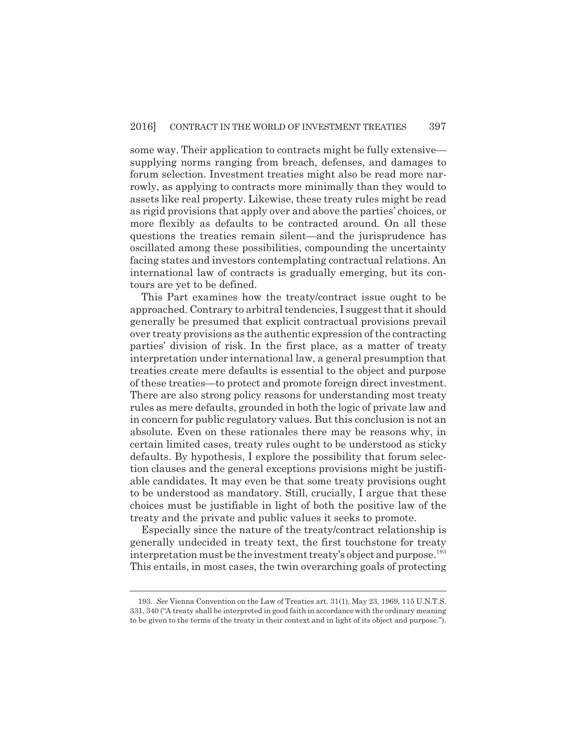some way. Their application to contracts might be fully extensive supplying norms ranging from breach, defenses, and damages to forum selection. Investment treaties might also be read more narrowly, as applying to contracts more minimally than they would to assets like real property. Likewise, these treaty rules might be read as rigid provisions that apply over and above the parties' choices, or more flexibly as defaults to be contracted around. On all these questions the treaties remain silent—and the jurisprudence has oscillated among these possibilities, compounding the uncertainty facing states and investors contemplating contractual relations. An international law of contracts is gradually emerging, but its contours are yet to be defined.

This Part examines how the treaty/contract issue ought to be approached. Contrary to arbitral tendencies, I suggest that it should generally be presumed that explicit contractual provisions prevail over treaty provisions as the authentic expression of the contracting parties' division of risk. In the first place, as a matter of treaty interpretation under international law, a general presumption that treaties create mere defaults is essential to the object and purpose of these treaties—to protect and promote foreign direct investment. There are also strong policy reasons for understanding most treaty rules as mere defaults, grounded in both the logic of private law and in concern for public regulatory values. But this conclusion is not an absolute. Even on these rationales there may be reasons why, in certain limited cases, treaty rules ought to be understood as sticky defaults. By hypothesis, I explore the possibility that forum selection clauses and the general exceptions provisions might be justifiable candidates. It may even be that some treaty provisions ought to be understood as mandatory. Still, crucially, I argue that these choices must be justifiable in light of both the positive law of the treaty and the private and public values it seeks to promote.

Especially since the nature of the treaty/contract relationship is generally undecided in treaty text, the first touchstone for treaty interpretation must be the investment treaty's object and purpose.<sup>193</sup> This entails, in most cases, the twin overarching goals of protecting

<sup>193.</sup> *See* Vienna Convention on the Law of Treaties art. 31(1), May 23, 1969, 115 U.N.T.S. 331, 340 ("A treaty shall be interpreted in good faith in accordance with the ordinary meaning to be given to the terms of the treaty in their context and in light of its object and purpose.").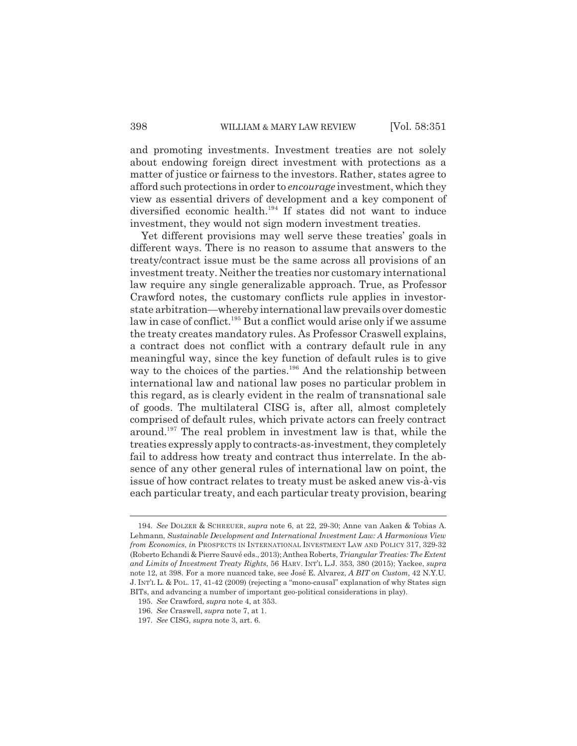and promoting investments. Investment treaties are not solely about endowing foreign direct investment with protections as a matter of justice or fairness to the investors. Rather, states agree to afford such protections in order to *encourage* investment, which they view as essential drivers of development and a key component of diversified economic health.<sup>194</sup> If states did not want to induce investment, they would not sign modern investment treaties.

Yet different provisions may well serve these treaties' goals in different ways. There is no reason to assume that answers to the treaty/contract issue must be the same across all provisions of an investment treaty. Neither the treaties nor customary international law require any single generalizable approach. True, as Professor Crawford notes, the customary conflicts rule applies in investorstate arbitration—whereby international law prevails over domestic law in case of conflict.<sup>195</sup> But a conflict would arise only if we assume the treaty creates mandatory rules. As Professor Craswell explains, a contract does not conflict with a contrary default rule in any meaningful way, since the key function of default rules is to give way to the choices of the parties.<sup>196</sup> And the relationship between international law and national law poses no particular problem in this regard, as is clearly evident in the realm of transnational sale of goods. The multilateral CISG is, after all, almost completely comprised of default rules, which private actors can freely contract around.<sup>197</sup> The real problem in investment law is that, while the treaties expressly apply to contracts-as-investment, they completely fail to address how treaty and contract thus interrelate. In the absence of any other general rules of international law on point, the issue of how contract relates to treaty must be asked anew vis-à-vis each particular treaty, and each particular treaty provision, bearing

<sup>194.</sup> *See* DOLZER & SCHREUER, *supra* note 6, at 22, 29-30; Anne van Aaken & Tobias A. Lehmann, *Sustainable Development and International Investment Law: A Harmonious View from Economics*, *in* PROSPECTS IN INTERNATIONAL INVESTMENT LAW AND POLICY 317, 329-32 (Roberto Echandi & Pierre Sauvé eds., 2013);Anthea Roberts, *Triangular Treaties: The Extent and Limits of Investment Treaty Rights*, 56 HARV. INT'L L.J. 353, 380 (2015); Yackee, *supra* note 12, at 398. For a more nuanced take, see José E. Alvarez, *A BIT on Custom*, 42 N.Y.U. J. INT'L L. & POL. 17, 41-42 (2009) (rejecting a "mono-causal" explanation of why States sign BITs, and advancing a number of important geo-political considerations in play).

<sup>195.</sup> *See* Crawford, *supra* note 4, at 353.

<sup>196.</sup> *See* Craswell, *supra* note 7, at 1.

<sup>197.</sup> *See* CISG, *supra* note 3, art. 6.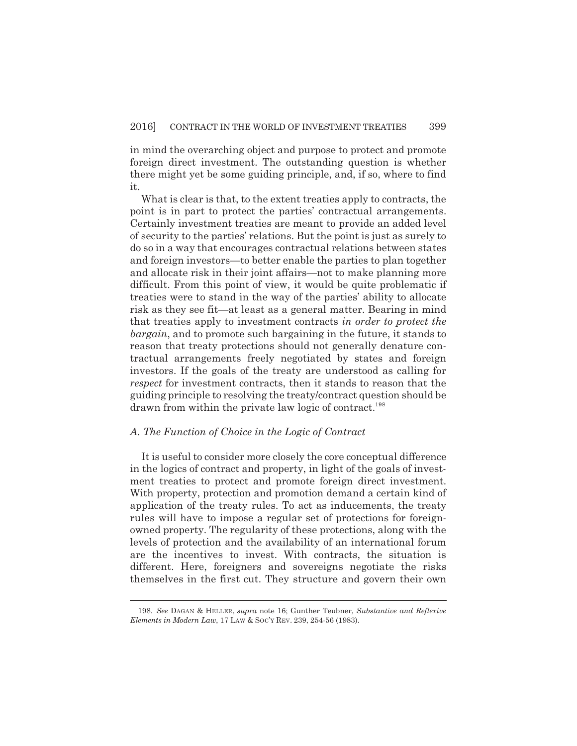in mind the overarching object and purpose to protect and promote foreign direct investment. The outstanding question is whether there might yet be some guiding principle, and, if so, where to find it.

What is clear is that, to the extent treaties apply to contracts, the point is in part to protect the parties' contractual arrangements. Certainly investment treaties are meant to provide an added level of security to the parties' relations. But the point is just as surely to do so in a way that encourages contractual relations between states and foreign investors—to better enable the parties to plan together and allocate risk in their joint affairs—not to make planning more difficult. From this point of view, it would be quite problematic if treaties were to stand in the way of the parties' ability to allocate risk as they see fit—at least as a general matter. Bearing in mind that treaties apply to investment contracts *in order to protect the bargain*, and to promote such bargaining in the future, it stands to reason that treaty protections should not generally denature contractual arrangements freely negotiated by states and foreign investors. If the goals of the treaty are understood as calling for *respect* for investment contracts, then it stands to reason that the guiding principle to resolving the treaty/contract question should be drawn from within the private law logic of contract.<sup>198</sup>

#### *A. The Function of Choice in the Logic of Contract*

It is useful to consider more closely the core conceptual difference in the logics of contract and property, in light of the goals of investment treaties to protect and promote foreign direct investment. With property, protection and promotion demand a certain kind of application of the treaty rules. To act as inducements, the treaty rules will have to impose a regular set of protections for foreignowned property. The regularity of these protections, along with the levels of protection and the availability of an international forum are the incentives to invest. With contracts, the situation is different. Here, foreigners and sovereigns negotiate the risks themselves in the first cut. They structure and govern their own

<sup>198.</sup> *See* DAGAN & HELLER, *supra* note 16; Gunther Teubner, *Substantive and Reflexive Elements in Modern Law*, 17 LAW & SOC'Y REV. 239, 254-56 (1983).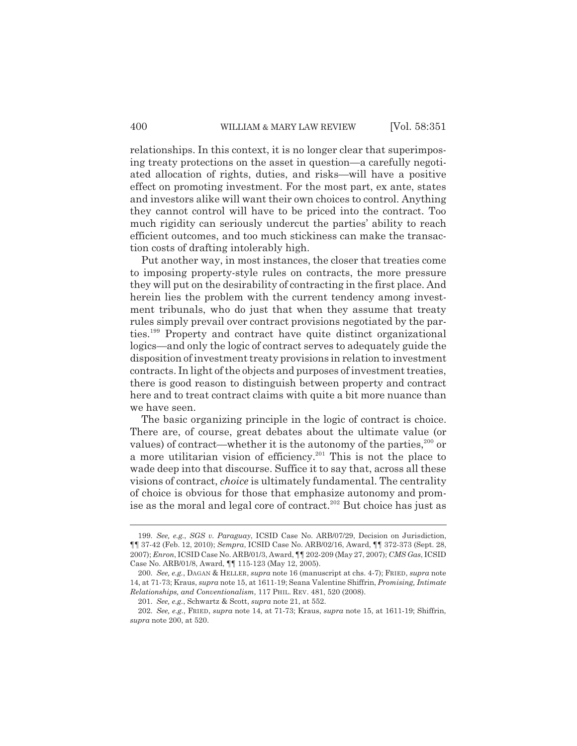relationships. In this context, it is no longer clear that superimposing treaty protections on the asset in question—a carefully negotiated allocation of rights, duties, and risks—will have a positive effect on promoting investment. For the most part, ex ante, states and investors alike will want their own choices to control. Anything they cannot control will have to be priced into the contract. Too much rigidity can seriously undercut the parties' ability to reach efficient outcomes, and too much stickiness can make the transaction costs of drafting intolerably high.

Put another way, in most instances, the closer that treaties come to imposing property-style rules on contracts, the more pressure they will put on the desirability of contracting in the first place. And herein lies the problem with the current tendency among investment tribunals, who do just that when they assume that treaty rules simply prevail over contract provisions negotiated by the parties.<sup>199</sup> Property and contract have quite distinct organizational logics—and only the logic of contract serves to adequately guide the disposition of investment treaty provisions in relation to investment contracts. In light of the objects and purposes of investment treaties, there is good reason to distinguish between property and contract here and to treat contract claims with quite a bit more nuance than we have seen.

The basic organizing principle in the logic of contract is choice. There are, of course, great debates about the ultimate value (or values) of contract—whether it is the autonomy of the parties, $200$  or a more utilitarian vision of efficiency.<sup>201</sup> This is not the place to wade deep into that discourse. Suffice it to say that, across all these visions of contract, *choice* is ultimately fundamental. The centrality of choice is obvious for those that emphasize autonomy and promise as the moral and legal core of contract.<sup>202</sup> But choice has just as

<sup>199.</sup> *See, e.g.*, *SGS v. Paraguay*, ICSID Case No. ARB/07/29, Decision on Jurisdiction, ¶¶ 37-42 (Feb. 12, 2010); *Sempra*, ICSID Case No. ARB/02/16, Award, ¶¶ 372-373 (Sept. 28, 2007); *Enron*, ICSID Case No. ARB/01/3, Award, ¶¶ 202-209 (May 27, 2007); *CMS Gas*, ICSID Case No. ARB/01/8, Award, ¶¶ 115-123 (May 12, 2005).

<sup>200.</sup> *See, e.g.*, DAGAN & HELLER, *supra* note 16 (manuscript at chs. 4-7); FRIED, *supra* note 14, at 71-73; Kraus, *supra* note 15, at 1611-19; Seana Valentine Shiffrin, *Promising, Intimate Relationships, and Conventionalism*, 117 PHIL. REV. 481, 520 (2008).

<sup>201.</sup> *See, e.g.*, Schwartz & Scott, *supra* note 21, at 552.

<sup>202.</sup> *See, e.g.*, FRIED, *supra* note 14, at 71-73; Kraus, *supra* note 15, at 1611-19; Shiffrin, *supra* note 200, at 520.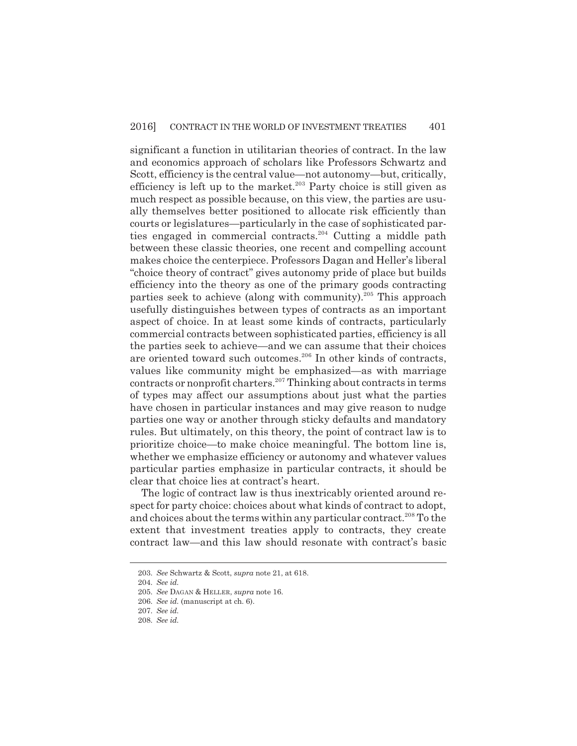significant a function in utilitarian theories of contract. In the law and economics approach of scholars like Professors Schwartz and Scott, efficiency is the central value—not autonomy—but, critically, efficiency is left up to the market.<sup>203</sup> Party choice is still given as much respect as possible because, on this view, the parties are usually themselves better positioned to allocate risk efficiently than courts or legislatures—particularly in the case of sophisticated parties engaged in commercial contracts.<sup>204</sup> Cutting a middle path between these classic theories, one recent and compelling account makes choice the centerpiece. Professors Dagan and Heller's liberal "choice theory of contract" gives autonomy pride of place but builds efficiency into the theory as one of the primary goods contracting parties seek to achieve (along with community).<sup>205</sup> This approach usefully distinguishes between types of contracts as an important aspect of choice. In at least some kinds of contracts, particularly commercial contracts between sophisticated parties, efficiency is all the parties seek to achieve—and we can assume that their choices are oriented toward such outcomes.<sup>206</sup> In other kinds of contracts, values like community might be emphasized—as with marriage contracts or nonprofit charters.<sup>207</sup> Thinking about contracts in terms of types may affect our assumptions about just what the parties have chosen in particular instances and may give reason to nudge parties one way or another through sticky defaults and mandatory rules. But ultimately, on this theory, the point of contract law is to prioritize choice—to make choice meaningful. The bottom line is, whether we emphasize efficiency or autonomy and whatever values particular parties emphasize in particular contracts, it should be clear that choice lies at contract's heart.

The logic of contract law is thus inextricably oriented around respect for party choice: choices about what kinds of contract to adopt, and choices about the terms within any particular contract.<sup>208</sup> To the extent that investment treaties apply to contracts, they create contract law—and this law should resonate with contract's basic

<sup>203.</sup> *See* Schwartz & Scott, *supra* note 21, at 618.

<sup>204.</sup> *See id.*

<sup>205.</sup> *See* DAGAN & HELLER, *supra* note 16.

<sup>206.</sup> *See id.* (manuscript at ch. 6).

<sup>207.</sup> *See id.*

<sup>208.</sup> *See id.*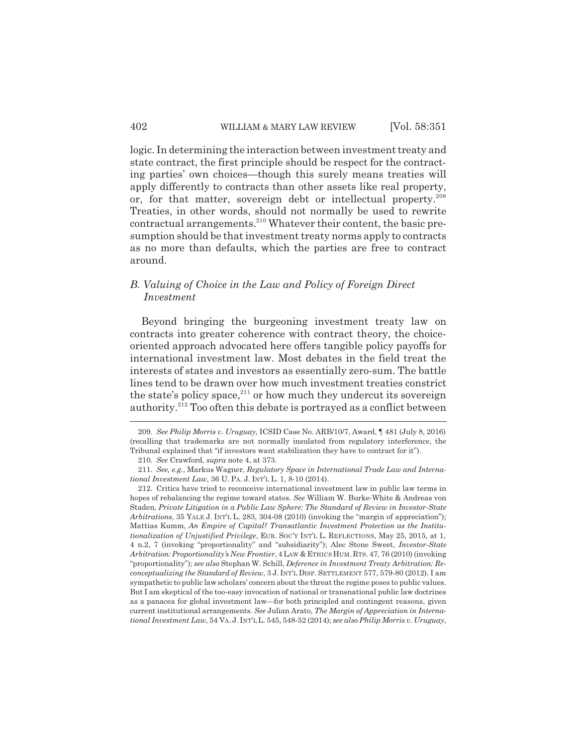logic. In determining the interaction between investment treaty and state contract, the first principle should be respect for the contracting parties' own choices—though this surely means treaties will apply differently to contracts than other assets like real property, or, for that matter, sovereign debt or intellectual property.<sup>209</sup> Treaties, in other words, should not normally be used to rewrite contractual arrangements.<sup>210</sup> Whatever their content, the basic presumption should be that investment treaty norms apply to contracts as no more than defaults, which the parties are free to contract around.

# *B. Valuing of Choice in the Law and Policy of Foreign Direct Investment*

Beyond bringing the burgeoning investment treaty law on contracts into greater coherence with contract theory, the choiceoriented approach advocated here offers tangible policy payoffs for international investment law. Most debates in the field treat the interests of states and investors as essentially zero-sum. The battle lines tend to be drawn over how much investment treaties constrict the state's policy space, $^{211}$  or how much they undercut its sovereign authority.<sup>212</sup> Too often this debate is portrayed as a conflict between

<sup>209.</sup> *See Philip Morris v. Uruguay*, ICSID Case No. ARB/10/7, Award, ¶ 481 (July 8, 2016) (recalling that trademarks are not normally insulated from regulatory interference, the Tribunal explained that "if investors want stabilization they have to contract for it").

<sup>210.</sup> *See* Crawford, *supra* note 4, at 373.

<sup>211.</sup> *See, e.g.*, Markus Wagner, *Regulatory Space in International Trade Law and International Investment Law*, 36 U. PA. J. INT'L L. 1, 8-10 (2014).

<sup>212.</sup> Critics have tried to reconceive international investment law in public law terms in hopes of rebalancing the regime toward states. *See* William W. Burke-White & Andreas von Staden, *Private Litigation in a Public Law Sphere: The Standard of Review in Investor-State Arbitrations*, 35 YALE J. INT'L L. 283, 304-08 (2010) (invoking the "margin of appreciation"); Mattias Kumm, *An Empire of Capital? Transatlantic Investment Protection as the Institutionalization of Unjustified Privilege*, EUR. SOC'Y INT'L L. REFLECTIONS, May 25, 2015, at 1, 4 n.2, 7 (invoking "proportionality" and "subsidiarity"); Alec Stone Sweet, *Investor-State Arbitration: Proportionality's New Frontier*, 4 LAW & ETHICS HUM.RTS. 47, 76 (2010) (invoking "proportionality"); *see also* Stephan W. Schill, *Deference in Investment Treaty Arbitration: Reconceptualizing the Standard of Review*, 3 J. INT'L DISP. SETTLEMENT 577, 579-80 (2012). I am sympathetic to public law scholars' concern about the threat the regime poses to public values. But I am skeptical of the too-easy invocation of national or transnational public law doctrines as a panacea for global investment law—for both principled and contingent reasons, given current institutional arrangements. *See* Julian Arato, *The Margin of Appreciation in International Investment Law*, 54 VA. J. INT'L L. 545, 548-52 (2014); *see also Philip Morris v. Uruguay*,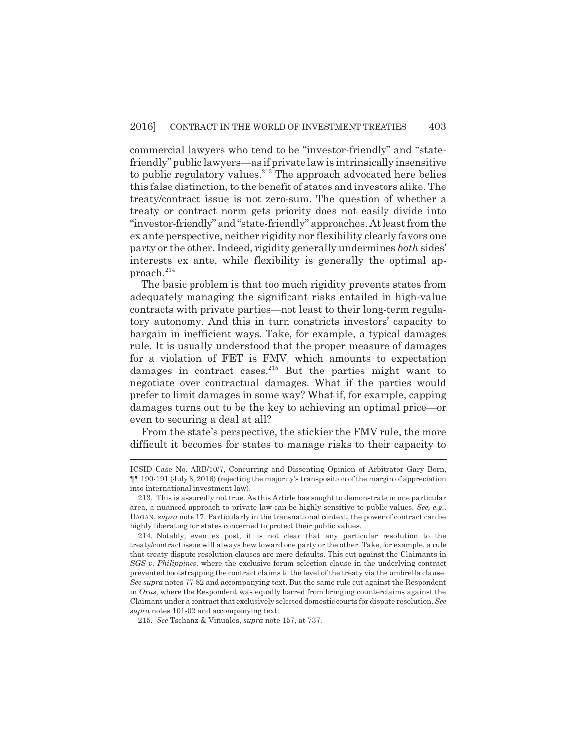commercial lawyers who tend to be "investor-friendly" and "statefriendly" public lawyers—as if private law is intrinsically insensitive to public regulatory values. $213$  The approach advocated here belies this false distinction, to the benefit of states and investors alike. The treaty/contract issue is not zero-sum. The question of whether a treaty or contract norm gets priority does not easily divide into "investor-friendly" and "state-friendly" approaches. At least from the ex ante perspective, neither rigidity nor flexibility clearly favors one party or the other. Indeed, rigidity generally undermines *both* sides' interests ex ante, while flexibility is generally the optimal approach.<sup>214</sup>

The basic problem is that too much rigidity prevents states from adequately managing the significant risks entailed in high-value contracts with private parties—not least to their long-term regulatory autonomy. And this in turn constricts investors' capacity to bargain in inefficient ways. Take, for example, a typical damages rule. It is usually understood that the proper measure of damages for a violation of FET is FMV, which amounts to expectation damages in contract cases.<sup>215</sup> But the parties might want to negotiate over contractual damages. What if the parties would prefer to limit damages in some way? What if, for example, capping damages turns out to be the key to achieving an optimal price—or even to securing a deal at all?

From the state's perspective, the stickier the FMV rule, the more difficult it becomes for states to manage risks to their capacity to

ICSID Case No. ARB/10/7, Concurring and Dissenting Opinion of Arbitrator Gary Born, ¶¶ 190-191 (July 8, 2016) (rejecting the majority's transposition of the margin of appreciation into international investment law).

<sup>213.</sup> This is assuredly not true. As this Article has sought to demonstrate in one particular area, a nuanced approach to private law can be highly sensitive to public values. *See, e.g.*, DAGAN, *supra* note 17. Particularly in the transnational context, the power of contract can be highly liberating for states concerned to protect their public values.

<sup>214.</sup> Notably, even ex post, it is not clear that any particular resolution to the treaty/contract issue will always hew toward one party or the other. Take, for example, a rule that treaty dispute resolution clauses are mere defaults. This cut against the Claimants in *SGS v. Philippines*, where the exclusive forum selection clause in the underlying contract prevented bootstrapping the contract claims to the level of the treaty via the umbrella clause. *See supra* notes 77-82 and accompanying text. But the same rule cut against the Respondent in *Oxus*, where the Respondent was equally barred from bringing counterclaims against the Claimant under a contract that exclusively selected domestic courts for dispute resolution. *See supra* notes 101-02 and accompanying text.

<sup>215.</sup> *See* Tschanz & Viñuales, *supra* note 157, at 737.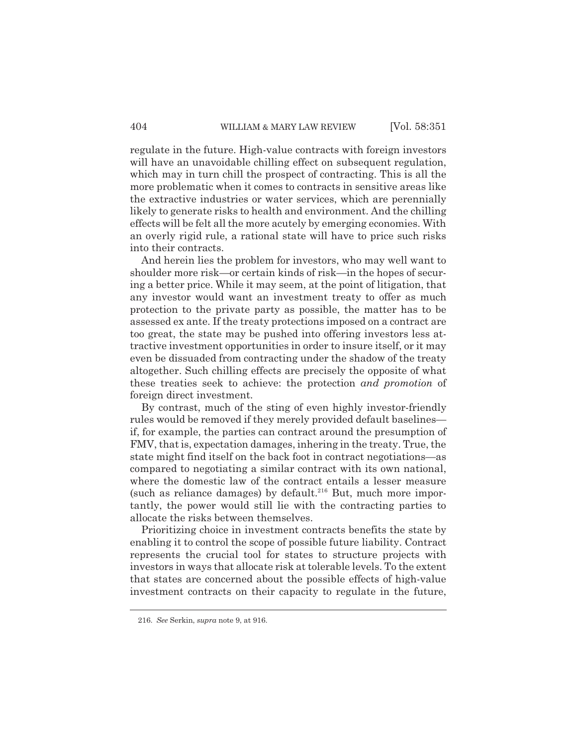regulate in the future. High-value contracts with foreign investors will have an unavoidable chilling effect on subsequent regulation, which may in turn chill the prospect of contracting. This is all the more problematic when it comes to contracts in sensitive areas like the extractive industries or water services, which are perennially likely to generate risks to health and environment. And the chilling effects will be felt all the more acutely by emerging economies. With an overly rigid rule, a rational state will have to price such risks into their contracts.

And herein lies the problem for investors, who may well want to shoulder more risk—or certain kinds of risk—in the hopes of securing a better price. While it may seem, at the point of litigation, that any investor would want an investment treaty to offer as much protection to the private party as possible, the matter has to be assessed ex ante. If the treaty protections imposed on a contract are too great, the state may be pushed into offering investors less attractive investment opportunities in order to insure itself, or it may even be dissuaded from contracting under the shadow of the treaty altogether. Such chilling effects are precisely the opposite of what these treaties seek to achieve: the protection *and promotion* of foreign direct investment.

By contrast, much of the sting of even highly investor-friendly rules would be removed if they merely provided default baselines if, for example, the parties can contract around the presumption of FMV, that is, expectation damages, inhering in the treaty. True, the state might find itself on the back foot in contract negotiations—as compared to negotiating a similar contract with its own national, where the domestic law of the contract entails a lesser measure (such as reliance damages) by default.<sup>216</sup> But, much more importantly, the power would still lie with the contracting parties to allocate the risks between themselves.

Prioritizing choice in investment contracts benefits the state by enabling it to control the scope of possible future liability. Contract represents the crucial tool for states to structure projects with investors in ways that allocate risk at tolerable levels. To the extent that states are concerned about the possible effects of high-value investment contracts on their capacity to regulate in the future,

<sup>216.</sup> *See* Serkin, *supra* note 9, at 916.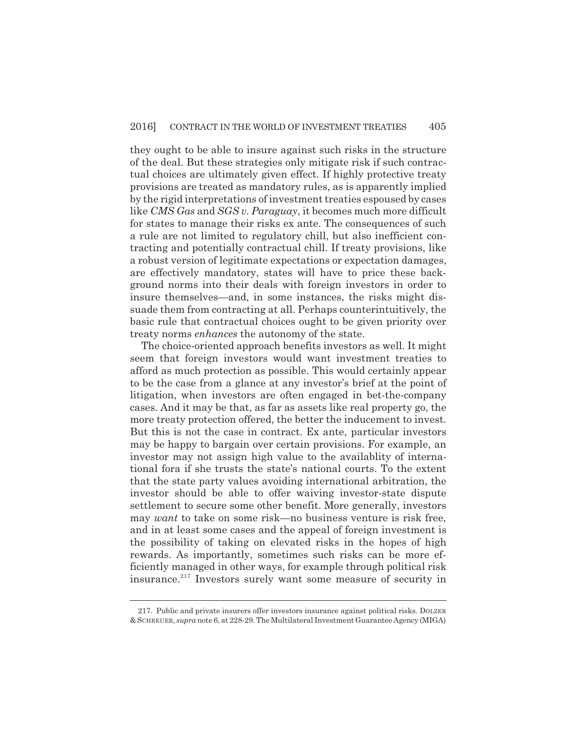they ought to be able to insure against such risks in the structure of the deal. But these strategies only mitigate risk if such contractual choices are ultimately given effect. If highly protective treaty provisions are treated as mandatory rules, as is apparently implied by the rigid interpretations of investment treaties espoused by cases like *CMS Gas* and *SGS v. Paraguay*, it becomes much more difficult for states to manage their risks ex ante. The consequences of such a rule are not limited to regulatory chill, but also inefficient contracting and potentially contractual chill. If treaty provisions, like a robust version of legitimate expectations or expectation damages, are effectively mandatory, states will have to price these background norms into their deals with foreign investors in order to insure themselves—and, in some instances, the risks might dissuade them from contracting at all. Perhaps counterintuitively, the basic rule that contractual choices ought to be given priority over treaty norms *enhances* the autonomy of the state.

The choice-oriented approach benefits investors as well. It might seem that foreign investors would want investment treaties to afford as much protection as possible. This would certainly appear to be the case from a glance at any investor's brief at the point of litigation, when investors are often engaged in bet-the-company cases. And it may be that, as far as assets like real property go, the more treaty protection offered, the better the inducement to invest. But this is not the case in contract. Ex ante, particular investors may be happy to bargain over certain provisions. For example, an investor may not assign high value to the availablity of international fora if she trusts the state's national courts. To the extent that the state party values avoiding international arbitration, the investor should be able to offer waiving investor-state dispute settlement to secure some other benefit. More generally, investors may *want* to take on some risk—no business venture is risk free, and in at least some cases and the appeal of foreign investment is the possibility of taking on elevated risks in the hopes of high rewards. As importantly, sometimes such risks can be more efficiently managed in other ways, for example through political risk insurance.<sup>217</sup> Investors surely want some measure of security in

<sup>217.</sup> Public and private insurers offer investors insurance against political risks. DOLZER & SCHREUER*, supra* note 6, at 228-29. The Multilateral Investment Guarantee Agency (MIGA)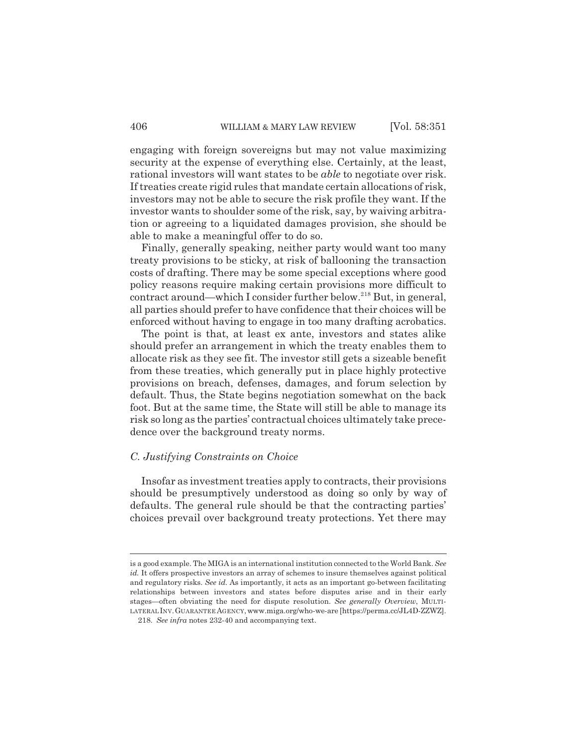engaging with foreign sovereigns but may not value maximizing security at the expense of everything else. Certainly, at the least, rational investors will want states to be *able* to negotiate over risk. If treaties create rigid rules that mandate certain allocations of risk, investors may not be able to secure the risk profile they want. If the investor wants to shoulder some of the risk, say, by waiving arbitration or agreeing to a liquidated damages provision, she should be able to make a meaningful offer to do so.

Finally, generally speaking, neither party would want too many treaty provisions to be sticky, at risk of ballooning the transaction costs of drafting. There may be some special exceptions where good policy reasons require making certain provisions more difficult to contract around—which I consider further below.<sup>218</sup> But, in general, all parties should prefer to have confidence that their choices will be enforced without having to engage in too many drafting acrobatics.

The point is that, at least ex ante, investors and states alike should prefer an arrangement in which the treaty enables them to allocate risk as they see fit. The investor still gets a sizeable benefit from these treaties, which generally put in place highly protective provisions on breach, defenses, damages, and forum selection by default. Thus, the State begins negotiation somewhat on the back foot. But at the same time, the State will still be able to manage its risk so long as the parties' contractual choices ultimately take precedence over the background treaty norms.

#### *C. Justifying Constraints on Choice*

Insofar as investment treaties apply to contracts, their provisions should be presumptively understood as doing so only by way of defaults. The general rule should be that the contracting parties' choices prevail over background treaty protections. Yet there may

is a good example. The MIGA is an international institution connected to the World Bank. *See id.* It offers prospective investors an array of schemes to insure themselves against political and regulatory risks. *See id.* As importantly, it acts as an important go-between facilitating relationships between investors and states before disputes arise and in their early stages—often obviating the need for dispute resolution. *See generally Overview*, MULTI-LATERAL INV.GUARANTEE AGENCY, www.miga.org/who-we-are [https://perma.cc/JL4D-ZZWZ].

<sup>218.</sup> *See infra* notes 232-40 and accompanying text.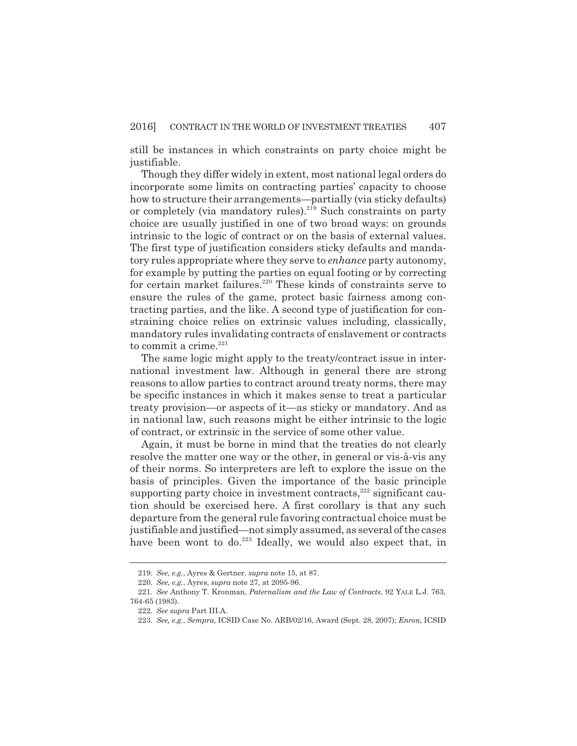still be instances in which constraints on party choice might be justifiable.

Though they differ widely in extent, most national legal orders do incorporate some limits on contracting parties' capacity to choose how to structure their arrangements—partially (via sticky defaults) or completely (via mandatory rules).<sup>219</sup> Such constraints on party choice are usually justified in one of two broad ways: on grounds intrinsic to the logic of contract or on the basis of external values. The first type of justification considers sticky defaults and mandatory rules appropriate where they serve to *enhance* party autonomy, for example by putting the parties on equal footing or by correcting for certain market failures.<sup>220</sup> These kinds of constraints serve to ensure the rules of the game, protect basic fairness among contracting parties, and the like. A second type of justification for constraining choice relies on extrinsic values including, classically, mandatory rules invalidating contracts of enslavement or contracts to commit a crime. $221$ 

The same logic might apply to the treaty/contract issue in international investment law. Although in general there are strong reasons to allow parties to contract around treaty norms, there may be specific instances in which it makes sense to treat a particular treaty provision—or aspects of it—as sticky or mandatory. And as in national law, such reasons might be either intrinsic to the logic of contract, or extrinsic in the service of some other value.

Again, it must be borne in mind that the treaties do not clearly resolve the matter one way or the other, in general or vis-à-vis any of their norms. So interpreters are left to explore the issue on the basis of principles. Given the importance of the basic principle supporting party choice in investment contracts, $^{222}$  significant caution should be exercised here. A first corollary is that any such departure from the general rule favoring contractual choice must be justifiable and justified—not simply assumed, as several of the cases have been wont to do.<sup>223</sup> Ideally, we would also expect that, in

<sup>219.</sup> *See, e.g.*, Ayres & Gertner, *supra* note 15, at 87.

<sup>220.</sup> *See, e.g.*, Ayres, *supra* note 27, at 2095-96.

<sup>221.</sup> *See* Anthony T. Kronman, *Paternalism and the Law of Contracts*, 92 YALE L.J. 763, 764-65 (1983).

<sup>222.</sup> *See supra* Part III.A.

<sup>223.</sup> *See, e.g.*, *Sempra*, ICSID Case No. ARB/02/16, Award (Sept. 28, 2007); *Enron*, ICSID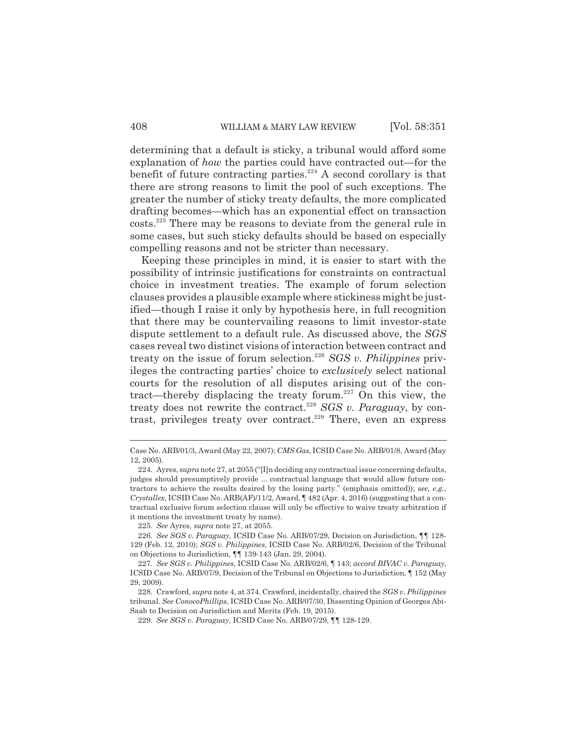determining that a default is sticky, a tribunal would afford some explanation of *how* the parties could have contracted out—for the benefit of future contracting parties.<sup>224</sup> A second corollary is that there are strong reasons to limit the pool of such exceptions. The greater the number of sticky treaty defaults, the more complicated drafting becomes—which has an exponential effect on transaction costs.<sup>225</sup> There may be reasons to deviate from the general rule in some cases, but such sticky defaults should be based on especially compelling reasons and not be stricter than necessary.

Keeping these principles in mind, it is easier to start with the possibility of intrinsic justifications for constraints on contractual choice in investment treaties. The example of forum selection clauses provides a plausible example where stickiness might be justified—though I raise it only by hypothesis here, in full recognition that there may be countervailing reasons to limit investor-state dispute settlement to a default rule. As discussed above, the *SGS* cases reveal two distinct visions of interaction between contract and treaty on the issue of forum selection.<sup>226</sup> *SGS v. Philippines* privileges the contracting parties' choice to *exclusively* select national courts for the resolution of all disputes arising out of the contract—thereby displacing the treaty forum.<sup>227</sup> On this view, the treaty does not rewrite the contract.<sup>228</sup> *SGS v. Paraguay*, by contrast, privileges treaty over contract.<sup>229</sup> There, even an express

Case No. ARB/01/3, Award (May 22, 2007); *CMS Gas*, ICSID Case No. ARB/01/8, Award (May 12, 2005).

<sup>224.</sup> Ayres, *supra* note 27, at 2055 ("[I]n deciding any contractual issue concerning defaults, judges should presumptively provide ... contractual language that would allow future contractors to achieve the results desired by the losing party." (emphasis omitted)); s*ee, e.g.*, *Crystallex*, ICSID Case No. ARB(AF)/11/2, Award,  $\P$  482 (Apr. 4, 2016) (suggesting that a contractual exclusive forum selection clause will only be effective to waive treaty arbitration if it mentions the investment treaty by name).

<sup>225.</sup> *See* Ayres, *supra* note 27, at 2055.

<sup>226.</sup> *See SGS v. Paraguay*, ICSID Case No. ARB/07/29, Decision on Jurisdiction, ¶¶ 128- 129 (Feb. 12, 2010); *SGS v. Philippines*, ICSID Case No. ARB/02/6, Decision of the Tribunal on Objections to Jurisdiction, ¶¶ 139-143 (Jan. 29, 2004).

<sup>227.</sup> *See SGS v. Philippines*, ICSID Case No. ARB/02/6, ¶ 143; *accord BIVAC v. Paraguay*, ICSID Case No. ARB/07/9, Decision of the Tribunal on Objections to Jurisdiction, ¶ 152 (May 29, 2009).

<sup>228.</sup> Crawford, *supra* note 4, at 374. Crawford, incidentally, chaired the *SGS v. Philippines* tribunal. *See ConocoPhillips*, ICSID Case No. ARB/07/30, Dissenting Opinion of Georges Abi-Saab to Decision on Jurisdiction and Merits (Feb. 19, 2015).

<sup>229.</sup> *See SGS v. Paraguay*, ICSID Case No. ARB/07/29, ¶¶ 128-129.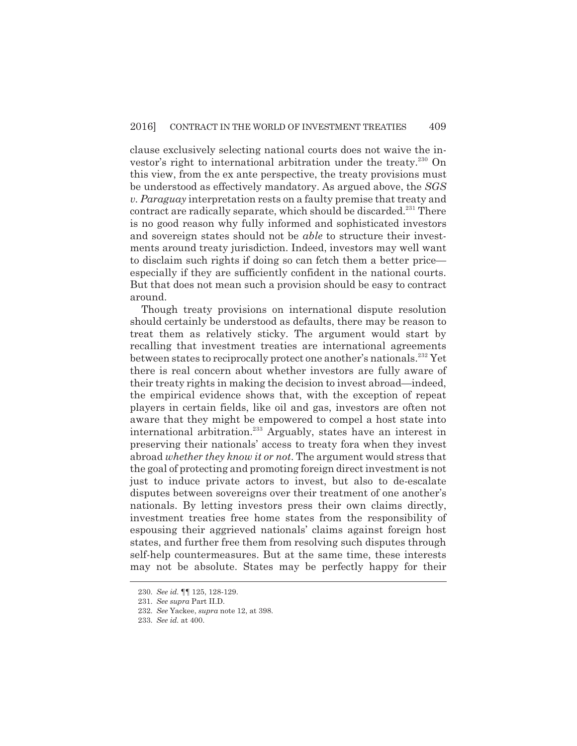clause exclusively selecting national courts does not waive the investor's right to international arbitration under the treaty.<sup>230</sup> On this view, from the ex ante perspective, the treaty provisions must be understood as effectively mandatory. As argued above, the *SGS v. Paraguay* interpretation rests on a faulty premise that treaty and contract are radically separate, which should be discarded.<sup>231</sup> There is no good reason why fully informed and sophisticated investors and sovereign states should not be *able* to structure their investments around treaty jurisdiction. Indeed, investors may well want to disclaim such rights if doing so can fetch them a better price especially if they are sufficiently confident in the national courts. But that does not mean such a provision should be easy to contract around.

Though treaty provisions on international dispute resolution should certainly be understood as defaults, there may be reason to treat them as relatively sticky. The argument would start by recalling that investment treaties are international agreements between states to reciprocally protect one another's nationals.<sup>232</sup> Yet there is real concern about whether investors are fully aware of their treaty rights in making the decision to invest abroad—indeed, the empirical evidence shows that, with the exception of repeat players in certain fields, like oil and gas, investors are often not aware that they might be empowered to compel a host state into international arbitration.<sup>233</sup> Arguably, states have an interest in preserving their nationals' access to treaty fora when they invest abroad *whether they know it or not*. The argument would stress that the goal of protecting and promoting foreign direct investment is not just to induce private actors to invest, but also to de-escalate disputes between sovereigns over their treatment of one another's nationals. By letting investors press their own claims directly, investment treaties free home states from the responsibility of espousing their aggrieved nationals' claims against foreign host states, and further free them from resolving such disputes through self-help countermeasures. But at the same time, these interests may not be absolute. States may be perfectly happy for their

<sup>230.</sup> *See id.* ¶¶ 125, 128-129.

<sup>231.</sup> *See supra* Part II.D.

<sup>232.</sup> *See* Yackee, *supra* note 12, at 398.

<sup>233.</sup> *See id.* at 400.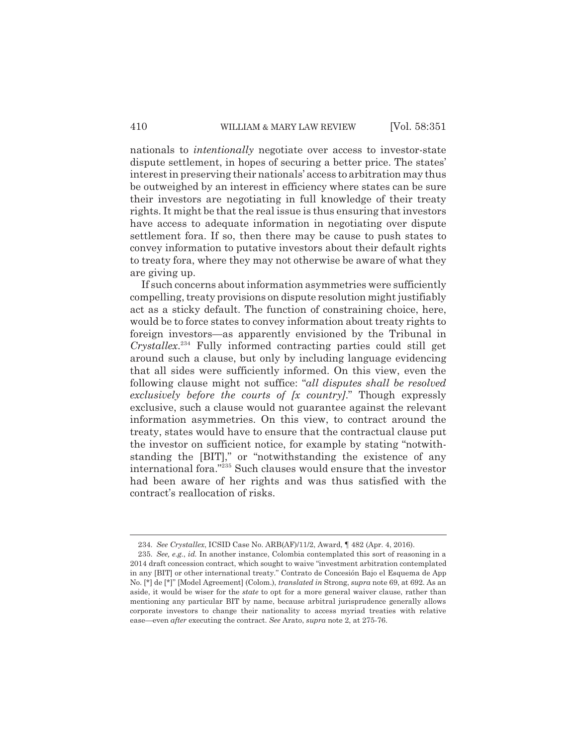nationals to *intentionally* negotiate over access to investor-state dispute settlement, in hopes of securing a better price. The states' interest in preserving their nationals' access to arbitration may thus be outweighed by an interest in efficiency where states can be sure their investors are negotiating in full knowledge of their treaty rights. It might be that the real issue is thus ensuring that investors have access to adequate information in negotiating over dispute settlement fora. If so, then there may be cause to push states to convey information to putative investors about their default rights to treaty fora, where they may not otherwise be aware of what they are giving up.

If such concerns about information asymmetries were sufficiently compelling, treaty provisions on dispute resolution might justifiably act as a sticky default. The function of constraining choice, here, would be to force states to convey information about treaty rights to foreign investors—as apparently envisioned by the Tribunal in *Crystallex*. <sup>234</sup> Fully informed contracting parties could still get around such a clause, but only by including language evidencing that all sides were sufficiently informed. On this view, even the following clause might not suffice: "*all disputes shall be resolved exclusively before the courts of [x country]*." Though expressly exclusive, such a clause would not guarantee against the relevant information asymmetries. On this view, to contract around the treaty, states would have to ensure that the contractual clause put the investor on sufficient notice, for example by stating "notwithstanding the [BIT]," or "notwithstanding the existence of any international fora."<sup>235</sup> Such clauses would ensure that the investor had been aware of her rights and was thus satisfied with the contract's reallocation of risks.

<sup>234.</sup> *See Crystallex*, ICSID Case No. ARB(AF)/11/2, Award, ¶ 482 (Apr. 4, 2016).

<sup>235.</sup> *See, e.g.*, *id.* In another instance, Colombia contemplated this sort of reasoning in a 2014 draft concession contract, which sought to waive "investment arbitration contemplated in any [BIT] or other international treaty." Contrato de Concesión Bajo el Esquema de App No. [\*] de [\*]" [Model Agreement] (Colom.), *translated in* Strong, *supra* note 69, at 692. As an aside, it would be wiser for the *state* to opt for a more general waiver clause, rather than mentioning any particular BIT by name, because arbitral jurisprudence generally allows corporate investors to change their nationality to access myriad treaties with relative ease—even *after* executing the contract. *See* Arato, *supra* note 2, at 275-76.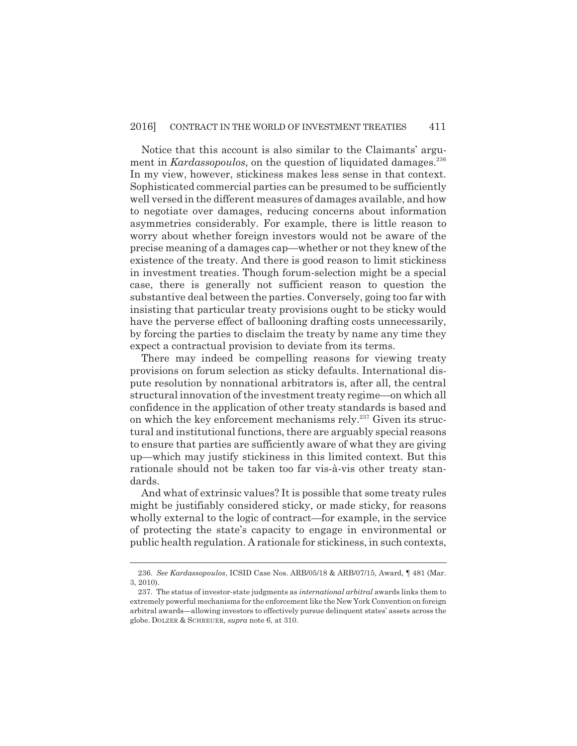Notice that this account is also similar to the Claimants' argument in *Kardassopoulos*, on the question of liquidated damages.<sup>236</sup> In my view, however, stickiness makes less sense in that context. Sophisticated commercial parties can be presumed to be sufficiently well versed in the different measures of damages available, and how to negotiate over damages, reducing concerns about information asymmetries considerably. For example, there is little reason to worry about whether foreign investors would not be aware of the precise meaning of a damages cap—whether or not they knew of the existence of the treaty. And there is good reason to limit stickiness in investment treaties. Though forum-selection might be a special case, there is generally not sufficient reason to question the substantive deal between the parties. Conversely, going too far with insisting that particular treaty provisions ought to be sticky would have the perverse effect of ballooning drafting costs unnecessarily, by forcing the parties to disclaim the treaty by name any time they expect a contractual provision to deviate from its terms.

There may indeed be compelling reasons for viewing treaty provisions on forum selection as sticky defaults. International dispute resolution by nonnational arbitrators is, after all, the central structural innovation of the investment treaty regime—on which all confidence in the application of other treaty standards is based and on which the key enforcement mechanisms rely. $237$  Given its structural and institutional functions, there are arguably special reasons to ensure that parties are sufficiently aware of what they are giving up—which may justify stickiness in this limited context. But this rationale should not be taken too far vis-à-vis other treaty standards.

And what of extrinsic values? It is possible that some treaty rules might be justifiably considered sticky, or made sticky, for reasons wholly external to the logic of contract—for example, in the service of protecting the state's capacity to engage in environmental or public health regulation. A rationale for stickiness, in such contexts,

<sup>236.</sup> *See Kardassopoulos*, ICSID Case Nos. ARB/05/18 & ARB/07/15, Award, ¶ 481 (Mar. 3, 2010).

<sup>237.</sup> The status of investor-state judgments as *international arbitral* awards links them to extremely powerful mechanisms for the enforcement like the New York Convention on foreign arbitral awards—allowing investors to effectively pursue delinquent states' assets across the globe. DOLZER & SCHREUER*, supra* note 6, at 310.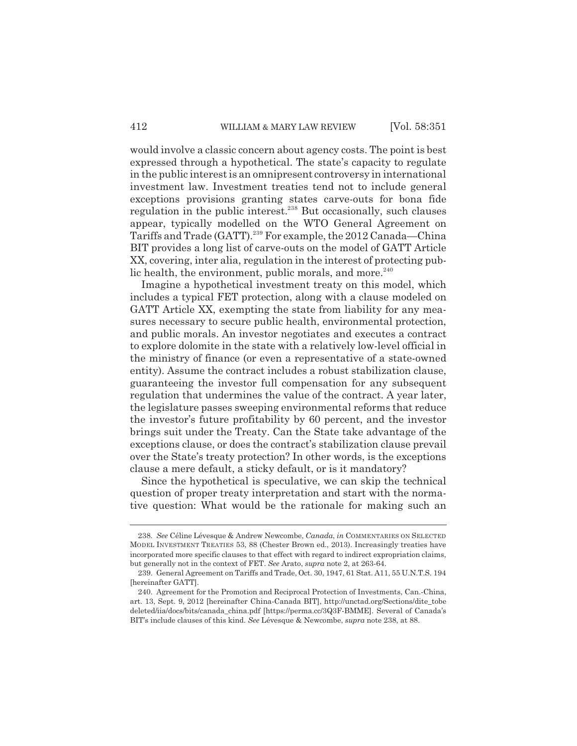would involve a classic concern about agency costs. The point is best expressed through a hypothetical. The state's capacity to regulate in the public interest is an omnipresent controversy in international investment law. Investment treaties tend not to include general exceptions provisions granting states carve-outs for bona fide regulation in the public interest.<sup>238</sup> But occasionally, such clauses appear, typically modelled on the WTO General Agreement on Tariffs and Trade (GATT).<sup>239</sup> For example, the 2012 Canada—China BIT provides a long list of carve-outs on the model of GATT Article XX, covering, inter alia, regulation in the interest of protecting public health, the environment, public morals, and more. $240$ 

Imagine a hypothetical investment treaty on this model, which includes a typical FET protection, along with a clause modeled on GATT Article XX, exempting the state from liability for any measures necessary to secure public health, environmental protection, and public morals. An investor negotiates and executes a contract to explore dolomite in the state with a relatively low-level official in the ministry of finance (or even a representative of a state-owned entity). Assume the contract includes a robust stabilization clause, guaranteeing the investor full compensation for any subsequent regulation that undermines the value of the contract. A year later, the legislature passes sweeping environmental reforms that reduce the investor's future profitability by 60 percent, and the investor brings suit under the Treaty. Can the State take advantage of the exceptions clause, or does the contract's stabilization clause prevail over the State's treaty protection? In other words, is the exceptions clause a mere default, a sticky default, or is it mandatory?

Since the hypothetical is speculative, we can skip the technical question of proper treaty interpretation and start with the normative question: What would be the rationale for making such an

<sup>238.</sup> *See* Céline Lévesque & Andrew Newcombe, *Canada*, *in* COMMENTARIES ON SELECTED MODEL INVESTMENT TREATIES 53, 88 (Chester Brown ed., 2013). Increasingly treaties have incorporated more specific clauses to that effect with regard to indirect expropriation claims, but generally not in the context of FET. *See* Arato, *supra* note 2, at 263-64.

<sup>239.</sup> General Agreement on Tariffs and Trade, Oct. 30, 1947, 61 Stat. A11, 55 U.N.T.S. 194 [hereinafter GATT].

<sup>240.</sup> Agreement for the Promotion and Reciprocal Protection of Investments, Can.-China, art. 13, Sept. 9, 2012 [hereinafter China-Canada BIT], http://unctad.org/Sections/dite\_tobe deleted/iia/docs/bits/canada\_china.pdf [https://perma.cc/3Q3F-BMME]. Several of Canada's BIT's include clauses of this kind. *See* Lévesque & Newcombe, *supra* note 238, at 88.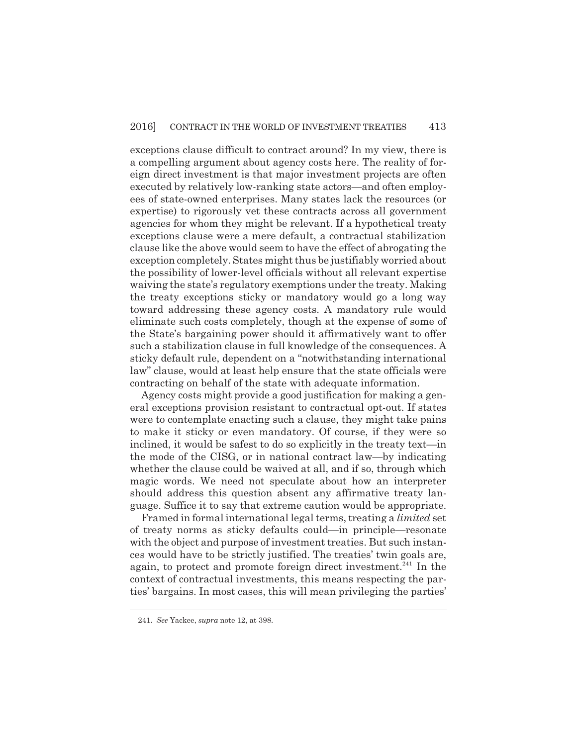exceptions clause difficult to contract around? In my view, there is a compelling argument about agency costs here. The reality of foreign direct investment is that major investment projects are often executed by relatively low-ranking state actors—and often employees of state-owned enterprises. Many states lack the resources (or expertise) to rigorously vet these contracts across all government agencies for whom they might be relevant. If a hypothetical treaty exceptions clause were a mere default, a contractual stabilization clause like the above would seem to have the effect of abrogating the exception completely. States might thus be justifiably worried about the possibility of lower-level officials without all relevant expertise waiving the state's regulatory exemptions under the treaty. Making the treaty exceptions sticky or mandatory would go a long way toward addressing these agency costs. A mandatory rule would eliminate such costs completely, though at the expense of some of the State's bargaining power should it affirmatively want to offer such a stabilization clause in full knowledge of the consequences. A sticky default rule, dependent on a "notwithstanding international law" clause, would at least help ensure that the state officials were contracting on behalf of the state with adequate information.

Agency costs might provide a good justification for making a general exceptions provision resistant to contractual opt-out. If states were to contemplate enacting such a clause, they might take pains to make it sticky or even mandatory. Of course, if they were so inclined, it would be safest to do so explicitly in the treaty text—in the mode of the CISG, or in national contract law—by indicating whether the clause could be waived at all, and if so, through which magic words. We need not speculate about how an interpreter should address this question absent any affirmative treaty language. Suffice it to say that extreme caution would be appropriate.

Framed in formal international legal terms, treating a *limited* set of treaty norms as sticky defaults could—in principle—resonate with the object and purpose of investment treaties. But such instances would have to be strictly justified. The treaties' twin goals are, again, to protect and promote foreign direct investment.<sup>241</sup> In the context of contractual investments, this means respecting the parties' bargains. In most cases, this will mean privileging the parties'

<sup>241.</sup> *See* Yackee, *supra* note 12, at 398.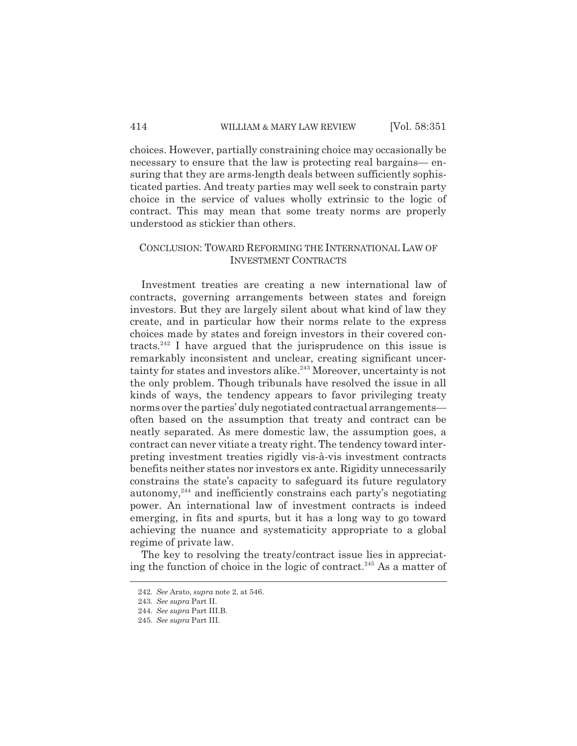choices. However, partially constraining choice may occasionally be necessary to ensure that the law is protecting real bargains— ensuring that they are arms-length deals between sufficiently sophisticated parties. And treaty parties may well seek to constrain party choice in the service of values wholly extrinsic to the logic of contract. This may mean that some treaty norms are properly understood as stickier than others.

## CONCLUSION: TOWARD REFORMING THE INTERNATIONAL LAW OF INVESTMENT CONTRACTS

Investment treaties are creating a new international law of contracts, governing arrangements between states and foreign investors. But they are largely silent about what kind of law they create, and in particular how their norms relate to the express choices made by states and foreign investors in their covered contracts.<sup>242</sup> I have argued that the jurisprudence on this issue is remarkably inconsistent and unclear, creating significant uncertainty for states and investors alike.<sup>243</sup> Moreover, uncertainty is not the only problem. Though tribunals have resolved the issue in all kinds of ways, the tendency appears to favor privileging treaty norms over the parties' duly negotiated contractual arrangements often based on the assumption that treaty and contract can be neatly separated. As mere domestic law, the assumption goes, a contract can never vitiate a treaty right. The tendency toward interpreting investment treaties rigidly vis-à-vis investment contracts benefits neither states nor investors ex ante. Rigidity unnecessarily constrains the state's capacity to safeguard its future regulatory autonomy, $244$  and inefficiently constrains each party's negotiating power. An international law of investment contracts is indeed emerging, in fits and spurts, but it has a long way to go toward achieving the nuance and systematicity appropriate to a global regime of private law.

The key to resolving the treaty/contract issue lies in appreciating the function of choice in the logic of contract.<sup>245</sup> As a matter of

<sup>242.</sup> *See* Arato, *supra* note 2, at 546.

<sup>243.</sup> *See supra* Part II.

<sup>244.</sup> *See supra* Part III.B.

<sup>245.</sup> *See supra* Part III.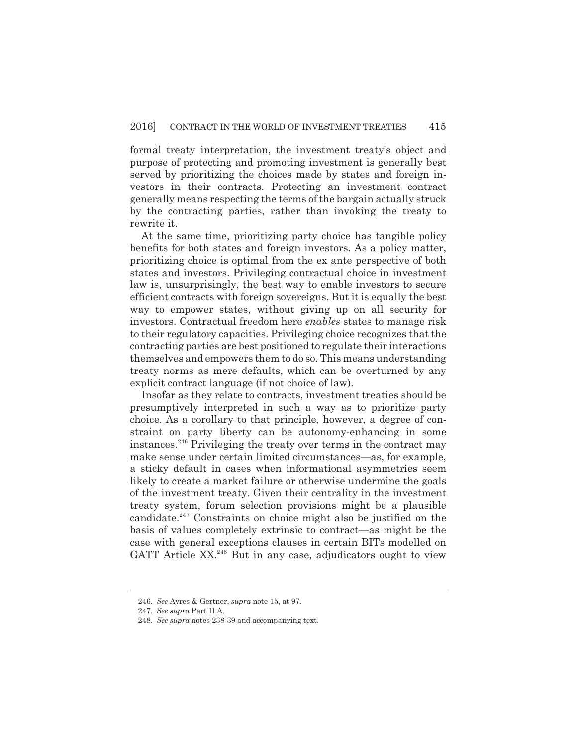formal treaty interpretation, the investment treaty's object and purpose of protecting and promoting investment is generally best served by prioritizing the choices made by states and foreign investors in their contracts. Protecting an investment contract generally means respecting the terms of the bargain actually struck by the contracting parties, rather than invoking the treaty to rewrite it.

At the same time, prioritizing party choice has tangible policy benefits for both states and foreign investors. As a policy matter, prioritizing choice is optimal from the ex ante perspective of both states and investors. Privileging contractual choice in investment law is, unsurprisingly, the best way to enable investors to secure efficient contracts with foreign sovereigns. But it is equally the best way to empower states, without giving up on all security for investors. Contractual freedom here *enables* states to manage risk to their regulatory capacities. Privileging choice recognizes that the contracting parties are best positioned to regulate their interactions themselves and empowers them to do so. This means understanding treaty norms as mere defaults, which can be overturned by any explicit contract language (if not choice of law).

Insofar as they relate to contracts, investment treaties should be presumptively interpreted in such a way as to prioritize party choice. As a corollary to that principle, however, a degree of constraint on party liberty can be autonomy-enhancing in some instances.<sup>246</sup> Privileging the treaty over terms in the contract may make sense under certain limited circumstances—as, for example, a sticky default in cases when informational asymmetries seem likely to create a market failure or otherwise undermine the goals of the investment treaty. Given their centrality in the investment treaty system, forum selection provisions might be a plausible candidate. $247$  Constraints on choice might also be justified on the basis of values completely extrinsic to contract—as might be the case with general exceptions clauses in certain BITs modelled on GATT Article XX.<sup>248</sup> But in any case, adjudicators ought to view

<sup>246.</sup> *See* Ayres & Gertner, *supra* note 15, at 97.

<sup>247.</sup> *See supra* Part II.A.

<sup>248.</sup> *See supra* notes 238-39 and accompanying text.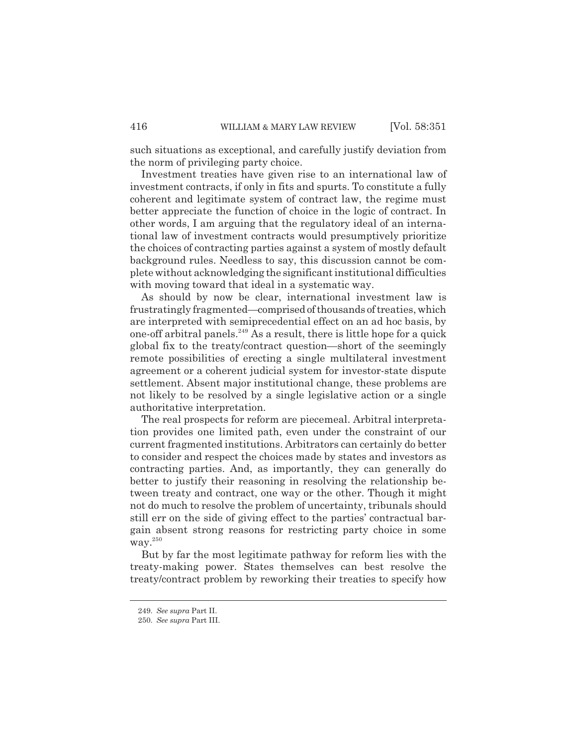such situations as exceptional, and carefully justify deviation from the norm of privileging party choice.

Investment treaties have given rise to an international law of investment contracts, if only in fits and spurts. To constitute a fully coherent and legitimate system of contract law, the regime must better appreciate the function of choice in the logic of contract. In other words, I am arguing that the regulatory ideal of an international law of investment contracts would presumptively prioritize the choices of contracting parties against a system of mostly default background rules. Needless to say, this discussion cannot be complete without acknowledging the significant institutional difficulties with moving toward that ideal in a systematic way.

As should by now be clear, international investment law is frustratingly fragmented—comprised of thousands of treaties, which are interpreted with semiprecedential effect on an ad hoc basis, by one-off arbitral panels.<sup>249</sup> As a result, there is little hope for a quick global fix to the treaty/contract question—short of the seemingly remote possibilities of erecting a single multilateral investment agreement or a coherent judicial system for investor-state dispute settlement. Absent major institutional change, these problems are not likely to be resolved by a single legislative action or a single authoritative interpretation.

The real prospects for reform are piecemeal. Arbitral interpretation provides one limited path, even under the constraint of our current fragmented institutions. Arbitrators can certainly do better to consider and respect the choices made by states and investors as contracting parties. And, as importantly, they can generally do better to justify their reasoning in resolving the relationship between treaty and contract, one way or the other. Though it might not do much to resolve the problem of uncertainty, tribunals should still err on the side of giving effect to the parties' contractual bargain absent strong reasons for restricting party choice in some way.<sup>250</sup>

But by far the most legitimate pathway for reform lies with the treaty-making power. States themselves can best resolve the treaty/contract problem by reworking their treaties to specify how

<sup>249.</sup> *See supra* Part II.

<sup>250.</sup> *See supra* Part III.